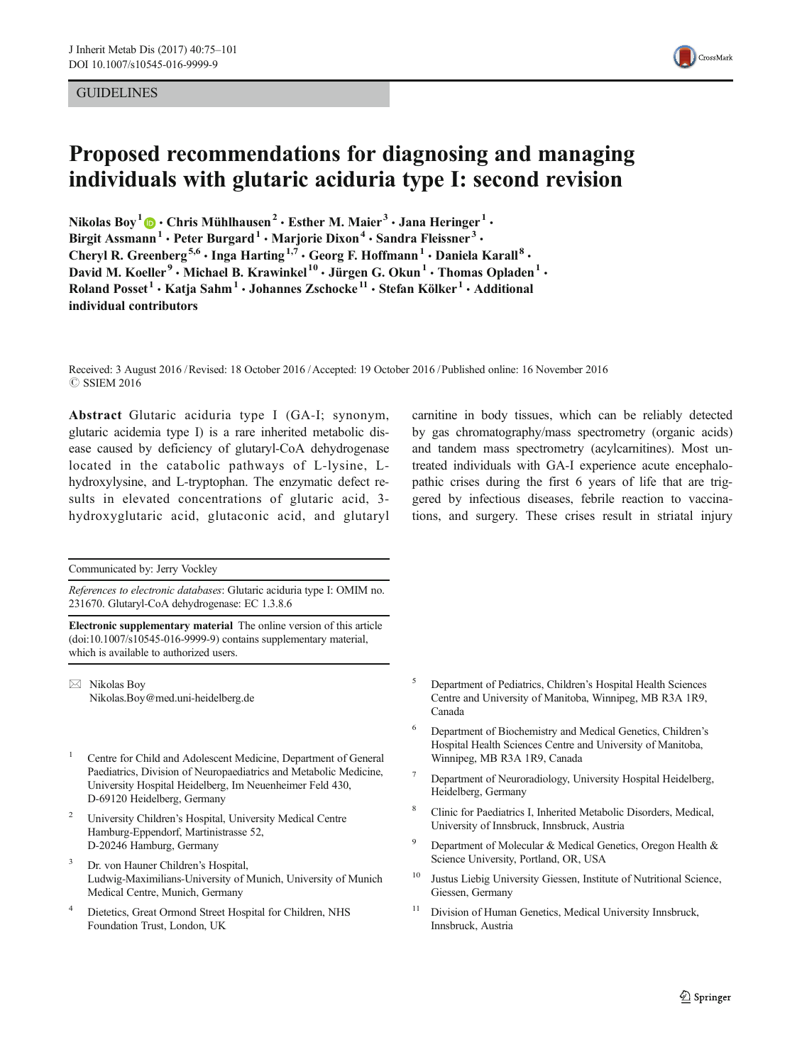# **GUIDELINES**



# Proposed recommendations for diagnosing and managing individuals with glutaric aciduria type I: second revision

Nikolas Boy<sup>1</sup>  $\bigcirc$   $\cdot$  Chris Mühlhausen<sup>2</sup>  $\cdot$  Esther M. Maier<sup>3</sup>  $\cdot$  Jana Heringer<sup>1</sup>  $\cdot$ Birgit Assmann<sup>1</sup> · Peter Burgard<sup>1</sup> · Marjorie Dixon<sup>4</sup> · Sandra Fleissner<sup>3</sup> · Cheryl R. Greenberg<sup>5,6</sup> · Inga Harting<sup>1,7</sup> · Georg F. Hoffmann<sup>1</sup> · Daniela Karall<sup>8</sup> · David M. Koeller<sup>9</sup> • Michael B. Krawinkel<sup>10</sup> • Jürgen G. Okun<sup>1</sup> • Thomas Opladen<sup>1</sup> • Roland Posset<sup>1</sup> · Katja Sahm<sup>1</sup> · Johannes Zschocke<sup>11</sup> · Stefan Kölker<sup>1</sup> · Additional individual contributors

Received: 3 August 2016 /Revised: 18 October 2016 /Accepted: 19 October 2016 /Published online: 16 November 2016 **C SSIEM 2016** 

Abstract Glutaric aciduria type I (GA-I; synonym, glutaric acidemia type I) is a rare inherited metabolic disease caused by deficiency of glutaryl-CoA dehydrogenase located in the catabolic pathways of L-lysine, Lhydroxylysine, and L-tryptophan. The enzymatic defect results in elevated concentrations of glutaric acid, 3 hydroxyglutaric acid, glutaconic acid, and glutaryl

Communicated by: Jerry Vockley

References to electronic databases: Glutaric aciduria type I: OMIM no. 231670. Glutaryl-CoA dehydrogenase: EC 1.3.8.6

Electronic supplementary material The online version of this article (doi[:10.1007/s10545-016-9999-9](http://dx.doi.org/10.1007/s10545-016-9999-9)) contains supplementary material, which is available to authorized users.

 $\boxtimes$  Nikolas Boy Nikolas.Boy@med.uni-heidelberg.de

- <sup>1</sup> Centre for Child and Adolescent Medicine, Department of General Paediatrics, Division of Neuropaediatrics and Metabolic Medicine, University Hospital Heidelberg, Im Neuenheimer Feld 430, D-69120 Heidelberg, Germany
- <sup>2</sup> University Children's Hospital, University Medical Centre Hamburg-Eppendorf, Martinistrasse 52, D-20246 Hamburg, Germany
- Dr. von Hauner Children's Hospital, Ludwig-Maximilians-University of Munich, University of Munich Medical Centre, Munich, Germany
- <sup>4</sup> Dietetics, Great Ormond Street Hospital for Children, NHS Foundation Trust, London, UK

carnitine in body tissues, which can be reliably detected by gas chromatography/mass spectrometry (organic acids) and tandem mass spectrometry (acylcarnitines). Most untreated individuals with GA-I experience acute encephalopathic crises during the first 6 years of life that are triggered by infectious diseases, febrile reaction to vaccinations, and surgery. These crises result in striatal injury

- <sup>5</sup> Department of Pediatrics, Children's Hospital Health Sciences Centre and University of Manitoba, Winnipeg, MB R3A 1R9, Canada
- <sup>6</sup> Department of Biochemistry and Medical Genetics, Children's Hospital Health Sciences Centre and University of Manitoba, Winnipeg, MB R3A 1R9, Canada
- <sup>7</sup> Department of Neuroradiology, University Hospital Heidelberg, Heidelberg, Germany
- <sup>8</sup> Clinic for Paediatrics I, Inherited Metabolic Disorders, Medical, University of Innsbruck, Innsbruck, Austria
- <sup>9</sup> Department of Molecular & Medical Genetics, Oregon Health & Science University, Portland, OR, USA
- Justus Liebig University Giessen, Institute of Nutritional Science, Giessen, Germany
- <sup>11</sup> Division of Human Genetics, Medical University Innsbruck, Innsbruck, Austria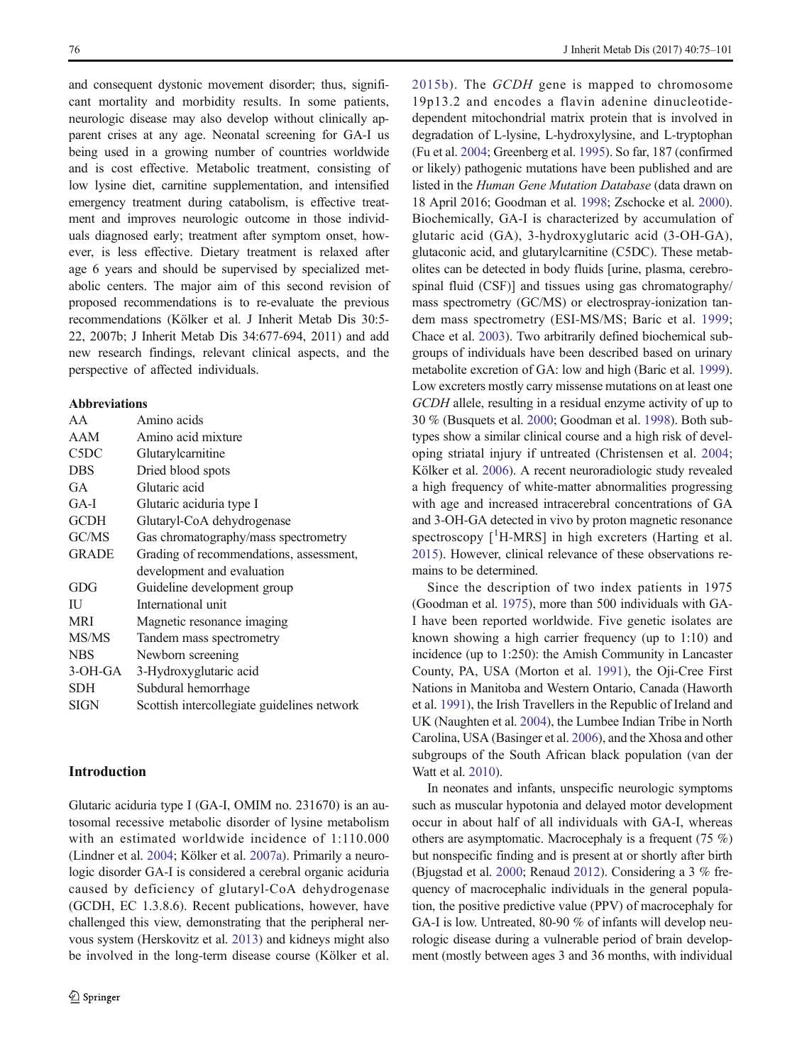and consequent dystonic movement disorder; thus, significant mortality and morbidity results. In some patients, neurologic disease may also develop without clinically apparent crises at any age. Neonatal screening for GA-I us being used in a growing number of countries worldwide and is cost effective. Metabolic treatment, consisting of low lysine diet, carnitine supplementation, and intensified emergency treatment during catabolism, is effective treatment and improves neurologic outcome in those individuals diagnosed early; treatment after symptom onset, however, is less effective. Dietary treatment is relaxed after age 6 years and should be supervised by specialized metabolic centers. The major aim of this second revision of proposed recommendations is to re-evaluate the previous recommendations (Kölker et al. J Inherit Metab Dis 30:5- 22, 2007b; J Inherit Metab Dis 34:677-694, 2011) and add new research findings, relevant clinical aspects, and the perspective of affected individuals.

#### Abbreviations

| AA           | Amino acids                                 |
|--------------|---------------------------------------------|
| AAM          | Amino acid mixture                          |
| C5DC         | Glutarylcarnitine                           |
| <b>DBS</b>   | Dried blood spots                           |
| GA           | Glutaric acid                               |
| $GA-I$       | Glutaric aciduria type I                    |
| <b>GCDH</b>  | Glutaryl-CoA dehydrogenase                  |
| GC/MS        | Gas chromatography/mass spectrometry        |
| <b>GRADE</b> | Grading of recommendations, assessment,     |
|              | development and evaluation                  |
| GDG          | Guideline development group                 |
| ΠJ           | International unit                          |
| <b>MRI</b>   | Magnetic resonance imaging                  |
| MS/MS        | Tandem mass spectrometry                    |
| <b>NBS</b>   | Newborn screening                           |
| $3-OH-GA$    | 3-Hydroxyglutaric acid                      |
| <b>SDH</b>   | Subdural hemorrhage                         |
| SIGN         | Scottish intercollegiate guidelines network |
|              |                                             |

# Introduction

Glutaric aciduria type I (GA-I, OMIM no. 231670) is an autosomal recessive metabolic disorder of lysine metabolism with an estimated worldwide incidence of 1:110.000 (Lindner et al. [2004;](#page-24-0) Kölker et al. [2007a](#page-24-0)). Primarily a neurologic disorder GA-I is considered a cerebral organic aciduria caused by deficiency of glutaryl-CoA dehydrogenase (GCDH, EC 1.3.8.6). Recent publications, however, have challenged this view, demonstrating that the peripheral nervous system (Herskovitz et al. [2013\)](#page-24-0) and kidneys might also be involved in the long-term disease course (Kölker et al.

[2015b\)](#page-24-0). The GCDH gene is mapped to chromosome 19p13.2 and encodes a flavin adenine dinucleotidedependent mitochondrial matrix protein that is involved in degradation of L-lysine, L-hydroxylysine, and L-tryptophan (Fu et al. [2004;](#page-23-0) Greenberg et al. [1995\)](#page-23-0). So far, 187 (confirmed or likely) pathogenic mutations have been published and are listed in the Human Gene Mutation Database (data drawn on 18 April 2016; Goodman et al. [1998;](#page-23-0) Zschocke et al. [2000\)](#page-26-0). Biochemically, GA-I is characterized by accumulation of glutaric acid (GA), 3-hydroxyglutaric acid (3-OH-GA), glutaconic acid, and glutarylcarnitine (C5DC). These metabolites can be detected in body fluids [urine, plasma, cerebrospinal fluid (CSF)] and tissues using gas chromatography/ mass spectrometry (GC/MS) or electrospray-ionization tandem mass spectrometry (ESI-MS/MS; Baric et al. [1999;](#page-22-0) Chace et al. [2003](#page-22-0)). Two arbitrarily defined biochemical subgroups of individuals have been described based on urinary metabolite excretion of GA: low and high (Baric et al. [1999\)](#page-22-0). Low excreters mostly carry missense mutations on at least one GCDH allele, resulting in a residual enzyme activity of up to 30 % (Busquets et al. [2000](#page-22-0); Goodman et al. [1998\)](#page-23-0). Both subtypes show a similar clinical course and a high risk of developing striatal injury if untreated (Christensen et al. [2004;](#page-23-0) Kölker et al. [2006\)](#page-24-0). A recent neuroradiologic study revealed a high frequency of white-matter abnormalities progressing with age and increased intracerebral concentrations of GA and 3-OH-GA detected in vivo by proton magnetic resonance spectroscopy [<sup>1</sup>H-MRS] in high excreters (Harting et al. [2015\)](#page-23-0). However, clinical relevance of these observations remains to be determined.

Since the description of two index patients in 1975 (Goodman et al. [1975](#page-23-0)), more than 500 individuals with GA-I have been reported worldwide. Five genetic isolates are known showing a high carrier frequency (up to 1:10) and incidence (up to 1:250): the Amish Community in Lancaster County, PA, USA (Morton et al. [1991](#page-25-0)), the Oji-Cree First Nations in Manitoba and Western Ontario, Canada (Haworth et al. [1991\)](#page-23-0), the Irish Travellers in the Republic of Ireland and UK (Naughten et al. [2004](#page-25-0)), the Lumbee Indian Tribe in North Carolina, USA (Basinger et al. [2006](#page-22-0)), and the Xhosa and other subgroups of the South African black population (van der Watt et al. [2010\)](#page-26-0).

In neonates and infants, unspecific neurologic symptoms such as muscular hypotonia and delayed motor development occur in about half of all individuals with GA-I, whereas others are asymptomatic. Macrocephaly is a frequent (75 %) but nonspecific finding and is present at or shortly after birth (Bjugstad et al. [2000](#page-22-0); Renaud [2012\)](#page-25-0). Considering a 3 % frequency of macrocephalic individuals in the general population, the positive predictive value (PPV) of macrocephaly for GA-I is low. Untreated, 80-90 % of infants will develop neurologic disease during a vulnerable period of brain development (mostly between ages 3 and 36 months, with individual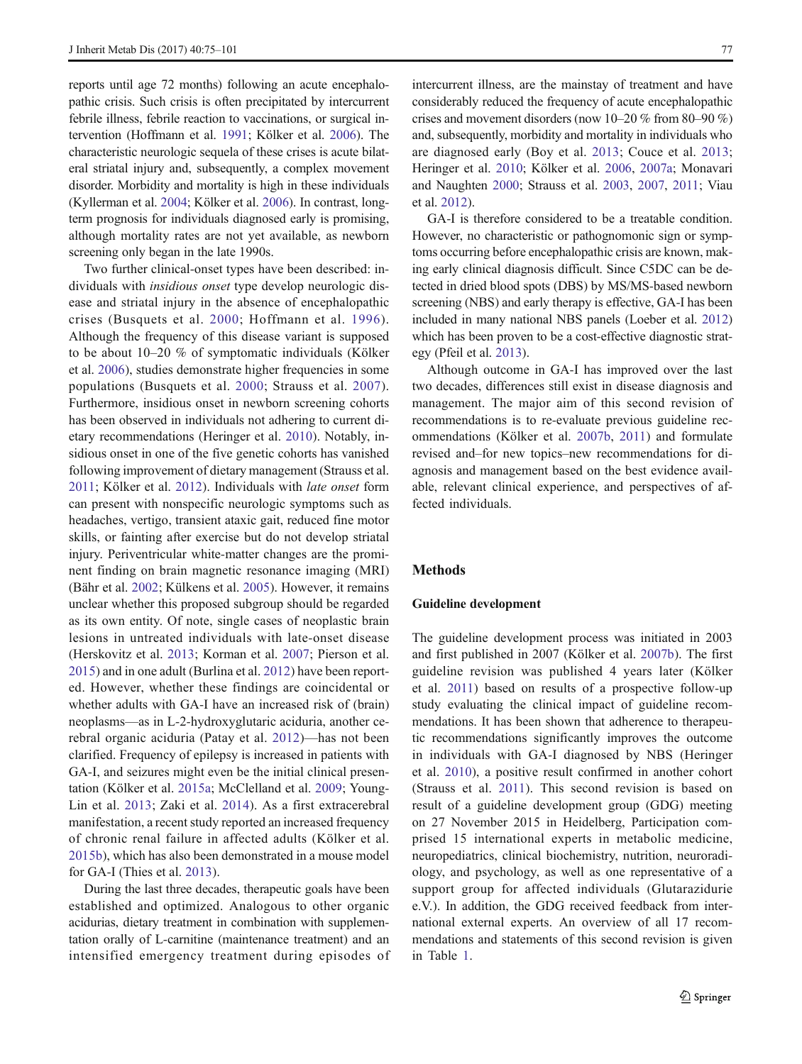reports until age 72 months) following an acute encephalopathic crisis. Such crisis is often precipitated by intercurrent febrile illness, febrile reaction to vaccinations, or surgical intervention (Hoffmann et al. [1991](#page-24-0); Kölker et al. [2006\)](#page-24-0). The characteristic neurologic sequela of these crises is acute bilateral striatal injury and, subsequently, a complex movement disorder. Morbidity and mortality is high in these individuals (Kyllerman et al. [2004;](#page-24-0) Kölker et al. [2006\)](#page-24-0). In contrast, longterm prognosis for individuals diagnosed early is promising, although mortality rates are not yet available, as newborn screening only began in the late 1990s.

Two further clinical-onset types have been described: individuals with insidious onset type develop neurologic disease and striatal injury in the absence of encephalopathic crises (Busquets et al. [2000;](#page-22-0) Hoffmann et al. [1996\)](#page-24-0). Although the frequency of this disease variant is supposed to be about 10–20 % of symptomatic individuals (Kölker et al. [2006\)](#page-24-0), studies demonstrate higher frequencies in some populations (Busquets et al. [2000](#page-22-0); Strauss et al. [2007](#page-25-0)). Furthermore, insidious onset in newborn screening cohorts has been observed in individuals not adhering to current dietary recommendations (Heringer et al. [2010](#page-23-0)). Notably, insidious onset in one of the five genetic cohorts has vanished following improvement of dietary management (Strauss et al. [2011;](#page-25-0) Kölker et al. [2012](#page-24-0)). Individuals with late onset form can present with nonspecific neurologic symptoms such as headaches, vertigo, transient ataxic gait, reduced fine motor skills, or fainting after exercise but do not develop striatal injury. Periventricular white-matter changes are the prominent finding on brain magnetic resonance imaging (MRI) (Bähr et al. [2002;](#page-22-0) Külkens et al. [2005\)](#page-24-0). However, it remains unclear whether this proposed subgroup should be regarded as its own entity. Of note, single cases of neoplastic brain lesions in untreated individuals with late-onset disease (Herskovitz et al. [2013;](#page-24-0) Korman et al. [2007;](#page-24-0) Pierson et al. [2015](#page-25-0)) and in one adult (Burlina et al. [2012\)](#page-22-0) have been reported. However, whether these findings are coincidental or whether adults with GA-I have an increased risk of (brain) neoplasms—as in L-2-hydroxyglutaric aciduria, another cerebral organic aciduria (Patay et al. [2012\)](#page-25-0)—has not been clarified. Frequency of epilepsy is increased in patients with GA-I, and seizures might even be the initial clinical presentation (Kölker et al. [2015a;](#page-24-0) McClelland et al. [2009](#page-25-0); Young-Lin et al. [2013;](#page-26-0) Zaki et al. [2014](#page-26-0)). As a first extracerebral manifestation, a recent study reported an increased frequency of chronic renal failure in affected adults (Kölker et al. [2015b](#page-24-0)), which has also been demonstrated in a mouse model for GA-I (Thies et al. [2013\)](#page-25-0).

During the last three decades, therapeutic goals have been established and optimized. Analogous to other organic acidurias, dietary treatment in combination with supplementation orally of L-carnitine (maintenance treatment) and an intensified emergency treatment during episodes of intercurrent illness, are the mainstay of treatment and have considerably reduced the frequency of acute encephalopathic crises and movement disorders (now 10–20 % from 80–90 %) and, subsequently, morbidity and mortality in individuals who are diagnosed early (Boy et al. [2013](#page-22-0); Couce et al. [2013;](#page-23-0) Heringer et al. [2010](#page-23-0); Kölker et al. [2006](#page-24-0), [2007a;](#page-24-0) Monavari and Naughten [2000;](#page-25-0) Strauss et al. [2003,](#page-25-0) [2007,](#page-25-0) [2011](#page-25-0); Viau et al. [2012](#page-26-0)).

GA-I is therefore considered to be a treatable condition. However, no characteristic or pathognomonic sign or symptoms occurring before encephalopathic crisis are known, making early clinical diagnosis difficult. Since C5DC can be detected in dried blood spots (DBS) by MS/MS-based newborn screening (NBS) and early therapy is effective, GA-I has been included in many national NBS panels (Loeber et al. [2012](#page-24-0)) which has been proven to be a cost-effective diagnostic strategy (Pfeil et al. [2013\)](#page-25-0).

Although outcome in GA-I has improved over the last two decades, differences still exist in disease diagnosis and management. The major aim of this second revision of recommendations is to re-evaluate previous guideline recommendations (Kölker et al. [2007b,](#page-24-0) [2011\)](#page-24-0) and formulate revised and–for new topics–new recommendations for diagnosis and management based on the best evidence available, relevant clinical experience, and perspectives of affected individuals.

### Methods

#### Guideline development

The guideline development process was initiated in 2003 and first published in 2007 (Kölker et al. [2007b\)](#page-24-0). The first guideline revision was published 4 years later (Kölker et al. [2011](#page-24-0)) based on results of a prospective follow-up study evaluating the clinical impact of guideline recommendations. It has been shown that adherence to therapeutic recommendations significantly improves the outcome in individuals with GA-I diagnosed by NBS (Heringer et al. [2010\)](#page-23-0), a positive result confirmed in another cohort (Strauss et al. [2011](#page-25-0)). This second revision is based on result of a guideline development group (GDG) meeting on 27 November 2015 in Heidelberg, Participation comprised 15 international experts in metabolic medicine, neuropediatrics, clinical biochemistry, nutrition, neuroradiology, and psychology, as well as one representative of a support group for affected individuals (Glutarazidurie e.V.). In addition, the GDG received feedback from international external experts. An overview of all 17 recommendations and statements of this second revision is given in Table [1.](#page-3-0)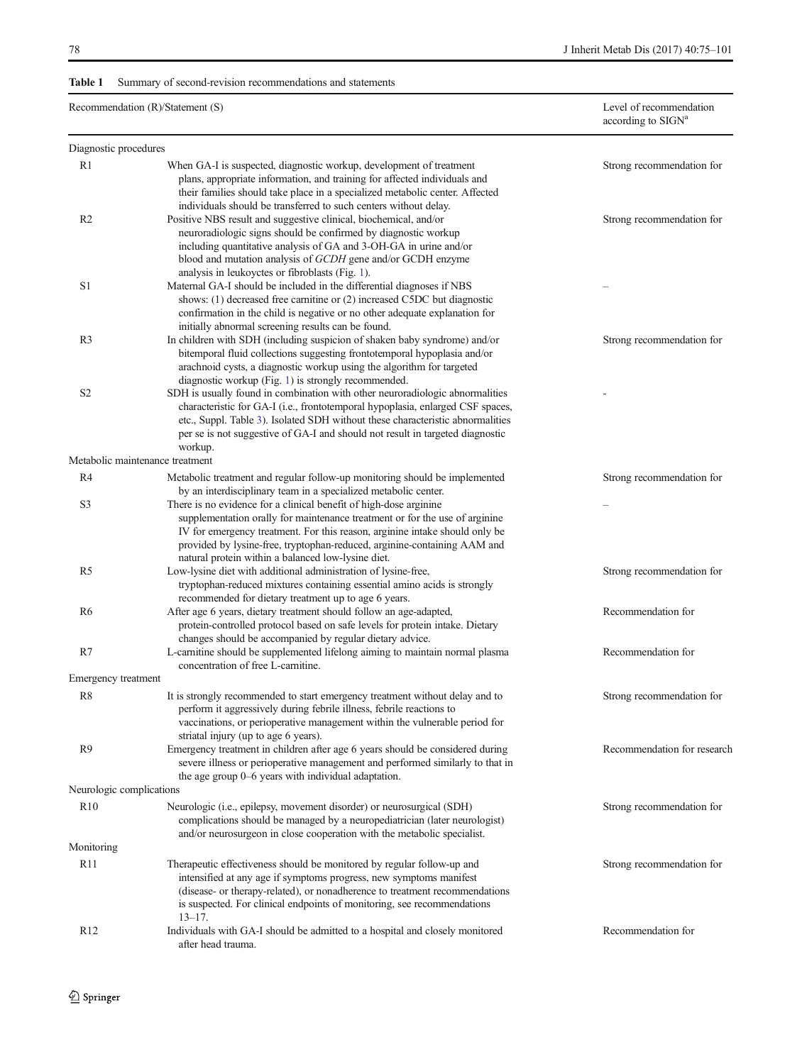# <span id="page-3-0"></span>Table 1 Summary of second-revision recommendations and statements

| Recommendation (R)/Statement (S) | Level of recommendation        |
|----------------------------------|--------------------------------|
|                                  | according to SIGN <sup>a</sup> |

| Diagnostic procedures      |                                                                                                                                                                                                                                                                                                                                                                                                                                                                               |                             |
|----------------------------|-------------------------------------------------------------------------------------------------------------------------------------------------------------------------------------------------------------------------------------------------------------------------------------------------------------------------------------------------------------------------------------------------------------------------------------------------------------------------------|-----------------------------|
| R1                         | When GA-I is suspected, diagnostic workup, development of treatment<br>plans, appropriate information, and training for affected individuals and                                                                                                                                                                                                                                                                                                                              | Strong recommendation for   |
| R <sub>2</sub>             | their families should take place in a specialized metabolic center. Affected<br>individuals should be transferred to such centers without delay.<br>Positive NBS result and suggestive clinical, biochemical, and/or<br>neuroradiologic signs should be confirmed by diagnostic workup<br>including quantitative analysis of GA and 3-OH-GA in urine and/or<br>blood and mutation analysis of GCDH gene and/or GCDH enzyme<br>analysis in leukoyctes or fibroblasts (Fig. 1). | Strong recommendation for   |
| S1                         | Maternal GA-I should be included in the differential diagnoses if NBS<br>shows: (1) decreased free carnitine or (2) increased C5DC but diagnostic<br>confirmation in the child is negative or no other adequate explanation for<br>initially abnormal screening results can be found.                                                                                                                                                                                         |                             |
| R <sub>3</sub>             | In children with SDH (including suspicion of shaken baby syndrome) and/or<br>bitemporal fluid collections suggesting frontotemporal hypoplasia and/or<br>arachnoid cysts, a diagnostic workup using the algorithm for targeted<br>diagnostic workup (Fig. 1) is strongly recommended.                                                                                                                                                                                         | Strong recommendation for   |
| S <sub>2</sub>             | SDH is usually found in combination with other neuroradiologic abnormalities<br>characteristic for GA-I (i.e., frontotemporal hypoplasia, enlarged CSF spaces,<br>etc., Suppl. Table 3). Isolated SDH without these characteristic abnormalities<br>per se is not suggestive of GA-I and should not result in targeted diagnostic<br>workup.                                                                                                                                  |                             |
|                            | Metabolic maintenance treatment                                                                                                                                                                                                                                                                                                                                                                                                                                               |                             |
| R4                         | Metabolic treatment and regular follow-up monitoring should be implemented<br>by an interdisciplinary team in a specialized metabolic center.                                                                                                                                                                                                                                                                                                                                 | Strong recommendation for   |
| S3                         | There is no evidence for a clinical benefit of high-dose arginine<br>supplementation orally for maintenance treatment or for the use of arginine<br>IV for emergency treatment. For this reason, arginine intake should only be<br>provided by lysine-free, tryptophan-reduced, arginine-containing AAM and<br>natural protein within a balanced low-lysine diet.                                                                                                             |                             |
| R <sub>5</sub>             | Low-lysine diet with additional administration of lysine-free,<br>tryptophan-reduced mixtures containing essential amino acids is strongly<br>recommended for dietary treatment up to age 6 years.                                                                                                                                                                                                                                                                            | Strong recommendation for   |
| R6                         | After age 6 years, dietary treatment should follow an age-adapted,<br>protein-controlled protocol based on safe levels for protein intake. Dietary<br>changes should be accompanied by regular dietary advice.                                                                                                                                                                                                                                                                | Recommendation for          |
| R7                         | L-carnitine should be supplemented lifelong aiming to maintain normal plasma<br>concentration of free L-carnitine.                                                                                                                                                                                                                                                                                                                                                            | Recommendation for          |
| <b>Emergency treatment</b> |                                                                                                                                                                                                                                                                                                                                                                                                                                                                               |                             |
| R <sub>8</sub>             | It is strongly recommended to start emergency treatment without delay and to<br>perform it aggressively during febrile illness, febrile reactions to<br>vaccinations, or perioperative management within the vulnerable period for<br>striatal injury (up to age 6 years).                                                                                                                                                                                                    | Strong recommendation for   |
| R9                         | Emergency treatment in children after age 6 years should be considered during<br>severe illness or perioperative management and performed similarly to that in<br>the age group 0–6 years with individual adaptation.                                                                                                                                                                                                                                                         | Recommendation for research |
| Neurologic complications   |                                                                                                                                                                                                                                                                                                                                                                                                                                                                               |                             |
| R10                        | Neurologic (i.e., epilepsy, movement disorder) or neurosurgical (SDH)<br>complications should be managed by a neuropediatrician (later neurologist)<br>and/or neurosurgeon in close cooperation with the metabolic specialist.                                                                                                                                                                                                                                                | Strong recommendation for   |
| Monitoring                 |                                                                                                                                                                                                                                                                                                                                                                                                                                                                               |                             |
| R11                        | Therapeutic effectiveness should be monitored by regular follow-up and<br>intensified at any age if symptoms progress, new symptoms manifest<br>(disease- or therapy-related), or nonadherence to treatment recommendations<br>is suspected. For clinical endpoints of monitoring, see recommendations<br>$13 - 17$ .                                                                                                                                                         | Strong recommendation for   |
| R <sub>12</sub>            | Individuals with GA-I should be admitted to a hospital and closely monitored<br>after head trauma.                                                                                                                                                                                                                                                                                                                                                                            | Recommendation for          |
|                            |                                                                                                                                                                                                                                                                                                                                                                                                                                                                               |                             |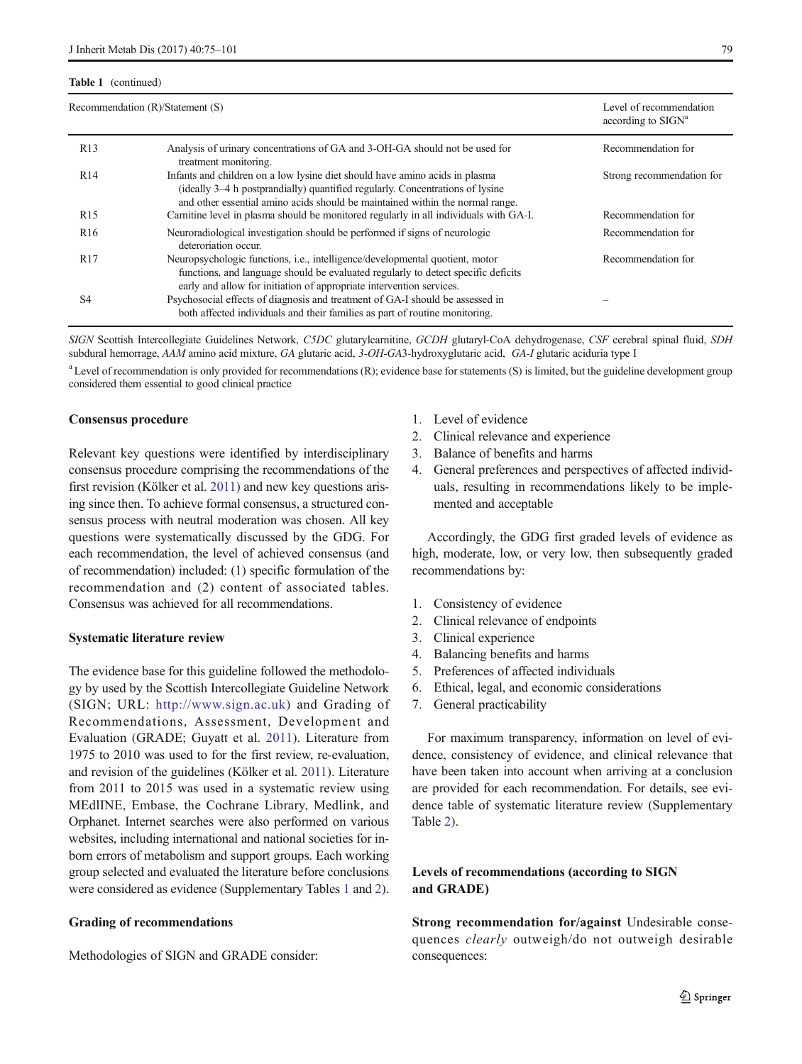### Table 1 (continued)

|                 | Recommendation (R)/Statement (S)                                                                                                                                                                                                              | Level of recommendation<br>according to $SIGNa$ |
|-----------------|-----------------------------------------------------------------------------------------------------------------------------------------------------------------------------------------------------------------------------------------------|-------------------------------------------------|
| R <sub>13</sub> | Analysis of urinary concentrations of GA and 3-OH-GA should not be used for<br>treatment monitoring.                                                                                                                                          | Recommendation for                              |
| R14             | Infants and children on a low lysine diet should have amino acids in plasma<br>(ideally 3–4 h postprandially) quantified regularly. Concentrations of lysine<br>and other essential amino acids should be maintained within the normal range. | Strong recommendation for                       |
| R <sub>15</sub> | Carnitine level in plasma should be monitored regularly in all individuals with GA-I.                                                                                                                                                         | Recommendation for                              |
| R <sub>16</sub> | Neuroradiological investigation should be performed if signs of neurologic<br>deteroriation occur.                                                                                                                                            | Recommendation for                              |
| R <sub>17</sub> | Neuropsychologic functions, i.e., intelligence/developmental quotient, motor<br>functions, and language should be evaluated regularly to detect specific deficits<br>early and allow for initiation of appropriate intervention services.     | Recommendation for                              |
| S4              | Psychosocial effects of diagnosis and treatment of GA-I should be assessed in<br>both affected individuals and their families as part of routine monitoring.                                                                                  |                                                 |
|                 |                                                                                                                                                                                                                                               |                                                 |

SIGN Scottish Intercollegiate Guidelines Network, C5DC glutarylcarnitine, GCDH glutaryl-CoA dehydrogenase, CSF cerebral spinal fluid, SDH subdural hemorrage, AAM amino acid mixture, GA glutaric acid, 3-OH-GA3-hydroxyglutaric acid, GA-I glutaric aciduria type I

<sup>a</sup> Level of recommendation is only provided for recommendations (R); evidence base for statements (S) is limited, but the guideline development group considered them essential to good clinical practice

#### Consensus procedure

Relevant key questions were identified by interdisciplinary consensus procedure comprising the recommendations of the first revision (Kölker et al. [2011](#page-24-0)) and new key questions arising since then. To achieve formal consensus, a structured consensus process with neutral moderation was chosen. All key questions were systematically discussed by the GDG. For each recommendation, the level of achieved consensus (and of recommendation) included: (1) specific formulation of the recommendation and (2) content of associated tables. Consensus was achieved for all recommendations.

### Systematic literature review

The evidence base for this guideline followed the methodology by used by the Scottish Intercollegiate Guideline Network (SIGN; URL: [http://www.sign.ac.uk\)](http://www.sign.ac.uk/) and Grading of Recommendations, Assessment, Development and Evaluation (GRADE; Guyatt et al. [2011](#page-23-0)). Literature from 1975 to 2010 was used to for the first review, re-evaluation, and revision of the guidelines (Kölker et al. [2011](#page-24-0)). Literature from 2011 to 2015 was used in a systematic review using MEdlINE, Embase, the Cochrane Library, Medlink, and Orphanet. Internet searches were also performed on various websites, including international and national societies for inborn errors of metabolism and support groups. Each working group selected and evaluated the literature before conclusions were considered as evidence (Supplementary Tables 1 and 2).

# Grading of recommendations

Methodologies of SIGN and GRADE consider:

- 1. Level of evidence
- 2. Clinical relevance and experience
- 3. Balance of benefits and harms
- 4. General preferences and perspectives of affected individuals, resulting in recommendations likely to be implemented and acceptable

Accordingly, the GDG first graded levels of evidence as high, moderate, low, or very low, then subsequently graded recommendations by:

- 1. Consistency of evidence
- 2. Clinical relevance of endpoints
- 3. Clinical experience
- 4. Balancing benefits and harms
- 5. Preferences of affected individuals
- 6. Ethical, legal, and economic considerations
- 7. General practicability

For maximum transparency, information on level of evidence, consistency of evidence, and clinical relevance that have been taken into account when arriving at a conclusion are provided for each recommendation. For details, see evidence table of systematic literature review (Supplementary Table 2).

# Levels of recommendations (according to SIGN and GRADE)

Strong recommendation for/against Undesirable consequences clearly outweigh/do not outweigh desirable consequences: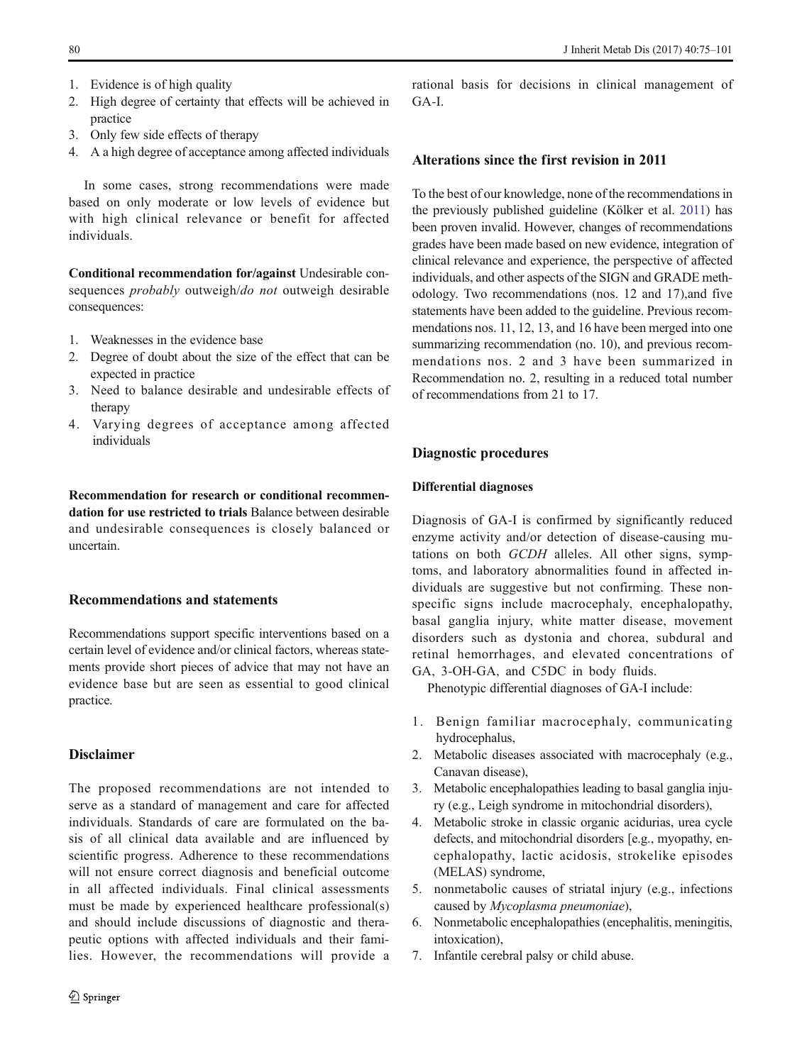- 1. Evidence is of high quality
- 2. High degree of certainty that effects will be achieved in practice
- 3. Only few side effects of therapy
- 4. A a high degree of acceptance among affected individuals

In some cases, strong recommendations were made based on only moderate or low levels of evidence but with high clinical relevance or benefit for affected individuals.

Conditional recommendation for/against Undesirable consequences *probably* outweigh/do not outweigh desirable consequences:

- 1. Weaknesses in the evidence base
- 2. Degree of doubt about the size of the effect that can be expected in practice
- 3. Need to balance desirable and undesirable effects of therapy
- 4. Varying degrees of acceptance among affected individuals

Recommendation for research or conditional recommendation for use restricted to trials Balance between desirable and undesirable consequences is closely balanced or uncertain.

### Recommendations and statements

Recommendations support specific interventions based on a certain level of evidence and/or clinical factors, whereas statements provide short pieces of advice that may not have an evidence base but are seen as essential to good clinical practice.

# Disclaimer

The proposed recommendations are not intended to serve as a standard of management and care for affected individuals. Standards of care are formulated on the basis of all clinical data available and are influenced by scientific progress. Adherence to these recommendations will not ensure correct diagnosis and beneficial outcome in all affected individuals. Final clinical assessments must be made by experienced healthcare professional(s) and should include discussions of diagnostic and therapeutic options with affected individuals and their families. However, the recommendations will provide a

rational basis for decisions in clinical management of GA-I.

# Alterations since the first revision in 2011

To the best of our knowledge, none of the recommendations in the previously published guideline (Kölker et al. [2011](#page-24-0)) has been proven invalid. However, changes of recommendations grades have been made based on new evidence, integration of clinical relevance and experience, the perspective of affected individuals, and other aspects of the SIGN and GRADE methodology. Two recommendations (nos. 12 and 17),and five statements have been added to the guideline. Previous recommendations nos. 11, 12, 13, and 16 have been merged into one summarizing recommendation (no. 10), and previous recommendations nos. 2 and 3 have been summarized in Recommendation no. 2, resulting in a reduced total number of recommendations from 21 to 17.

# Diagnostic procedures

# Differential diagnoses

Diagnosis of GA-I is confirmed by significantly reduced enzyme activity and/or detection of disease-causing mutations on both GCDH alleles. All other signs, symptoms, and laboratory abnormalities found in affected individuals are suggestive but not confirming. These nonspecific signs include macrocephaly, encephalopathy, basal ganglia injury, white matter disease, movement disorders such as dystonia and chorea, subdural and retinal hemorrhages, and elevated concentrations of GA, 3-OH-GA, and C5DC in body fluids.

Phenotypic differential diagnoses of GA-I include:

- 1. Benign familiar macrocephaly, communicating hydrocephalus,
- 2. Metabolic diseases associated with macrocephaly (e.g., Canavan disease),
- 3. Metabolic encephalopathies leading to basal ganglia injury (e.g., Leigh syndrome in mitochondrial disorders),
- 4. Metabolic stroke in classic organic acidurias, urea cycle defects, and mitochondrial disorders [e.g., myopathy, encephalopathy, lactic acidosis, strokelike episodes (MELAS) syndrome,
- 5. nonmetabolic causes of striatal injury (e.g., infections caused by Mycoplasma pneumoniae),
- 6. Nonmetabolic encephalopathies (encephalitis, meningitis, intoxication),
- 7. Infantile cerebral palsy or child abuse.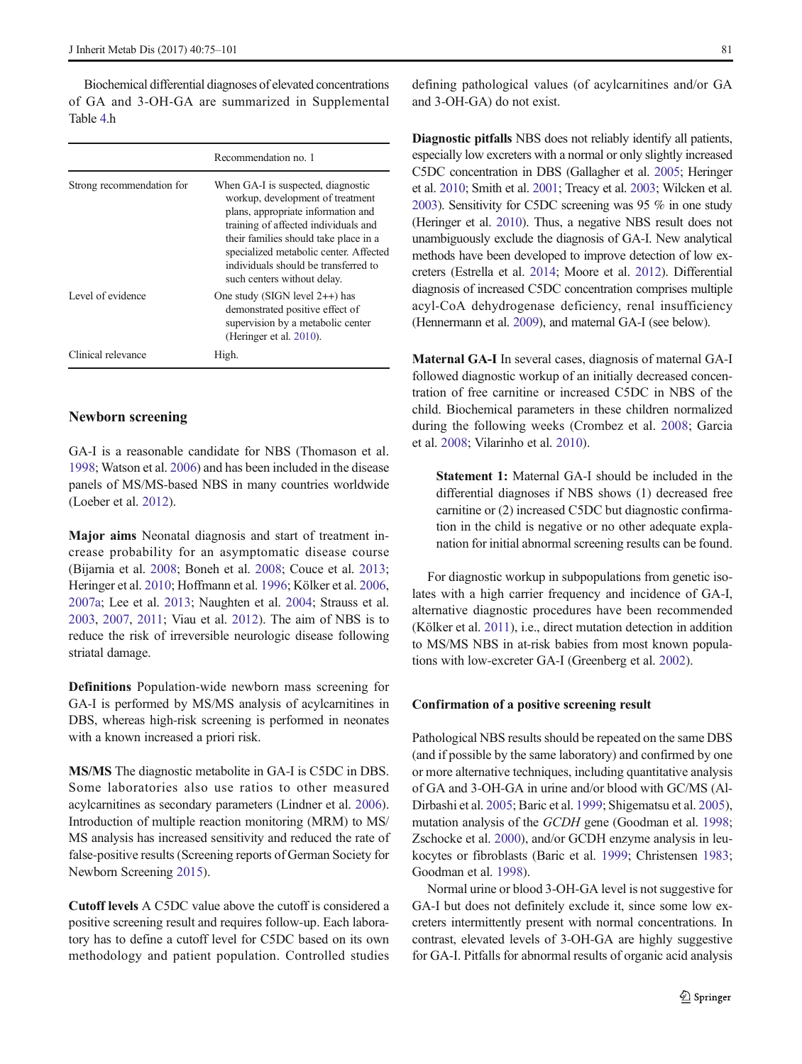Biochemical differential diagnoses of elevated concentrations of GA and 3-OH-GA are summarized in Supplemental Table 4.h

|                           | Recommendation no. 1                                                                                                                                                                                                                                                                                           |
|---------------------------|----------------------------------------------------------------------------------------------------------------------------------------------------------------------------------------------------------------------------------------------------------------------------------------------------------------|
| Strong recommendation for | When GA-I is suspected, diagnostic<br>workup, development of treatment<br>plans, appropriate information and<br>training of affected individuals and<br>their families should take place in a<br>specialized metabolic center. Affected<br>individuals should be transferred to<br>such centers without delay. |
| Level of evidence         | One study (SIGN level $2++$ ) has<br>demonstrated positive effect of<br>supervision by a metabolic center<br>(Heringer et al. 2010).                                                                                                                                                                           |
| Clinical relevance        | High.                                                                                                                                                                                                                                                                                                          |

# Newborn screening

GA-I is a reasonable candidate for NBS (Thomason et al. [1998;](#page-25-0) Watson et al. [2006\)](#page-26-0) and has been included in the disease panels of MS/MS-based NBS in many countries worldwide (Loeber et al. [2012](#page-24-0)).

Major aims Neonatal diagnosis and start of treatment increase probability for an asymptomatic disease course (Bijarnia et al. [2008](#page-22-0); Boneh et al. [2008](#page-22-0); Couce et al. [2013](#page-23-0); Heringer et al. [2010](#page-23-0); Hoffmann et al. [1996](#page-24-0); Kölker et al. [2006,](#page-24-0) [2007a;](#page-24-0) Lee et al. [2013;](#page-24-0) Naughten et al. [2004;](#page-25-0) Strauss et al. [2003,](#page-25-0) [2007](#page-25-0), [2011](#page-25-0); Viau et al. [2012\)](#page-26-0). The aim of NBS is to reduce the risk of irreversible neurologic disease following striatal damage.

Definitions Population-wide newborn mass screening for GA-I is performed by MS/MS analysis of acylcarnitines in DBS, whereas high-risk screening is performed in neonates with a known increased a priori risk.

MS/MS The diagnostic metabolite in GA-I is C5DC in DBS. Some laboratories also use ratios to other measured acylcarnitines as secondary parameters (Lindner et al. [2006\)](#page-24-0). Introduction of multiple reaction monitoring (MRM) to MS/ MS analysis has increased sensitivity and reduced the rate of false-positive results (Screening reports of German Society for Newborn Screening [2015\)](#page-23-0).

Cutoff levels A C5DC value above the cutoff is considered a positive screening result and requires follow-up. Each laboratory has to define a cutoff level for C5DC based on its own methodology and patient population. Controlled studies defining pathological values (of acylcarnitines and/or GA and 3-OH-GA) do not exist.

Diagnostic pitfalls NBS does not reliably identify all patients, especially low excreters with a normal or only slightly increased C5DC concentration in DBS (Gallagher et al. [2005](#page-23-0); Heringer et al. [2010;](#page-23-0) Smith et al. [2001;](#page-25-0) Treacy et al. [2003](#page-26-0); Wilcken et al. [2003](#page-26-0)). Sensitivity for C5DC screening was 95 % in one study (Heringer et al. [2010\)](#page-23-0). Thus, a negative NBS result does not unambiguously exclude the diagnosis of GA-I. New analytical methods have been developed to improve detection of low excreters (Estrella et al. [2014;](#page-23-0) Moore et al. [2012](#page-25-0)). Differential diagnosis of increased C5DC concentration comprises multiple acyl-CoA dehydrogenase deficiency, renal insufficiency (Hennermann et al. [2009](#page-23-0)), and maternal GA-I (see below).

Maternal GA-I In several cases, diagnosis of maternal GA-I followed diagnostic workup of an initially decreased concentration of free carnitine or increased C5DC in NBS of the child. Biochemical parameters in these children normalized during the following weeks (Crombez et al. [2008](#page-23-0); Garcia et al. [2008](#page-23-0); Vilarinho et al. [2010\)](#page-26-0).

Statement 1: Maternal GA-I should be included in the differential diagnoses if NBS shows (1) decreased free carnitine or (2) increased C5DC but diagnostic confirmation in the child is negative or no other adequate explanation for initial abnormal screening results can be found.

For diagnostic workup in subpopulations from genetic isolates with a high carrier frequency and incidence of GA-I, alternative diagnostic procedures have been recommended (Kölker et al. [2011](#page-24-0)), i.e., direct mutation detection in addition to MS/MS NBS in at-risk babies from most known populations with low-excreter GA-I (Greenberg et al. [2002](#page-23-0)).

### Confirmation of a positive screening result

Pathological NBS results should be repeated on the same DBS (and if possible by the same laboratory) and confirmed by one or more alternative techniques, including quantitative analysis of GA and 3-OH-GA in urine and/or blood with GC/MS (Al-Dirbashi et al. [2005;](#page-22-0) Baric et al. [1999;](#page-22-0) Shigematsu et al. [2005\)](#page-25-0), mutation analysis of the *GCDH* gene (Goodman et al. [1998;](#page-23-0) Zschocke et al. [2000\)](#page-26-0), and/or GCDH enzyme analysis in leukocytes or fibroblasts (Baric et al. [1999](#page-22-0); Christensen [1983;](#page-22-0) Goodman et al. [1998](#page-23-0)).

Normal urine or blood 3-OH-GA level is not suggestive for GA-I but does not definitely exclude it, since some low excreters intermittently present with normal concentrations. In contrast, elevated levels of 3-OH-GA are highly suggestive for GA-I. Pitfalls for abnormal results of organic acid analysis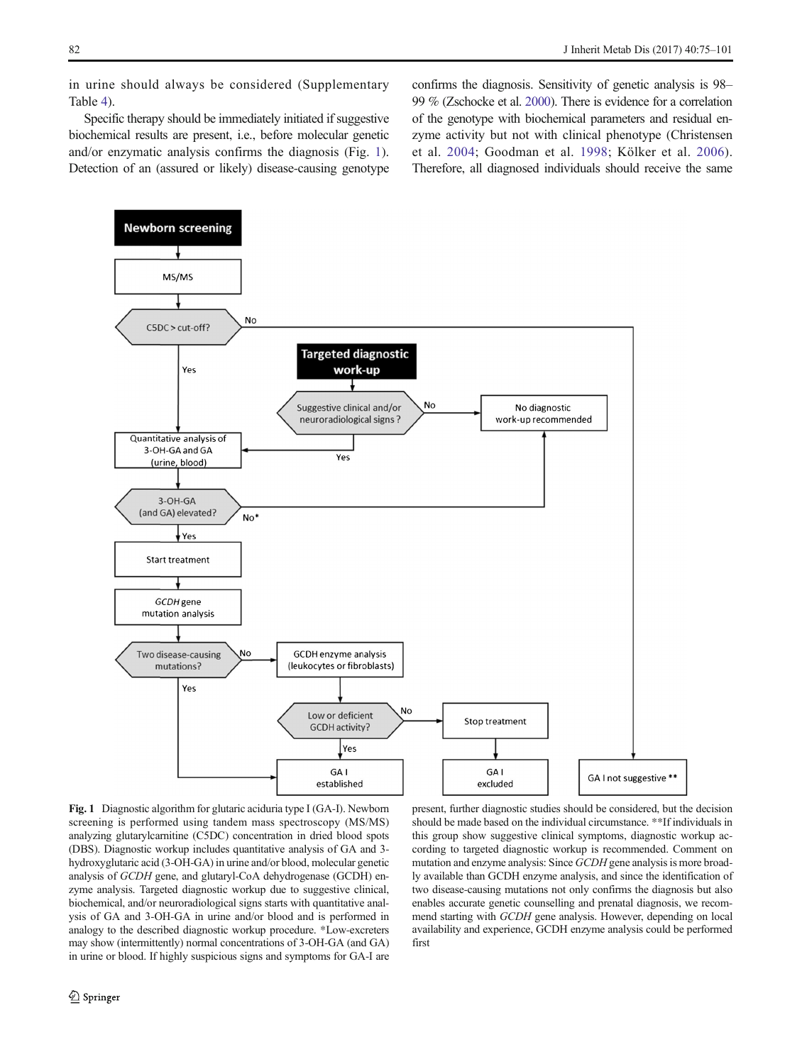<span id="page-7-0"></span>in urine should always be considered (Supplementary Table 4).

Specific therapy should be immediately initiated if suggestive biochemical results are present, i.e., before molecular genetic and/or enzymatic analysis confirms the diagnosis (Fig. 1). Detection of an (assured or likely) disease-causing genotype confirms the diagnosis. Sensitivity of genetic analysis is 98– 99 % (Zschocke et al. [2000\)](#page-26-0). There is evidence for a correlation of the genotype with biochemical parameters and residual enzyme activity but not with clinical phenotype (Christensen et al. [2004;](#page-23-0) Goodman et al. [1998;](#page-23-0) Kölker et al. [2006](#page-24-0)). Therefore, all diagnosed individuals should receive the same



Fig. 1 Diagnostic algorithm for glutaric aciduria type I (GA-I). Newborn screening is performed using tandem mass spectroscopy (MS/MS) analyzing glutarylcarnitine (C5DC) concentration in dried blood spots (DBS). Diagnostic workup includes quantitative analysis of GA and 3 hydroxyglutaric acid (3-OH-GA) in urine and/or blood, molecular genetic analysis of GCDH gene, and glutaryl-CoA dehydrogenase (GCDH) enzyme analysis. Targeted diagnostic workup due to suggestive clinical, biochemical, and/or neuroradiological signs starts with quantitative analysis of GA and 3-OH-GA in urine and/or blood and is performed in analogy to the described diagnostic workup procedure. \*Low-excreters may show (intermittently) normal concentrations of 3-OH-GA (and GA) in urine or blood. If highly suspicious signs and symptoms for GA-I are

present, further diagnostic studies should be considered, but the decision should be made based on the individual circumstance. \*\*If individuals in this group show suggestive clinical symptoms, diagnostic workup according to targeted diagnostic workup is recommended. Comment on mutation and enzyme analysis: Since GCDH gene analysis is more broadly available than GCDH enzyme analysis, and since the identification of two disease-causing mutations not only confirms the diagnosis but also enables accurate genetic counselling and prenatal diagnosis, we recommend starting with GCDH gene analysis. However, depending on local availability and experience, GCDH enzyme analysis could be performed first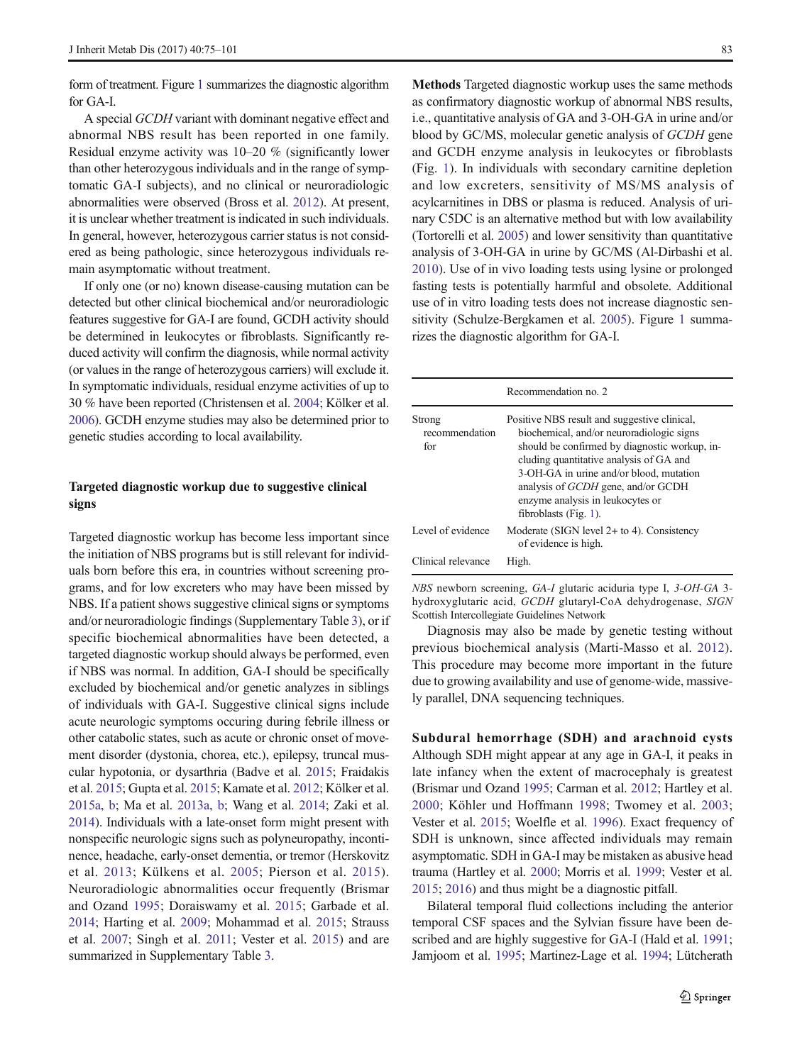form of treatment. Figure [1](#page-7-0) summarizes the diagnostic algorithm for GA-I.

A special GCDH variant with dominant negative effect and abnormal NBS result has been reported in one family. Residual enzyme activity was 10–20 % (significantly lower than other heterozygous individuals and in the range of symptomatic GA-I subjects), and no clinical or neuroradiologic abnormalities were observed (Bross et al. [2012](#page-22-0)). At present, it is unclear whether treatment is indicated in such individuals. In general, however, heterozygous carrier status is not considered as being pathologic, since heterozygous individuals remain asymptomatic without treatment.

If only one (or no) known disease-causing mutation can be detected but other clinical biochemical and/or neuroradiologic features suggestive for GA-I are found, GCDH activity should be determined in leukocytes or fibroblasts. Significantly reduced activity will confirm the diagnosis, while normal activity (or values in the range of heterozygous carriers) will exclude it. In symptomatic individuals, residual enzyme activities of up to 30 % have been reported (Christensen et al. [2004](#page-23-0); Kölker et al. [2006](#page-24-0)). GCDH enzyme studies may also be determined prior to genetic studies according to local availability.

# Targeted diagnostic workup due to suggestive clinical signs

Targeted diagnostic workup has become less important since the initiation of NBS programs but is still relevant for individuals born before this era, in countries without screening programs, and for low excreters who may have been missed by NBS. If a patient shows suggestive clinical signs or symptoms and/or neuroradiologic findings (Supplementary Table 3), or if specific biochemical abnormalities have been detected, a targeted diagnostic workup should always be performed, even if NBS was normal. In addition, GA-I should be specifically excluded by biochemical and/or genetic analyzes in siblings of individuals with GA-I. Suggestive clinical signs include acute neurologic symptoms occuring during febrile illness or other catabolic states, such as acute or chronic onset of movement disorder (dystonia, chorea, etc.), epilepsy, truncal muscular hypotonia, or dysarthria (Badve et al. [2015;](#page-22-0) Fraidakis et al. [2015;](#page-23-0) Gupta et al. [2015;](#page-23-0) Kamate et al. [2012](#page-24-0); Kölker et al. [2015a,](#page-24-0) [b;](#page-24-0) Ma et al. [2013a,](#page-24-0) [b;](#page-24-0) Wang et al. [2014;](#page-26-0) Zaki et al. [2014\)](#page-26-0). Individuals with a late-onset form might present with nonspecific neurologic signs such as polyneuropathy, incontinence, headache, early-onset dementia, or tremor (Herskovitz et al. [2013;](#page-24-0) Külkens et al. [2005;](#page-24-0) Pierson et al. [2015](#page-25-0)). Neuroradiologic abnormalities occur frequently (Brismar and Ozand [1995](#page-22-0); Doraiswamy et al. [2015;](#page-23-0) Garbade et al. [2014;](#page-23-0) Harting et al. [2009;](#page-23-0) Mohammad et al. [2015;](#page-25-0) Strauss et al. [2007](#page-25-0); Singh et al. [2011;](#page-25-0) Vester et al. [2015\)](#page-26-0) and are summarized in Supplementary Table 3.

Methods Targeted diagnostic workup uses the same methods as confirmatory diagnostic workup of abnormal NBS results, i.e., quantitative analysis of GA and 3-OH-GA in urine and/or blood by GC/MS, molecular genetic analysis of GCDH gene and GCDH enzyme analysis in leukocytes or fibroblasts (Fig. [1\)](#page-7-0). In individuals with secondary carnitine depletion and low excreters, sensitivity of MS/MS analysis of acylcarnitines in DBS or plasma is reduced. Analysis of urinary C5DC is an alternative method but with low availability (Tortorelli et al. [2005](#page-25-0)) and lower sensitivity than quantitative analysis of 3-OH-GA in urine by GC/MS (Al-Dirbashi et al. [2010\)](#page-22-0). Use of in vivo loading tests using lysine or prolonged fasting tests is potentially harmful and obsolete. Additional use of in vitro loading tests does not increase diagnostic sensitivity (Schulze-Bergkamen et al. [2005\)](#page-25-0). Figure [1](#page-7-0) summarizes the diagnostic algorithm for GA-I.

|                                 | Recommendation no. 2                                                                                                                                                                                                                                                                                                                          |
|---------------------------------|-----------------------------------------------------------------------------------------------------------------------------------------------------------------------------------------------------------------------------------------------------------------------------------------------------------------------------------------------|
| Strong<br>recommendation<br>for | Positive NBS result and suggestive clinical,<br>biochemical, and/or neuroradiologic signs<br>should be confirmed by diagnostic workup, in-<br>cluding quantitative analysis of GA and<br>3-OH-GA in urine and/or blood, mutation<br>analysis of <i>GCDH</i> gene, and/or GCDH<br>enzyme analysis in leukocytes or<br>fibroblasts $(Fig. 1)$ . |
| Level of evidence               | Moderate (SIGN level $2+$ to 4). Consistency<br>of evidence is high.                                                                                                                                                                                                                                                                          |
| Clinical relevance              | High.                                                                                                                                                                                                                                                                                                                                         |

NBS newborn screening, GA-I glutaric aciduria type I, 3-OH-GA 3 hydroxyglutaric acid, GCDH glutaryl-CoA dehydrogenase, SIGN Scottish Intercollegiate Guidelines Network

Diagnosis may also be made by genetic testing without previous biochemical analysis (Marti-Masso et al. [2012](#page-25-0)). This procedure may become more important in the future due to growing availability and use of genome-wide, massively parallel, DNA sequencing techniques.

Subdural hemorrhage (SDH) and arachnoid cysts Although SDH might appear at any age in GA-I, it peaks in late infancy when the extent of macrocephaly is greatest (Brismar und Ozand [1995](#page-22-0); Carman et al. [2012](#page-22-0); Hartley et al. [2000;](#page-23-0) Köhler und Hoffmann [1998](#page-24-0); Twomey et al. [2003;](#page-26-0) Vester et al. [2015;](#page-26-0) Woelfle et al. [1996](#page-26-0)). Exact frequency of SDH is unknown, since affected individuals may remain asymptomatic. SDH in GA-I may be mistaken as abusive head trauma (Hartley et al. [2000;](#page-23-0) Morris et al. [1999](#page-25-0); Vester et al. [2015;](#page-26-0) [2016\)](#page-26-0) and thus might be a diagnostic pitfall.

Bilateral temporal fluid collections including the anterior temporal CSF spaces and the Sylvian fissure have been de-scribed and are highly suggestive for GA-I (Hald et al. [1991;](#page-23-0) Jamjoom et al. [1995](#page-24-0); Martinez-Lage et al. [1994](#page-25-0); Lütcherath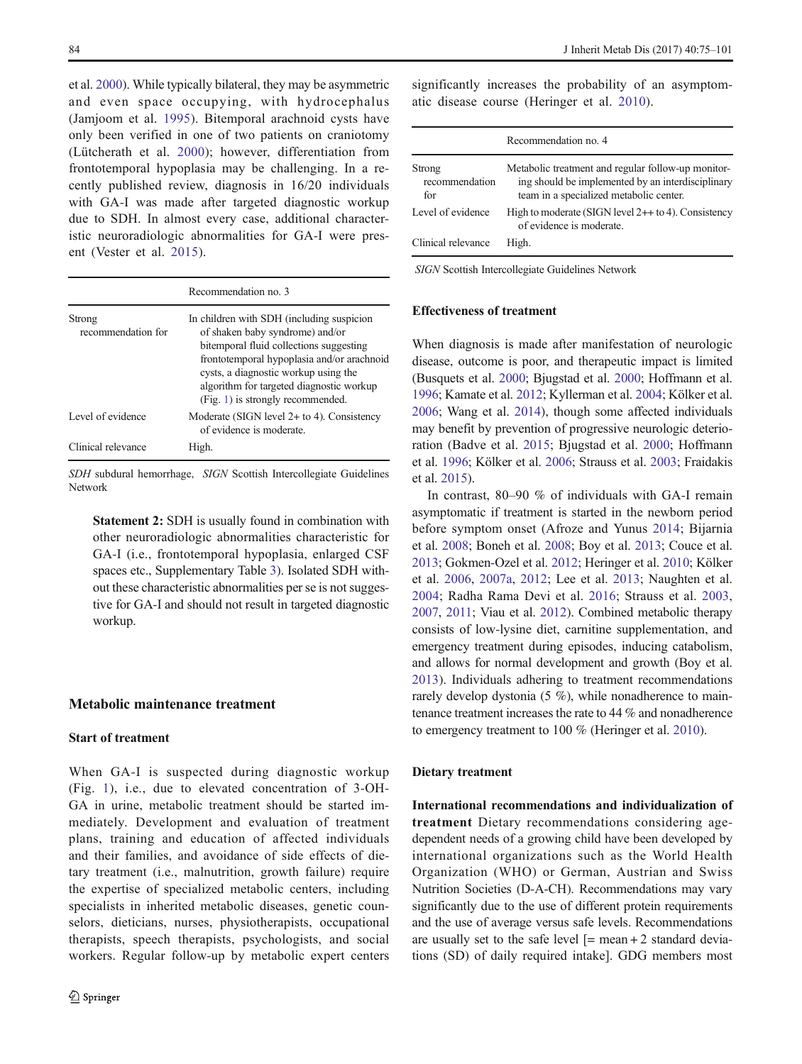et al. [2000\)](#page-24-0). While typically bilateral, they may be asymmetric and even space occupying, with hydrocephalus (Jamjoom et al. [1995\)](#page-24-0). Bitemporal arachnoid cysts have only been verified in one of two patients on craniotomy (Lütcherath et al. [2000](#page-24-0)); however, differentiation from frontotemporal hypoplasia may be challenging. In a recently published review, diagnosis in 16/20 individuals with GA-I was made after targeted diagnostic workup due to SDH. In almost every case, additional characteristic neuroradiologic abnormalities for GA-I were present (Vester et al. [2015](#page-26-0)).

|                              | Recommendation no. 3                                                                                                                                                                                                                                                                           |
|------------------------------|------------------------------------------------------------------------------------------------------------------------------------------------------------------------------------------------------------------------------------------------------------------------------------------------|
| Strong<br>recommendation for | In children with SDH (including suspicion<br>of shaken baby syndrome) and/or<br>bitemporal fluid collections suggesting<br>frontotemporal hypoplasia and/or arachnoid<br>cysts, a diagnostic workup using the<br>algorithm for targeted diagnostic workup<br>(Fig. 1) is strongly recommended. |
| Level of evidence            | Moderate (SIGN level $2+$ to 4). Consistency<br>of evidence is moderate.                                                                                                                                                                                                                       |
| Clinical relevance           | High.                                                                                                                                                                                                                                                                                          |

SDH subdural hemorrhage, SIGN Scottish Intercollegiate Guidelines Network

Statement 2: SDH is usually found in combination with other neuroradiologic abnormalities characteristic for GA-I (i.e., frontotemporal hypoplasia, enlarged CSF spaces etc., Supplementary Table 3). Isolated SDH without these characteristic abnormalities per se is not suggestive for GA-I and should not result in targeted diagnostic workup.

# Metabolic maintenance treatment

### Start of treatment

When GA-I is suspected during diagnostic workup (Fig. [1](#page-7-0)), i.e., due to elevated concentration of 3-OH-GA in urine, metabolic treatment should be started immediately. Development and evaluation of treatment plans, training and education of affected individuals and their families, and avoidance of side effects of dietary treatment (i.e., malnutrition, growth failure) require the expertise of specialized metabolic centers, including specialists in inherited metabolic diseases, genetic counselors, dieticians, nurses, physiotherapists, occupational therapists, speech therapists, psychologists, and social workers. Regular follow-up by metabolic expert centers significantly increases the probability of an asymptomatic disease course (Heringer et al. [2010\)](#page-23-0).

|                                 | Recommendation no. 4                                                                                                                               |
|---------------------------------|----------------------------------------------------------------------------------------------------------------------------------------------------|
| Strong<br>recommendation<br>for | Metabolic treatment and regular follow-up monitor-<br>ing should be implemented by an interdisciplinary<br>team in a specialized metabolic center. |
| Level of evidence               | High to moderate (SIGN level $2++$ to 4). Consistency<br>of evidence is moderate.                                                                  |
| Clinical relevance              | High.                                                                                                                                              |

SIGN Scottish Intercollegiate Guidelines Network

### Effectiveness of treatment

When diagnosis is made after manifestation of neurologic disease, outcome is poor, and therapeutic impact is limited (Busquets et al. [2000](#page-22-0); Bjugstad et al. [2000;](#page-22-0) Hoffmann et al. [1996;](#page-24-0) Kamate et al. [2012](#page-24-0); Kyllerman et al. [2004;](#page-24-0) Kölker et al. [2006;](#page-24-0) Wang et al. [2014\)](#page-26-0), though some affected individuals may benefit by prevention of progressive neurologic deterioration (Badve et al. [2015;](#page-22-0) Bjugstad et al. [2000;](#page-22-0) Hoffmann et al. [1996;](#page-24-0) Kölker et al. [2006;](#page-24-0) Strauss et al. [2003;](#page-25-0) Fraidakis et al. [2015](#page-23-0)).

In contrast, 80–90 % of individuals with GA-I remain asymptomatic if treatment is started in the newborn period before symptom onset (Afroze and Yunus [2014](#page-22-0); Bijarnia et al. [2008](#page-22-0); Boneh et al. [2008](#page-22-0); Boy et al. [2013](#page-22-0); Couce et al. [2013;](#page-23-0) Gokmen-Ozel et al. [2012](#page-23-0); Heringer et al. [2010](#page-23-0); Kölker et al. [2006,](#page-24-0) [2007a](#page-24-0), [2012;](#page-24-0) Lee et al. [2013](#page-24-0); Naughten et al. [2004](#page-25-0); Radha Rama Devi et al. [2016;](#page-25-0) Strauss et al. [2003,](#page-25-0) [2007,](#page-25-0) [2011;](#page-25-0) Viau et al. [2012\)](#page-26-0). Combined metabolic therapy consists of low-lysine diet, carnitine supplementation, and emergency treatment during episodes, inducing catabolism, and allows for normal development and growth (Boy et al. [2013](#page-22-0)). Individuals adhering to treatment recommendations rarely develop dystonia (5 %), while nonadherence to maintenance treatment increases the rate to 44 % and nonadherence to emergency treatment to 100 % (Heringer et al. [2010\)](#page-23-0).

#### Dietary treatment

International recommendations and individualization of treatment Dietary recommendations considering agedependent needs of a growing child have been developed by international organizations such as the World Health Organization (WHO) or German, Austrian and Swiss Nutrition Societies (D-A-CH). Recommendations may vary significantly due to the use of different protein requirements and the use of average versus safe levels. Recommendations are usually set to the safe level  $[=$  mean + 2 standard deviations (SD) of daily required intake]. GDG members most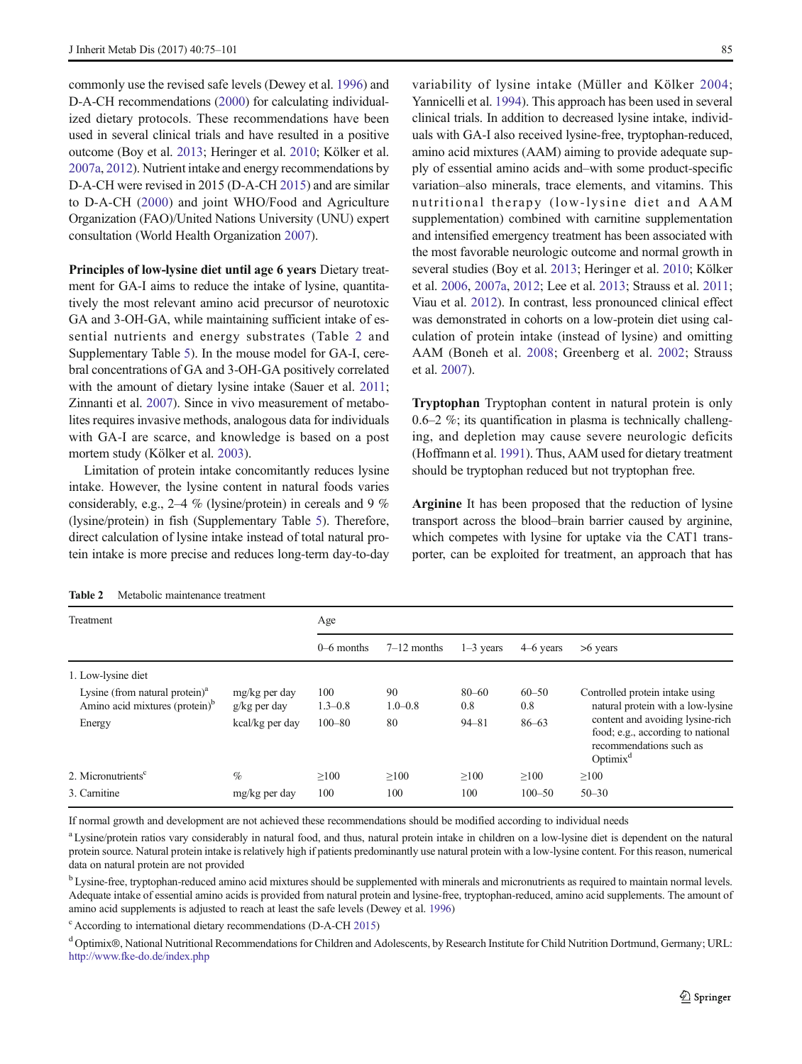<span id="page-10-0"></span>commonly use the revised safe levels (Dewey et al. [1996\)](#page-23-0) and D-A-CH recommendations [\(2000](#page-23-0)) for calculating individualized dietary protocols. These recommendations have been used in several clinical trials and have resulted in a positive outcome (Boy et al. [2013;](#page-22-0) Heringer et al. [2010;](#page-23-0) Kölker et al. [2007a,](#page-24-0) [2012\)](#page-24-0). Nutrient intake and energy recommendations by D-A-CH were revised in 2015 (D-A-CH [2015\)](#page-23-0) and are similar to D-A-CH ([2000](#page-23-0)) and joint WHO/Food and Agriculture Organization (FAO)/United Nations University (UNU) expert consultation (World Health Organization [2007\)](#page-26-0).

Principles of low-lysine diet until age 6 years Dietary treatment for GA-I aims to reduce the intake of lysine, quantitatively the most relevant amino acid precursor of neurotoxic GA and 3-OH-GA, while maintaining sufficient intake of essential nutrients and energy substrates (Table 2 and Supplementary Table 5). In the mouse model for GA-I, cerebral concentrations of GA and 3-OH-GA positively correlated with the amount of dietary lysine intake (Sauer et al. [2011](#page-25-0); Zinnanti et al. [2007](#page-26-0)). Since in vivo measurement of metabolites requires invasive methods, analogous data for individuals with GA-I are scarce, and knowledge is based on a post mortem study (Kölker et al. [2003](#page-24-0)).

Limitation of protein intake concomitantly reduces lysine intake. However, the lysine content in natural foods varies considerably, e.g., 2–4 % (lysine/protein) in cereals and 9 % (lysine/protein) in fish (Supplementary Table 5). Therefore, direct calculation of lysine intake instead of total natural protein intake is more precise and reduces long-term day-to-day

variability of lysine intake (Müller and Kölker [2004;](#page-25-0) Yannicelli et al. [1994](#page-26-0)). This approach has been used in several clinical trials. In addition to decreased lysine intake, individuals with GA-I also received lysine-free, tryptophan-reduced, amino acid mixtures (AAM) aiming to provide adequate supply of essential amino acids and–with some product-specific variation–also minerals, trace elements, and vitamins. This nutritional therapy (low-lysine diet and AAM supplementation) combined with carnitine supplementation and intensified emergency treatment has been associated with the most favorable neurologic outcome and normal growth in several studies (Boy et al. [2013;](#page-22-0) Heringer et al. [2010](#page-23-0); Kölker et al. [2006](#page-24-0), [2007a](#page-24-0), [2012](#page-24-0); Lee et al. [2013;](#page-24-0) Strauss et al. [2011;](#page-25-0) Viau et al. [2012](#page-26-0)). In contrast, less pronounced clinical effect was demonstrated in cohorts on a low-protein diet using calculation of protein intake (instead of lysine) and omitting AAM (Boneh et al. [2008;](#page-22-0) Greenberg et al. [2002;](#page-23-0) Strauss et al. [2007](#page-25-0)).

Tryptophan Tryptophan content in natural protein is only 0.6–2 %; its quantification in plasma is technically challenging, and depletion may cause severe neurologic deficits (Hoffmann et al. [1991\)](#page-24-0). Thus, AAM used for dietary treatment should be tryptophan reduced but not tryptophan free.

Arginine It has been proposed that the reduction of lysine transport across the blood–brain barrier caused by arginine, which competes with lysine for uptake via the CAT1 transporter, can be exploited for treatment, an approach that has

Table 2 Metabolic maintenance treatment

| Treatment                                                                       |                                 | Age                |                   |                  |                  |                                                                                                                                                                                         |
|---------------------------------------------------------------------------------|---------------------------------|--------------------|-------------------|------------------|------------------|-----------------------------------------------------------------------------------------------------------------------------------------------------------------------------------------|
|                                                                                 |                                 | $0-6$ months       | $7-12$ months     | $1-3$ years      | $4-6$ years      | $>6$ years                                                                                                                                                                              |
| 1. Low-lysine diet                                                              |                                 |                    |                   |                  |                  |                                                                                                                                                                                         |
| Lysine (from natural protein) $a$<br>Amino acid mixtures (protein) <sup>b</sup> | mg/kg per day<br>$g/kg$ per day | 100<br>$1.3 - 0.8$ | 90<br>$1.0 - 0.8$ | $80 - 60$<br>0.8 | $60 - 50$<br>0.8 | Controlled protein intake using<br>natural protein with a low-lysine<br>content and avoiding lysine-rich<br>food; e.g., according to national<br>recommendations such as<br>$Optimix^d$ |
| Energy                                                                          | kcal/kg per day                 | $100 - 80$         | 80                | $94 - 81$        | $86 - 63$        |                                                                                                                                                                                         |
| 2. Micronutrients <sup>c</sup>                                                  | $\%$                            | >100               | >100              | >100             | >100             | $\geq 100$                                                                                                                                                                              |
| 3. Carnitine                                                                    | mg/kg per day                   | 100                | 100               | 100              | $100 - 50$       | $50 - 30$                                                                                                                                                                               |

If normal growth and development are not achieved these recommendations should be modified according to individual needs

<sup>a</sup> Lysine/protein ratios vary considerably in natural food, and thus, natural protein intake in children on a low-lysine diet is dependent on the natural protein source. Natural protein intake is relatively high if patients predominantly use natural protein with a low-lysine content. For this reason, numerical data on natural protein are not provided

<sup>b</sup> Lysine-free, tryptophan-reduced amino acid mixtures should be supplemented with minerals and micronutrients as required to maintain normal levels. Adequate intake of essential amino acids is provided from natural protein and lysine-free, tryptophan-reduced, amino acid supplements. The amount of amino acid supplements is adjusted to reach at least the safe levels (Dewey et al. [1996](#page-23-0))

<sup>c</sup> According to international dietary recommendations (D-A-CH [2015](#page-23-0))

<sup>d</sup> Optimix®, National Nutritional Recommendations for Children and Adolescents, by Research Institute for Child Nutrition Dortmund, Germany; URL: <http://www.fke-do.de/index.php>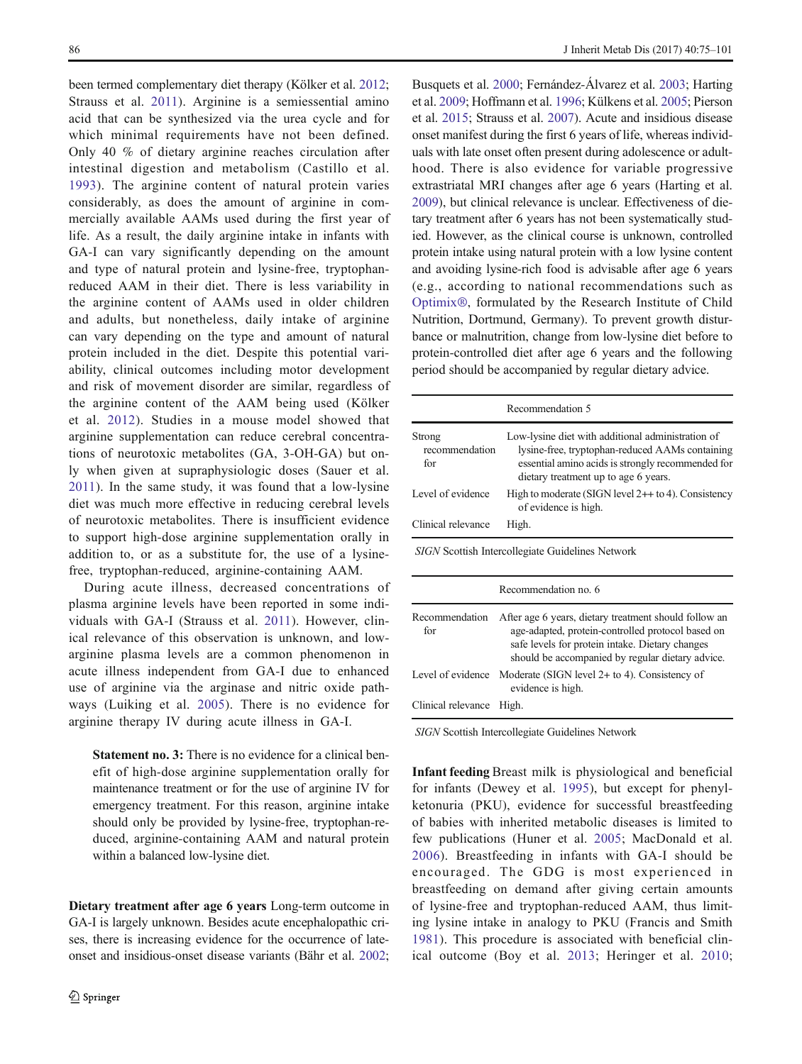been termed complementary diet therapy (Kölker et al. [2012](#page-24-0); Strauss et al. [2011](#page-25-0)). Arginine is a semiessential amino acid that can be synthesized via the urea cycle and for which minimal requirements have not been defined. Only 40 % of dietary arginine reaches circulation after intestinal digestion and metabolism (Castillo et al. [1993\)](#page-22-0). The arginine content of natural protein varies considerably, as does the amount of arginine in commercially available AAMs used during the first year of life. As a result, the daily arginine intake in infants with GA-I can vary significantly depending on the amount and type of natural protein and lysine-free, tryptophanreduced AAM in their diet. There is less variability in the arginine content of AAMs used in older children and adults, but nonetheless, daily intake of arginine can vary depending on the type and amount of natural protein included in the diet. Despite this potential variability, clinical outcomes including motor development and risk of movement disorder are similar, regardless of the arginine content of the AAM being used (Kölker et al. [2012\)](#page-24-0). Studies in a mouse model showed that arginine supplementation can reduce cerebral concentrations of neurotoxic metabolites (GA, 3-OH-GA) but only when given at supraphysiologic doses (Sauer et al. [2011](#page-25-0)). In the same study, it was found that a low-lysine diet was much more effective in reducing cerebral levels of neurotoxic metabolites. There is insufficient evidence to support high-dose arginine supplementation orally in addition to, or as a substitute for, the use of a lysinefree, tryptophan-reduced, arginine-containing AAM.

During acute illness, decreased concentrations of plasma arginine levels have been reported in some individuals with GA-I (Strauss et al. [2011](#page-25-0)). However, clinical relevance of this observation is unknown, and lowarginine plasma levels are a common phenomenon in acute illness independent from GA-I due to enhanced use of arginine via the arginase and nitric oxide pathways (Luiking et al. [2005](#page-24-0)). There is no evidence for arginine therapy IV during acute illness in GA-I.

Statement no. 3: There is no evidence for a clinical benefit of high-dose arginine supplementation orally for maintenance treatment or for the use of arginine IV for emergency treatment. For this reason, arginine intake should only be provided by lysine-free, tryptophan-reduced, arginine-containing AAM and natural protein within a balanced low-lysine diet.

Dietary treatment after age 6 years Long-term outcome in GA-I is largely unknown. Besides acute encephalopathic crises, there is increasing evidence for the occurrence of lateonset and insidious-onset disease variants (Bähr et al. [2002](#page-22-0); Busquets et al. [2000;](#page-22-0) Fernández-Álvarez et al. [2003](#page-23-0); Harting et al. [2009;](#page-23-0) Hoffmann et al. [1996;](#page-24-0) Külkens et al. [2005;](#page-24-0) Pierson et al. [2015](#page-25-0); Strauss et al. [2007](#page-25-0)). Acute and insidious disease onset manifest during the first 6 years of life, whereas individuals with late onset often present during adolescence or adulthood. There is also evidence for variable progressive extrastriatal MRI changes after age 6 years (Harting et al. [2009\)](#page-23-0), but clinical relevance is unclear. Effectiveness of dietary treatment after 6 years has not been systematically studied. However, as the clinical course is unknown, controlled protein intake using natural protein with a low lysine content and avoiding lysine-rich food is advisable after age 6 years (e.g., according to national recommendations such as [Optimix®](#page-25-0), formulated by the Research Institute of Child Nutrition, Dortmund, Germany). To prevent growth disturbance or malnutrition, change from low-lysine diet before to protein-controlled diet after age 6 years and the following period should be accompanied by regular dietary advice.

|                                 | Recommendation 5                                                                                                                                                                                                  |  |  |
|---------------------------------|-------------------------------------------------------------------------------------------------------------------------------------------------------------------------------------------------------------------|--|--|
| Strong<br>recommendation<br>for | Low-lysine diet with additional administration of<br>lysine-free, tryptophan-reduced AAMs containing<br>essential amino acids is strongly recommended for<br>dietary treatment up to age 6 years.                 |  |  |
| Level of evidence               | High to moderate (SIGN level $2++$ to 4). Consistency<br>of evidence is high.                                                                                                                                     |  |  |
| Clinical relevance              | High.                                                                                                                                                                                                             |  |  |
|                                 | SIGN Scottish Intercollegiate Guidelines Network<br>Recommendation no. 6                                                                                                                                          |  |  |
| Recommendation<br>for           | After age 6 years, dietary treatment should follow an<br>age-adapted, protein-controlled protocol based on<br>safe levels for protein intake. Dietary changes<br>should be accompanied by regular dietary advice. |  |  |
| Level of evidence               | Moderate (SIGN level $2+$ to 4). Consistency of<br>evidence is high.                                                                                                                                              |  |  |
| Clinical relevance              | High.                                                                                                                                                                                                             |  |  |

SIGN Scottish Intercollegiate Guidelines Network

Infant feeding Breast milk is physiological and beneficial for infants (Dewey et al. [1995\)](#page-23-0), but except for phenylketonuria (PKU), evidence for successful breastfeeding of babies with inherited metabolic diseases is limited to few publications (Huner et al. [2005;](#page-24-0) MacDonald et al. [2006](#page-24-0)). Breastfeeding in infants with GA-I should be encouraged. The GDG is most experienced in breastfeeding on demand after giving certain amounts of lysine-free and tryptophan-reduced AAM, thus limiting lysine intake in analogy to PKU (Francis and Smith [1981](#page-23-0)). This procedure is associated with beneficial clinical outcome (Boy et al. [2013](#page-22-0); Heringer et al. [2010;](#page-23-0)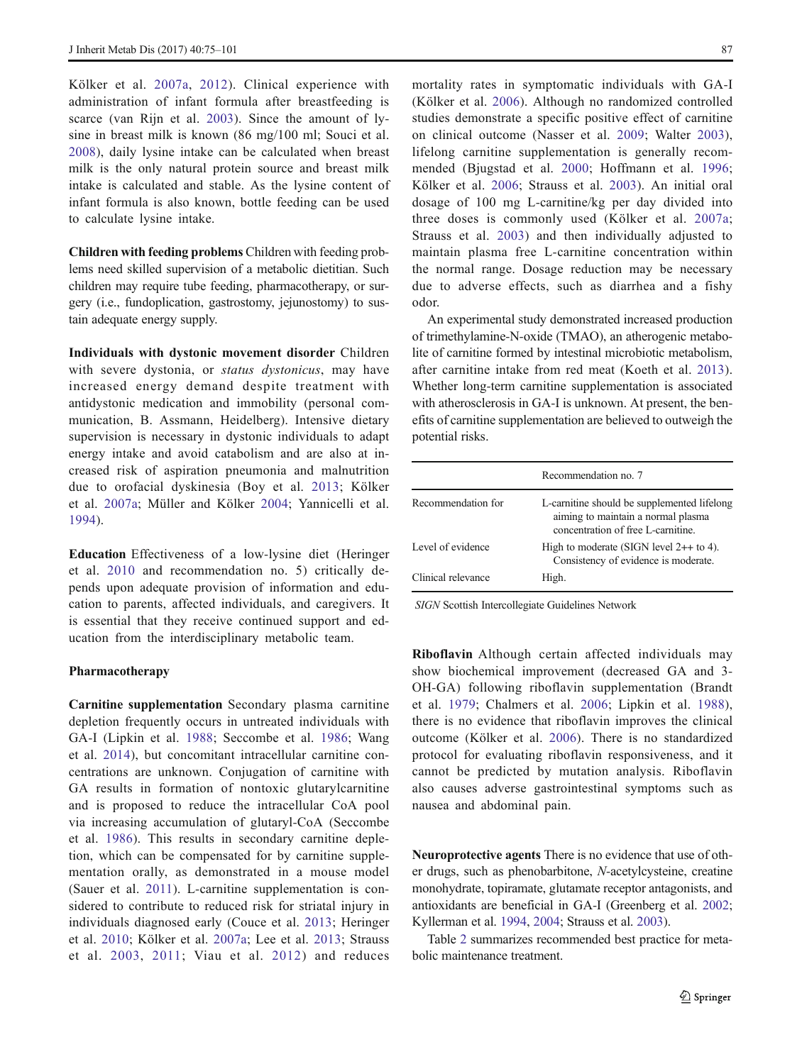Kölker et al. [2007a](#page-24-0), [2012](#page-24-0)). Clinical experience with administration of infant formula after breastfeeding is scarce (van Rijn et al. [2003\)](#page-26-0). Since the amount of lysine in breast milk is known (86 mg/100 ml; Souci et al. [2008](#page-25-0)), daily lysine intake can be calculated when breast milk is the only natural protein source and breast milk intake is calculated and stable. As the lysine content of infant formula is also known, bottle feeding can be used to calculate lysine intake.

Children with feeding problems Children with feeding problems need skilled supervision of a metabolic dietitian. Such children may require tube feeding, pharmacotherapy, or surgery (i.e., fundoplication, gastrostomy, jejunostomy) to sustain adequate energy supply.

Individuals with dystonic movement disorder Children with severe dystonia, or status dystonicus, may have increased energy demand despite treatment with antidystonic medication and immobility (personal communication, B. Assmann, Heidelberg). Intensive dietary supervision is necessary in dystonic individuals to adapt energy intake and avoid catabolism and are also at increased risk of aspiration pneumonia and malnutrition due to orofacial dyskinesia (Boy et al. [2013](#page-22-0); Kölker et al. [2007a](#page-24-0); Müller and Kölker [2004](#page-25-0); Yannicelli et al. [1994](#page-26-0)).

Education Effectiveness of a low-lysine diet (Heringer et al. [2010](#page-23-0) and recommendation no. 5) critically depends upon adequate provision of information and education to parents, affected individuals, and caregivers. It is essential that they receive continued support and education from the interdisciplinary metabolic team.

#### Pharmacotherapy

Carnitine supplementation Secondary plasma carnitine depletion frequently occurs in untreated individuals with GA-I (Lipkin et al. [1988](#page-24-0); Seccombe et al. [1986](#page-25-0); Wang et al. [2014](#page-26-0)), but concomitant intracellular carnitine concentrations are unknown. Conjugation of carnitine with GA results in formation of nontoxic glutarylcarnitine and is proposed to reduce the intracellular CoA pool via increasing accumulation of glutaryl-CoA (Seccombe et al. [1986\)](#page-25-0). This results in secondary carnitine depletion, which can be compensated for by carnitine supplementation orally, as demonstrated in a mouse model (Sauer et al. [2011](#page-25-0)). L-carnitine supplementation is considered to contribute to reduced risk for striatal injury in individuals diagnosed early (Couce et al. [2013;](#page-23-0) Heringer et al. [2010;](#page-23-0) Kölker et al. [2007a](#page-24-0); Lee et al. [2013;](#page-24-0) Strauss et al. [2003](#page-25-0), [2011](#page-25-0); Viau et al. [2012](#page-26-0)) and reduces mortality rates in symptomatic individuals with GA-I (Kölker et al. [2006](#page-24-0)). Although no randomized controlled studies demonstrate a specific positive effect of carnitine on clinical outcome (Nasser et al. [2009;](#page-25-0) Walter [2003](#page-26-0)), lifelong carnitine supplementation is generally recommended (Bjugstad et al. [2000](#page-22-0); Hoffmann et al. [1996;](#page-24-0) Kölker et al. [2006](#page-24-0); Strauss et al. [2003](#page-25-0)). An initial oral dosage of 100 mg L-carnitine/kg per day divided into three doses is commonly used (Kölker et al. [2007a;](#page-24-0) Strauss et al. [2003\)](#page-25-0) and then individually adjusted to maintain plasma free L-carnitine concentration within the normal range. Dosage reduction may be necessary due to adverse effects, such as diarrhea and a fishy odor.

An experimental study demonstrated increased production of trimethylamine-N-oxide (TMAO), an atherogenic metabolite of carnitine formed by intestinal microbiotic metabolism, after carnitine intake from red meat (Koeth et al. [2013](#page-24-0)). Whether long-term carnitine supplementation is associated with atherosclerosis in GA-I is unknown. At present, the benefits of carnitine supplementation are believed to outweigh the potential risks.

|                    | Recommendation no. 7                                                                                                    |
|--------------------|-------------------------------------------------------------------------------------------------------------------------|
| Recommendation for | L-carnitine should be supplemented lifelong<br>aiming to maintain a normal plasma<br>concentration of free L-carnitine. |
| Level of evidence  | High to moderate (SIGN level $2++$ to 4).<br>Consistency of evidence is moderate.                                       |
| Clinical relevance | High.                                                                                                                   |

SIGN Scottish Intercollegiate Guidelines Network

Riboflavin Although certain affected individuals may show biochemical improvement (decreased GA and 3- OH-GA) following riboflavin supplementation (Brandt et al. [1979](#page-22-0); Chalmers et al. [2006;](#page-22-0) Lipkin et al. [1988](#page-24-0)), there is no evidence that riboflavin improves the clinical outcome (Kölker et al. [2006](#page-24-0)). There is no standardized protocol for evaluating riboflavin responsiveness, and it cannot be predicted by mutation analysis. Riboflavin also causes adverse gastrointestinal symptoms such as nausea and abdominal pain.

Neuroprotective agents There is no evidence that use of other drugs, such as phenobarbitone, N-acetylcysteine, creatine monohydrate, topiramate, glutamate receptor antagonists, and antioxidants are beneficial in GA-I (Greenberg et al. [2002;](#page-23-0) Kyllerman et al. [1994](#page-24-0), [2004;](#page-24-0) Strauss et al. [2003\)](#page-25-0).

Table [2](#page-10-0) summarizes recommended best practice for metabolic maintenance treatment.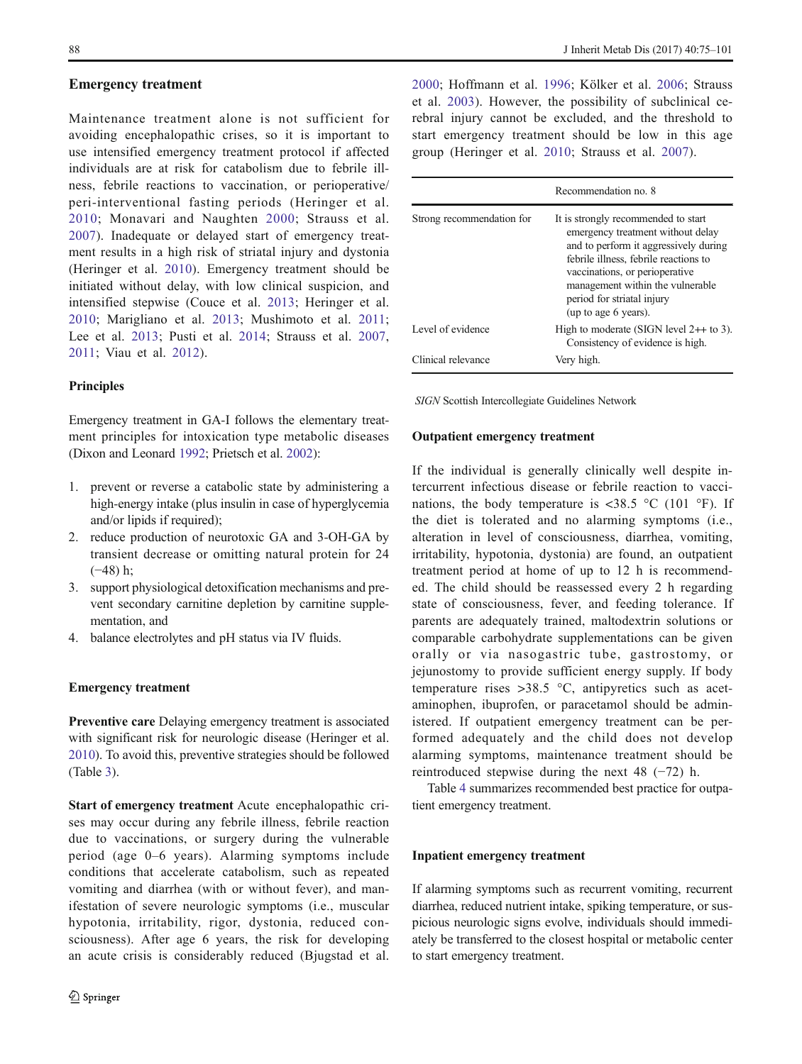### Emergency treatment

Maintenance treatment alone is not sufficient for avoiding encephalopathic crises, so it is important to use intensified emergency treatment protocol if affected individuals are at risk for catabolism due to febrile illness, febrile reactions to vaccination, or perioperative/ peri-interventional fasting periods (Heringer et al. [2010;](#page-23-0) Monavari and Naughten [2000](#page-25-0); Strauss et al. [2007](#page-25-0)). Inadequate or delayed start of emergency treatment results in a high risk of striatal injury and dystonia (Heringer et al. [2010\)](#page-23-0). Emergency treatment should be initiated without delay, with low clinical suspicion, and intensified stepwise (Couce et al. [2013](#page-23-0); Heringer et al. [2010](#page-23-0); Marigliano et al. [2013](#page-24-0); Mushimoto et al. [2011](#page-25-0); Lee et al. [2013](#page-24-0); Pusti et al. [2014;](#page-25-0) Strauss et al. [2007,](#page-25-0) [2011](#page-25-0); Viau et al. [2012](#page-26-0)).

# Principles

Emergency treatment in GA-I follows the elementary treatment principles for intoxication type metabolic diseases (Dixon and Leonard [1992](#page-23-0); Prietsch et al. [2002](#page-25-0)):

- 1. prevent or reverse a catabolic state by administering a high-energy intake (plus insulin in case of hyperglycemia and/or lipids if required);
- 2. reduce production of neurotoxic GA and 3-OH-GA by transient decrease or omitting natural protein for 24 (−48) h;
- 3. support physiological detoxification mechanisms and prevent secondary carnitine depletion by carnitine supplementation, and
- 4. balance electrolytes and pH status via IV fluids.

# Emergency treatment

Preventive care Delaying emergency treatment is associated with significant risk for neurologic disease (Heringer et al. [2010\)](#page-23-0). To avoid this, preventive strategies should be followed (Table [3](#page-14-0)).

Start of emergency treatment Acute encephalopathic crises may occur during any febrile illness, febrile reaction due to vaccinations, or surgery during the vulnerable period (age 0–6 years). Alarming symptoms include conditions that accelerate catabolism, such as repeated vomiting and diarrhea (with or without fever), and manifestation of severe neurologic symptoms (i.e., muscular hypotonia, irritability, rigor, dystonia, reduced consciousness). After age 6 years, the risk for developing an acute crisis is considerably reduced (Bjugstad et al. [2000](#page-22-0); Hoffmann et al. [1996](#page-24-0); Kölker et al. [2006](#page-24-0); Strauss et al. [2003\)](#page-25-0). However, the possibility of subclinical cerebral injury cannot be excluded, and the threshold to start emergency treatment should be low in this age group (Heringer et al. [2010](#page-23-0); Strauss et al. [2007\)](#page-25-0).

|                           | Recommendation no. 8                                                                                                                                                                                                                                                                   |
|---------------------------|----------------------------------------------------------------------------------------------------------------------------------------------------------------------------------------------------------------------------------------------------------------------------------------|
| Strong recommendation for | It is strongly recommended to start<br>emergency treatment without delay<br>and to perform it aggressively during<br>febrile illness, febrile reactions to<br>vaccinations, or perioperative<br>management within the vulnerable<br>period for striatal injury<br>(up to age 6 years). |
| Level of evidence         | High to moderate (SIGN level $2++$ to 3).<br>Consistency of evidence is high.                                                                                                                                                                                                          |
| Clinical relevance        | Very high.                                                                                                                                                                                                                                                                             |

SIGN Scottish Intercollegiate Guidelines Network

#### Outpatient emergency treatment

If the individual is generally clinically well despite intercurrent infectious disease or febrile reaction to vaccinations, the body temperature is <38.5  $\degree$ C (101  $\degree$ F). If the diet is tolerated and no alarming symptoms (i.e., alteration in level of consciousness, diarrhea, vomiting, irritability, hypotonia, dystonia) are found, an outpatient treatment period at home of up to 12 h is recommended. The child should be reassessed every 2 h regarding state of consciousness, fever, and feeding tolerance. If parents are adequately trained, maltodextrin solutions or comparable carbohydrate supplementations can be given orally or via nasogastric tube, gastrostomy, or jejunostomy to provide sufficient energy supply. If body temperature rises >38.5 °C, antipyretics such as acetaminophen, ibuprofen, or paracetamol should be administered. If outpatient emergency treatment can be performed adequately and the child does not develop alarming symptoms, maintenance treatment should be reintroduced stepwise during the next 48 (−72) h.

Table [4](#page-15-0) summarizes recommended best practice for outpatient emergency treatment.

#### Inpatient emergency treatment

If alarming symptoms such as recurrent vomiting, recurrent diarrhea, reduced nutrient intake, spiking temperature, or suspicious neurologic signs evolve, individuals should immediately be transferred to the closest hospital or metabolic center to start emergency treatment.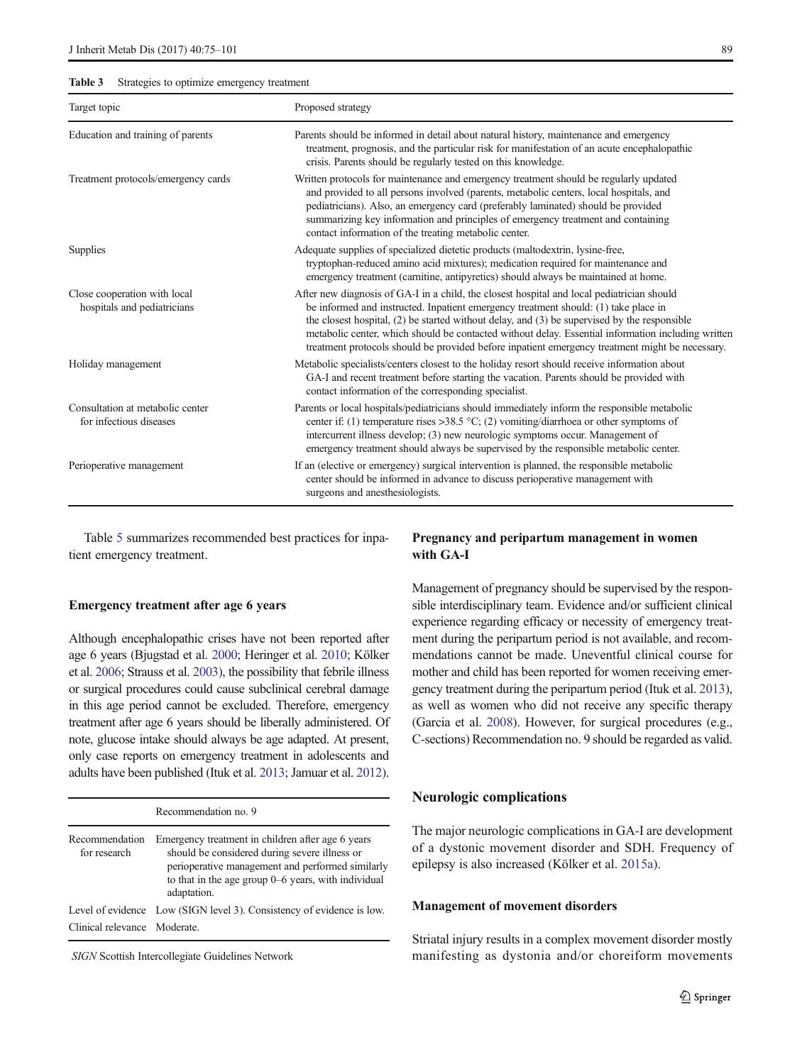<span id="page-14-0"></span>Table 3 Strategies to optimize emergency treatment

| Target topic                                                | Proposed strategy                                                                                                                                                                                                                                                                                                                                                                                                                                                                          |  |  |
|-------------------------------------------------------------|--------------------------------------------------------------------------------------------------------------------------------------------------------------------------------------------------------------------------------------------------------------------------------------------------------------------------------------------------------------------------------------------------------------------------------------------------------------------------------------------|--|--|
| Education and training of parents                           | Parents should be informed in detail about natural history, maintenance and emergency<br>treatment, prognosis, and the particular risk for manifestation of an acute encephalopathic<br>crisis. Parents should be regularly tested on this knowledge.                                                                                                                                                                                                                                      |  |  |
| Treatment protocols/emergency cards                         | Written protocols for maintenance and emergency treatment should be regularly updated<br>and provided to all persons involved (parents, metabolic centers, local hospitals, and<br>pediatricians). Also, an emergency card (preferably laminated) should be provided<br>summarizing key information and principles of emergency treatment and containing<br>contact information of the treating metabolic center.                                                                          |  |  |
| Supplies                                                    | Adequate supplies of specialized dietetic products (maltodextrin, lysine-free,<br>tryptophan-reduced amino acid mixtures); medication required for maintenance and<br>emergency treatment (carnitine, antipyretics) should always be maintained at home.                                                                                                                                                                                                                                   |  |  |
| Close cooperation with local<br>hospitals and pediatricians | After new diagnosis of GA-I in a child, the closest hospital and local pediatrician should<br>be informed and instructed. Inpatient emergency treatment should: (1) take place in<br>the closest hospital, (2) be started without delay, and (3) be supervised by the responsible<br>metabolic center, which should be contacted without delay. Essential information including written<br>treatment protocols should be provided before inpatient emergency treatment might be necessary. |  |  |
| Holiday management                                          | Metabolic specialists/centers closest to the holiday resort should receive information about<br>GA-I and recent treatment before starting the vacation. Parents should be provided with<br>contact information of the corresponding specialist.                                                                                                                                                                                                                                            |  |  |
| Consultation at metabolic center<br>for infectious diseases | Parents or local hospitals/pediatricians should immediately inform the responsible metabolic<br>center if: (1) temperature rises >38.5 °C; (2) vomiting/diarrhoea or other symptoms of<br>intercurrent illness develop; (3) new neurologic symptoms occur. Management of<br>emergency treatment should always be supervised by the responsible metabolic center.                                                                                                                           |  |  |
| Perioperative management                                    | If an (elective or emergency) surgical intervention is planned, the responsible metabolic<br>center should be informed in advance to discuss perioperative management with<br>surgeons and anesthesiologists.                                                                                                                                                                                                                                                                              |  |  |

Table [5](#page-15-0) summarizes recommended best practices for inpatient emergency treatment.

#### Emergency treatment after age 6 years

Although encephalopathic crises have not been reported after age 6 years (Bjugstad et al. [2000](#page-22-0); Heringer et al. [2010;](#page-23-0) Kölker et al. [2006;](#page-24-0) Strauss et al. [2003](#page-25-0)), the possibility that febrile illness or surgical procedures could cause subclinical cerebral damage in this age period cannot be excluded. Therefore, emergency treatment after age 6 years should be liberally administered. Of note, glucose intake should always be age adapted. At present, only case reports on emergency treatment in adolescents and adults have been published (Ituk et al. [2013;](#page-24-0) Jamuar et al. [2012\)](#page-24-0).

|                                | Recommendation no. 9                                                                                                                                                                                                           |
|--------------------------------|--------------------------------------------------------------------------------------------------------------------------------------------------------------------------------------------------------------------------------|
| Recommendation<br>for research | Emergency treatment in children after age 6 years<br>should be considered during severe illness or<br>perioperative management and performed similarly<br>to that in the age group $0-6$ years, with individual<br>adaptation. |
|                                | Level of evidence Low (SIGN level 3). Consistency of evidence is low.                                                                                                                                                          |
| Clinical relevance Moderate.   |                                                                                                                                                                                                                                |

SIGN Scottish Intercollegiate Guidelines Network

# Pregnancy and peripartum management in women with GA-I

Management of pregnancy should be supervised by the responsible interdisciplinary team. Evidence and/or sufficient clinical experience regarding efficacy or necessity of emergency treatment during the peripartum period is not available, and recommendations cannot be made. Uneventful clinical course for mother and child has been reported for women receiving emergency treatment during the peripartum period (Ituk et al. [2013\)](#page-24-0), as well as women who did not receive any specific therapy (Garcia et al. [2008\)](#page-23-0). However, for surgical procedures (e.g., C-sections) Recommendation no. 9 should be regarded as valid.

### Neurologic complications

The major neurologic complications in GA-I are development of a dystonic movement disorder and SDH. Frequency of epilepsy is also increased (Kölker et al. [2015a](#page-24-0)).

### Management of movement disorders

Striatal injury results in a complex movement disorder mostly manifesting as dystonia and/or choreiform movements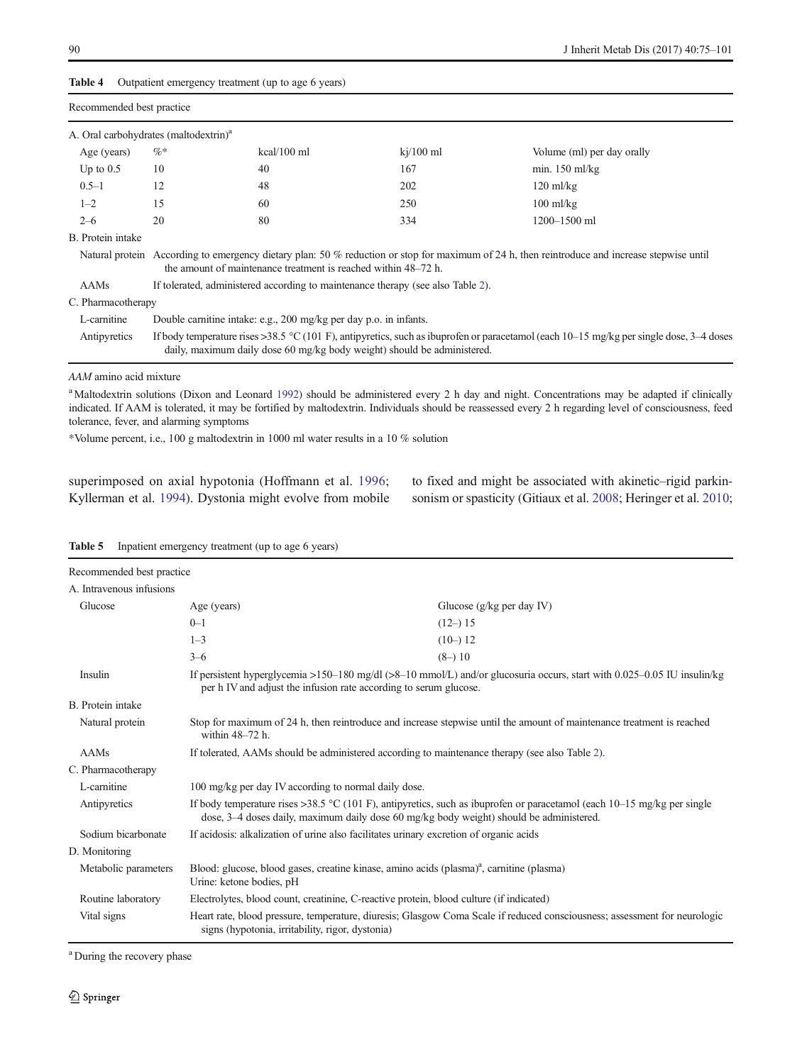|                                                   |                                                                                 | <b>Rapre <math>\bullet</math></b> Outpation chiorgency treatment (up to age o years) |                                                                         |                                                                                                                                               |
|---------------------------------------------------|---------------------------------------------------------------------------------|--------------------------------------------------------------------------------------|-------------------------------------------------------------------------|-----------------------------------------------------------------------------------------------------------------------------------------------|
| Recommended best practice                         |                                                                                 |                                                                                      |                                                                         |                                                                                                                                               |
| A. Oral carbohydrates (maltodextrin) <sup>a</sup> |                                                                                 |                                                                                      |                                                                         |                                                                                                                                               |
| Age (years)                                       | $\%*$                                                                           | kcal/100 ml                                                                          | $ki/100$ ml                                                             | Volume (ml) per day orally                                                                                                                    |
| Up to $0.5$                                       | 10                                                                              | 40                                                                                   | 167                                                                     | min. $150$ ml/kg                                                                                                                              |
| $0.5 - 1$                                         | 12                                                                              | 48                                                                                   | 202                                                                     | $120 \text{ ml/kg}$                                                                                                                           |
| $1 - 2$                                           | 15                                                                              | 60                                                                                   | 250                                                                     | $100$ ml/kg                                                                                                                                   |
| $2 - 6$                                           | 20                                                                              | 80                                                                                   | 334                                                                     | $1200 - 1500$ ml                                                                                                                              |
| B. Protein intake                                 |                                                                                 |                                                                                      |                                                                         |                                                                                                                                               |
|                                                   |                                                                                 | the amount of maintenance treatment is reached within 48–72 h.                       |                                                                         | Natural protein According to emergency dietary plan: 50 % reduction or stop for maximum of 24 h, then reintroduce and increase stepwise until |
| <b>AAMs</b>                                       | If tolerated, administered according to maintenance therapy (see also Table 2). |                                                                                      |                                                                         |                                                                                                                                               |
| C. Pharmacotherapy                                |                                                                                 |                                                                                      |                                                                         |                                                                                                                                               |
| L-carnitine                                       |                                                                                 | Double carnitine intake: e.g., 200 mg/kg per day p.o. in infants.                    |                                                                         |                                                                                                                                               |
| Antipyretics                                      |                                                                                 |                                                                                      | daily, maximum daily dose 60 mg/kg body weight) should be administered. | If body temperature rises >38.5 °C (101 F), antipyretics, such as ibuprofen or paracetamol (each $10-15$ mg/kg per single dose, $3-4$ doses   |

AAM amino acid mixture

<sup>a</sup> Maltodextrin solutions (Dixon and Leonard [1992\)](#page-23-0) should be administered every 2 h day and night. Concentrations may be adapted if clinically indicated. If AAM is tolerated, it may be fortified by maltodextrin. Individuals should be reassessed every 2 h regarding level of consciousness, feed tolerance, fever, and alarming symptoms

\*Volume percent, i.e., 100 g maltodextrin in 1000 ml water results in a 10 % solution

superimposed on axial hypotonia (Hoffmann et al. [1996](#page-24-0); Kyllerman et al. [1994\)](#page-24-0). Dystonia might evolve from mobile to fixed and might be associated with akinetic–rigid parkinsonism or spasticity (Gitiaux et al. [2008;](#page-23-0) Heringer et al. [2010;](#page-23-0)

| Recommended best practice |                                                                                                                                                                                                                      |                                                                                                                           |  |
|---------------------------|----------------------------------------------------------------------------------------------------------------------------------------------------------------------------------------------------------------------|---------------------------------------------------------------------------------------------------------------------------|--|
| A. Intravenous infusions  |                                                                                                                                                                                                                      |                                                                                                                           |  |
| Glucose                   | Age (years)                                                                                                                                                                                                          | Glucose $(g/kg$ per day IV)                                                                                               |  |
|                           | $0 - 1$                                                                                                                                                                                                              | $(12-)15$                                                                                                                 |  |
|                           | $1 - 3$                                                                                                                                                                                                              | $(10-)12$                                                                                                                 |  |
|                           | $3 - 6$                                                                                                                                                                                                              | $(8-)10$                                                                                                                  |  |
| Insulin                   | per h IV and adjust the infusion rate according to serum glucose.                                                                                                                                                    | If persistent hyperglycemia >150-180 mg/dl (>8-10 mmol/L) and/or glucosuria occurs, start with $0.025-0.05$ IU insulin/kg |  |
| B. Protein intake         |                                                                                                                                                                                                                      |                                                                                                                           |  |
| Natural protein           | Stop for maximum of 24 h, then reintroduce and increase stepwise until the amount of maintenance treatment is reached<br>within 48-72 h.                                                                             |                                                                                                                           |  |
| AAMs                      | If tolerated, AAMs should be administered according to maintenance therapy (see also Table 2).                                                                                                                       |                                                                                                                           |  |
| C. Pharmacotherapy        |                                                                                                                                                                                                                      |                                                                                                                           |  |
| L-carnitine               | 100 mg/kg per day IV according to normal daily dose.                                                                                                                                                                 |                                                                                                                           |  |
| Antipyretics              | If body temperature rises >38.5 °C (101 F), antipyretics, such as ibuprofen or paracetamol (each $10-15$ mg/kg per single<br>dose, 3–4 doses daily, maximum daily dose 60 mg/kg body weight) should be administered. |                                                                                                                           |  |
| Sodium bicarbonate        | If acidosis: alkalization of urine also facilitates urinary excretion of organic acids                                                                                                                               |                                                                                                                           |  |
| D. Monitoring             |                                                                                                                                                                                                                      |                                                                                                                           |  |
| Metabolic parameters      | Blood: glucose, blood gases, creatine kinase, amino acids (plasma) <sup>a</sup> , carnitine (plasma)<br>Urine: ketone bodies, pH                                                                                     |                                                                                                                           |  |
| Routine laboratory        | Electrolytes, blood count, creatinine, C-reactive protein, blood culture (if indicated)                                                                                                                              |                                                                                                                           |  |
| Vital signs               | signs (hypotonia, irritability, rigor, dystonia)                                                                                                                                                                     | Heart rate, blood pressure, temperature, diuresis; Glasgow Coma Scale if reduced consciousness; assessment for neurologic |  |
|                           |                                                                                                                                                                                                                      |                                                                                                                           |  |

Table 5 Inpatient emergency treatment (up to age 6 years)

<span id="page-15-0"></span>Table 4 Outpatient emergency treatment (up to age 6 years)

<sup>a</sup> During the recovery phase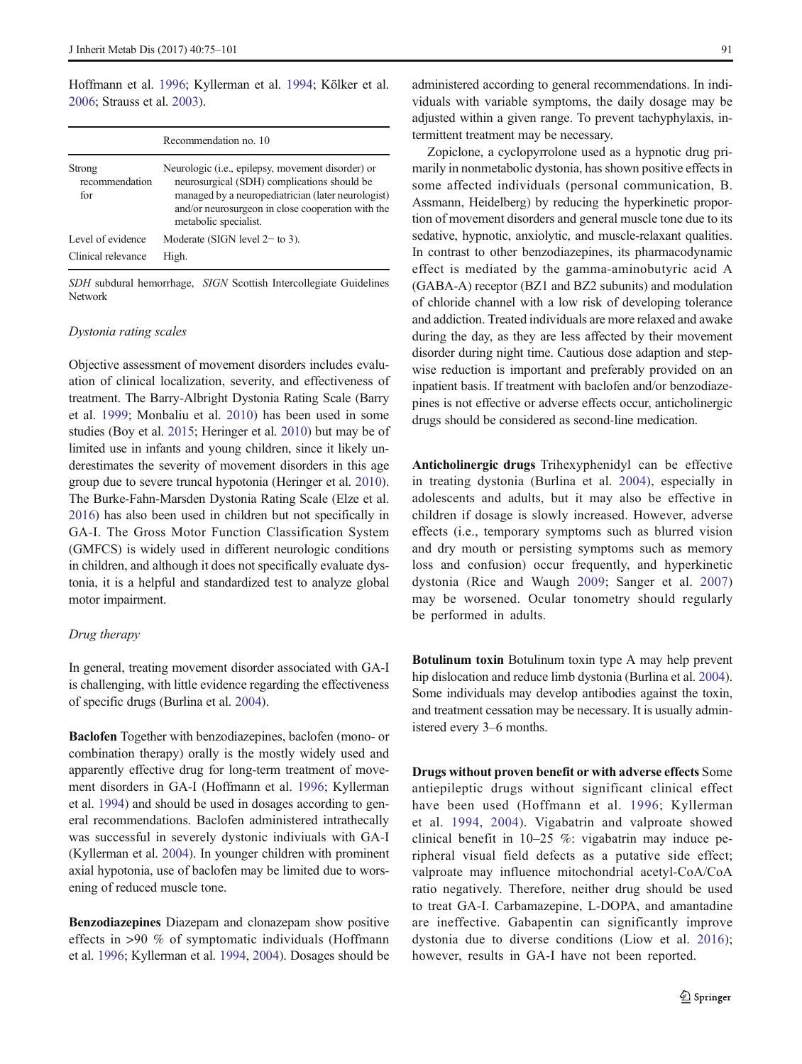Hoffmann et al. [1996;](#page-24-0) Kyllerman et al. [1994](#page-24-0); Kölker et al. [2006;](#page-24-0) Strauss et al. [2003](#page-25-0)).

|                                         | Recommendation no. 10                                                                                                                                                                                                                         |
|-----------------------------------------|-----------------------------------------------------------------------------------------------------------------------------------------------------------------------------------------------------------------------------------------------|
| Strong<br>recommendation<br>for         | Neurologic ( <i>i.e.</i> , epilepsy, movement disorder) or<br>neurosurgical (SDH) complications should be<br>managed by a neuropediatrician (later neurologist)<br>and/or neurosurgeon in close cooperation with the<br>metabolic specialist. |
| Level of evidence<br>Clinical relevance | Moderate (SIGN level $2-$ to 3).<br>High.                                                                                                                                                                                                     |

SDH subdural hemorrhage, SIGN Scottish Intercollegiate Guidelines Network

#### Dystonia rating scales

Objective assessment of movement disorders includes evaluation of clinical localization, severity, and effectiveness of treatment. The Barry-Albright Dystonia Rating Scale (Barry et al. [1999](#page-22-0); Monbaliu et al. [2010](#page-25-0)) has been used in some studies (Boy et al. [2015](#page-22-0); Heringer et al. [2010](#page-23-0)) but may be of limited use in infants and young children, since it likely underestimates the severity of movement disorders in this age group due to severe truncal hypotonia (Heringer et al. [2010\)](#page-23-0). The Burke-Fahn-Marsden Dystonia Rating Scale (Elze et al. [2016\)](#page-23-0) has also been used in children but not specifically in GA-I. The Gross Motor Function Classification System (GMFCS) is widely used in different neurologic conditions in children, and although it does not specifically evaluate dystonia, it is a helpful and standardized test to analyze global motor impairment.

#### Drug therapy

In general, treating movement disorder associated with GA-I is challenging, with little evidence regarding the effectiveness of specific drugs (Burlina et al. [2004](#page-22-0)).

Baclofen Together with benzodiazepines, baclofen (mono- or combination therapy) orally is the mostly widely used and apparently effective drug for long-term treatment of movement disorders in GA-I (Hoffmann et al. [1996;](#page-24-0) Kyllerman et al. [1994](#page-24-0)) and should be used in dosages according to general recommendations. Baclofen administered intrathecally was successful in severely dystonic indiviuals with GA-I (Kyllerman et al. [2004](#page-24-0)). In younger children with prominent axial hypotonia, use of baclofen may be limited due to worsening of reduced muscle tone.

Benzodiazepines Diazepam and clonazepam show positive effects in >90 % of symptomatic individuals (Hoffmann et al. [1996](#page-24-0); Kyllerman et al. [1994,](#page-24-0) [2004](#page-24-0)). Dosages should be

administered according to general recommendations. In individuals with variable symptoms, the daily dosage may be adjusted within a given range. To prevent tachyphylaxis, intermittent treatment may be necessary.

Zopiclone, a cyclopyrrolone used as a hypnotic drug primarily in nonmetabolic dystonia, has shown positive effects in some affected individuals (personal communication, B. Assmann, Heidelberg) by reducing the hyperkinetic proportion of movement disorders and general muscle tone due to its sedative, hypnotic, anxiolytic, and muscle-relaxant qualities. In contrast to other benzodiazepines, its pharmacodynamic effect is mediated by the gamma-aminobutyric acid A (GABA-A) receptor (BZ1 and BZ2 subunits) and modulation of chloride channel with a low risk of developing tolerance and addiction. Treated individuals are more relaxed and awake during the day, as they are less affected by their movement disorder during night time. Cautious dose adaption and stepwise reduction is important and preferably provided on an inpatient basis. If treatment with baclofen and/or benzodiazepines is not effective or adverse effects occur, anticholinergic drugs should be considered as second-line medication.

Anticholinergic drugs Trihexyphenidyl can be effective in treating dystonia (Burlina et al. [2004](#page-22-0)), especially in adolescents and adults, but it may also be effective in children if dosage is slowly increased. However, adverse effects (i.e., temporary symptoms such as blurred vision and dry mouth or persisting symptoms such as memory loss and confusion) occur frequently, and hyperkinetic dystonia (Rice and Waugh [2009;](#page-25-0) Sanger et al. [2007](#page-25-0)) may be worsened. Ocular tonometry should regularly be performed in adults.

Botulinum toxin Botulinum toxin type A may help prevent hip dislocation and reduce limb dystonia (Burlina et al. [2004\)](#page-22-0). Some individuals may develop antibodies against the toxin, and treatment cessation may be necessary. It is usually administered every 3–6 months.

Drugs without proven benefit or with adverse effects Some antiepileptic drugs without significant clinical effect have been used (Hoffmann et al. [1996;](#page-24-0) Kyllerman et al. [1994](#page-24-0), [2004\)](#page-24-0). Vigabatrin and valproate showed clinical benefit in 10–25 %: vigabatrin may induce peripheral visual field defects as a putative side effect; valproate may influence mitochondrial acetyl-CoA/CoA ratio negatively. Therefore, neither drug should be used to treat GA-I. Carbamazepine, L-DOPA, and amantadine are ineffective. Gabapentin can significantly improve dystonia due to diverse conditions (Liow et al. [2016](#page-24-0)); however, results in GA-I have not been reported.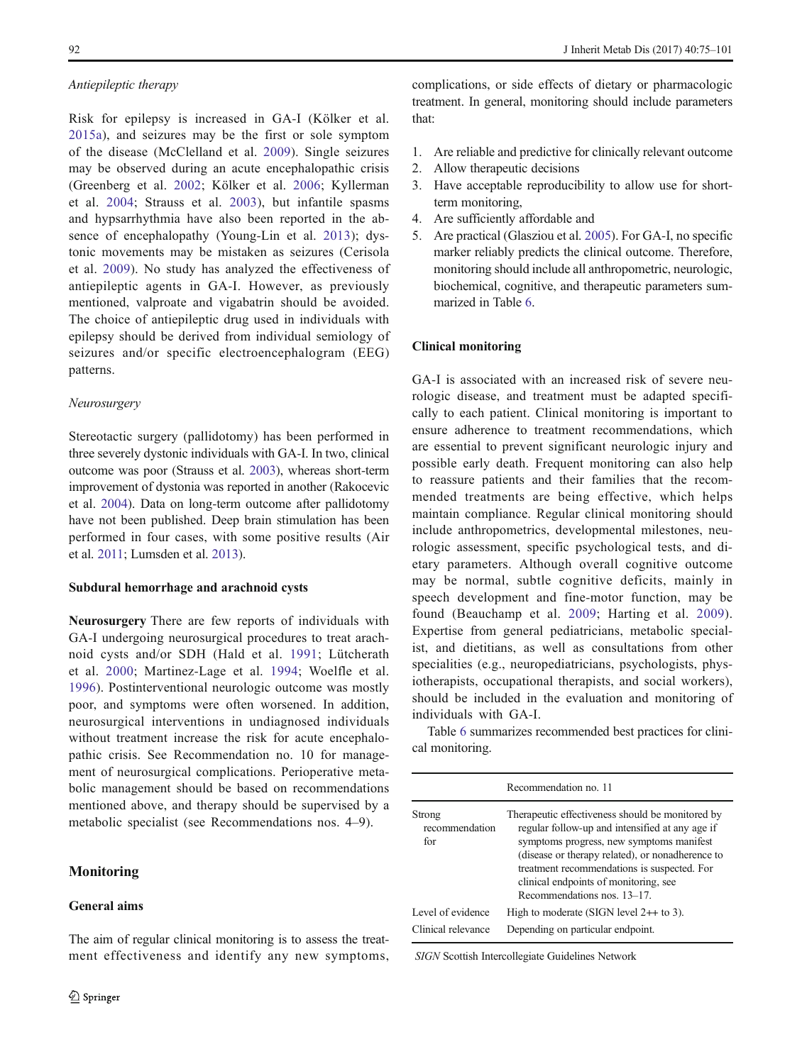### Antiepileptic therapy

Risk for epilepsy is increased in GA-I (Kölker et al. [2015a\)](#page-24-0), and seizures may be the first or sole symptom of the disease (McClelland et al. [2009](#page-25-0)). Single seizures may be observed during an acute encephalopathic crisis (Greenberg et al. [2002;](#page-23-0) Kölker et al. [2006](#page-24-0); Kyllerman et al. [2004](#page-24-0); Strauss et al. [2003](#page-25-0)), but infantile spasms and hypsarrhythmia have also been reported in the absence of encephalopathy (Young-Lin et al. [2013\)](#page-26-0); dystonic movements may be mistaken as seizures (Cerisola et al. [2009\)](#page-22-0). No study has analyzed the effectiveness of antiepileptic agents in GA-I. However, as previously mentioned, valproate and vigabatrin should be avoided. The choice of antiepileptic drug used in individuals with epilepsy should be derived from individual semiology of seizures and/or specific electroencephalogram (EEG) patterns.

### Neurosurgery

Stereotactic surgery (pallidotomy) has been performed in three severely dystonic individuals with GA-I. In two, clinical outcome was poor (Strauss et al. [2003\)](#page-25-0), whereas short-term improvement of dystonia was reported in another (Rakocevic et al. [2004\)](#page-25-0). Data on long-term outcome after pallidotomy have not been published. Deep brain stimulation has been performed in four cases, with some positive results (Air et al. [2011;](#page-22-0) Lumsden et al. [2013](#page-24-0)).

### Subdural hemorrhage and arachnoid cysts

Neurosurgery There are few reports of individuals with GA-I undergoing neurosurgical procedures to treat arachnoid cysts and/or SDH (Hald et al. [1991](#page-23-0); Lütcherath et al. [2000](#page-24-0); Martinez-Lage et al. [1994](#page-25-0); Woelfle et al. [1996](#page-26-0)). Postinterventional neurologic outcome was mostly poor, and symptoms were often worsened. In addition, neurosurgical interventions in undiagnosed individuals without treatment increase the risk for acute encephalopathic crisis. See Recommendation no. 10 for management of neurosurgical complications. Perioperative metabolic management should be based on recommendations mentioned above, and therapy should be supervised by a metabolic specialist (see Recommendations nos. 4–9).

The aim of regular clinical monitoring is to assess the treatment effectiveness and identify any new symptoms,

# **Monitoring**

# General aims

complications, or side effects of dietary or pharmacologic treatment. In general, monitoring should include parameters that:

- 1. Are reliable and predictive for clinically relevant outcome
- 2. Allow therapeutic decisions
- 3. Have acceptable reproducibility to allow use for shortterm monitoring,
- 4. Are sufficiently affordable and
- 5. Are practical (Glasziou et al. [2005\)](#page-23-0). For GA-I, no specific marker reliably predicts the clinical outcome. Therefore, monitoring should include all anthropometric, neurologic, biochemical, cognitive, and therapeutic parameters summarized in Table [6](#page-18-0).

# Clinical monitoring

GA-I is associated with an increased risk of severe neurologic disease, and treatment must be adapted specifically to each patient. Clinical monitoring is important to ensure adherence to treatment recommendations, which are essential to prevent significant neurologic injury and possible early death. Frequent monitoring can also help to reassure patients and their families that the recommended treatments are being effective, which helps maintain compliance. Regular clinical monitoring should include anthropometrics, developmental milestones, neurologic assessment, specific psychological tests, and dietary parameters. Although overall cognitive outcome may be normal, subtle cognitive deficits, mainly in speech development and fine-motor function, may be found (Beauchamp et al. [2009](#page-22-0); Harting et al. [2009](#page-23-0)). Expertise from general pediatricians, metabolic specialist, and dietitians, as well as consultations from other specialities (e.g., neuropediatricians, psychologists, physiotherapists, occupational therapists, and social workers), should be included in the evaluation and monitoring of individuals with GA-I.

Table [6](#page-18-0) summarizes recommended best practices for clinical monitoring.

| Recommendation no. 11                   |                                                                                                                                                                                                                                                                                                                            |  |
|-----------------------------------------|----------------------------------------------------------------------------------------------------------------------------------------------------------------------------------------------------------------------------------------------------------------------------------------------------------------------------|--|
| Strong<br>recommendation<br>for         | Therapeutic effectiveness should be monitored by<br>regular follow-up and intensified at any age if<br>symptoms progress, new symptoms manifest<br>(disease or therapy related), or nonadherence to<br>treatment recommendations is suspected. For<br>clinical endpoints of monitoring, see<br>Recommendations nos. 13-17. |  |
| Level of evidence<br>Clinical relevance | High to moderate (SIGN level $2++$ to 3).<br>Depending on particular endpoint.                                                                                                                                                                                                                                             |  |

SIGN Scottish Intercollegiate Guidelines Network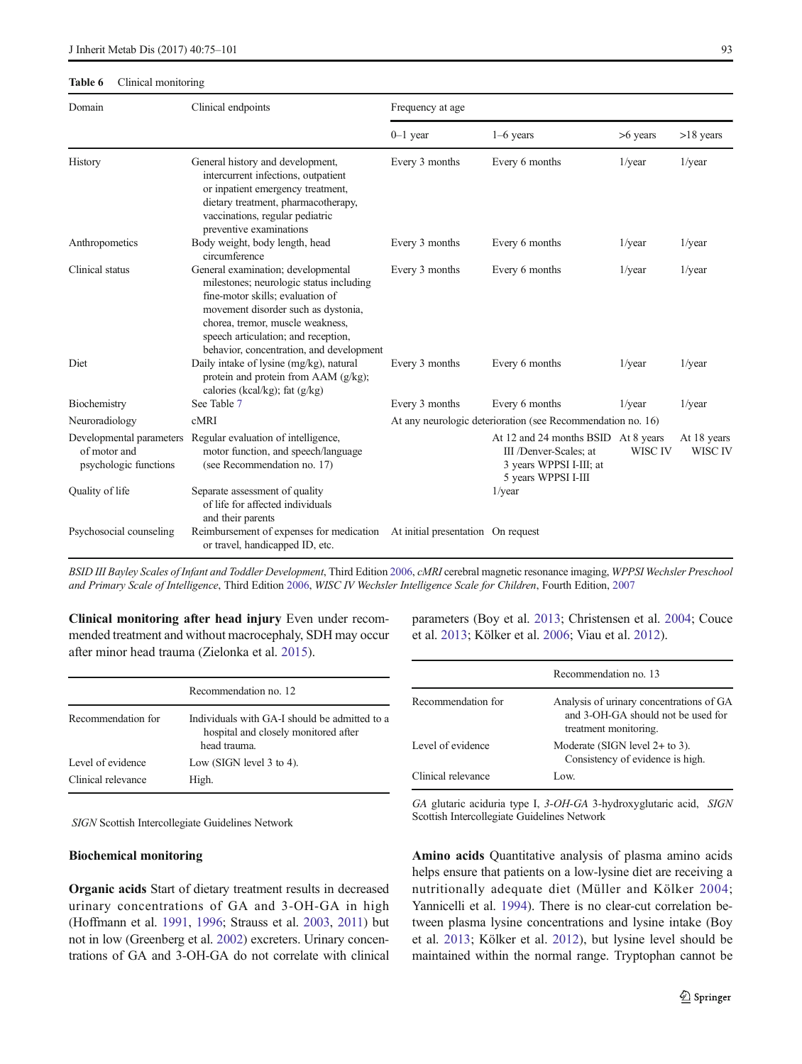#### <span id="page-18-0"></span>Table 6 Clinical monitoring

| Domain                                | Clinical endpoints                                                                                                                                                                                                                                                              | Frequency at age                                            |                                                                                                                 |            |                        |
|---------------------------------------|---------------------------------------------------------------------------------------------------------------------------------------------------------------------------------------------------------------------------------------------------------------------------------|-------------------------------------------------------------|-----------------------------------------------------------------------------------------------------------------|------------|------------------------|
|                                       |                                                                                                                                                                                                                                                                                 | $0-1$ year                                                  | $1-6$ years                                                                                                     | $>6$ years | $>18$ years            |
| History                               | General history and development,<br>intercurrent infections, outpatient<br>or inpatient emergency treatment,<br>dietary treatment, pharmacotherapy,<br>vaccinations, regular pediatric<br>preventive examinations                                                               | Every 3 months                                              | Every 6 months                                                                                                  | $1$ /year  | $1$ /year              |
| Anthropometics                        | Body weight, body length, head<br>circumference                                                                                                                                                                                                                                 | Every 3 months                                              | Every 6 months                                                                                                  | $1$ /year  | $1$ /year              |
| Clinical status                       | General examination; developmental<br>milestones; neurologic status including<br>fine-motor skills; evaluation of<br>movement disorder such as dystonia,<br>chorea, tremor, muscle weakness,<br>speech articulation; and reception,<br>behavior, concentration, and development | Every 3 months                                              | Every 6 months                                                                                                  | $1$ /year  | $1$ /year              |
| Diet                                  | Daily intake of lysine (mg/kg), natural<br>protein and protein from AAM (g/kg);<br>calories (kcal/kg); fat $(g/kg)$                                                                                                                                                             | Every 3 months                                              | Every 6 months                                                                                                  | $1$ /year  | $1$ /year              |
| Biochemistry                          | See Table 7                                                                                                                                                                                                                                                                     | Every 3 months                                              | Every 6 months                                                                                                  | $1$ /year  | $1$ /year              |
| Neuroradiology                        | cMRI                                                                                                                                                                                                                                                                            | At any neurologic deterioration (see Recommendation no. 16) |                                                                                                                 |            |                        |
| of motor and<br>psychologic functions | Developmental parameters Regular evaluation of intelligence,<br>motor function, and speech/language<br>(see Recommendation no. 17)                                                                                                                                              |                                                             | At 12 and 24 months BSID At 8 years<br>III /Denver-Scales; at<br>3 years WPPSI I-III; at<br>5 years WPPSI I-III | WISC IV    | At 18 years<br>WISC IV |
| Quality of life                       | Separate assessment of quality<br>of life for affected individuals<br>and their parents                                                                                                                                                                                         |                                                             | $1$ /year                                                                                                       |            |                        |
| Psychosocial counseling               | Reimbursement of expenses for medication<br>or travel, handicapped ID, etc.                                                                                                                                                                                                     | At initial presentation On request                          |                                                                                                                 |            |                        |

BSID III Bayley Scales of Infant and Toddler Development, Third Edition [2006](#page-22-0), cMRI cerebral magnetic resonance imaging, WPPSI Wechsler Preschool and Primary Scale of Intelligence, Third Edition [2006,](#page-26-0) WISC IV Wechsler Intelligence Scale for Children, Fourth Edition, [2007](#page-26-0)

Clinical monitoring after head injury Even under recommended treatment and without macrocephaly, SDH may occur after minor head trauma (Zielonka et al. [2015\)](#page-26-0).

|                    | Recommendation no. 12                                                                                 |
|--------------------|-------------------------------------------------------------------------------------------------------|
| Recommendation for | Individuals with GA-I should be admitted to a<br>hospital and closely monitored after<br>head trauma. |
| Level of evidence  | Low (SIGN level $3$ to $4$ ).                                                                         |
| Clinical relevance | High.                                                                                                 |

SIGN Scottish Intercollegiate Guidelines Network

### Biochemical monitoring

Organic acids Start of dietary treatment results in decreased urinary concentrations of GA and 3-OH-GA in high (Hoffmann et al. [1991,](#page-24-0) [1996](#page-24-0); Strauss et al. [2003](#page-25-0), [2011](#page-25-0)) but not in low (Greenberg et al. [2002\)](#page-23-0) excreters. Urinary concentrations of GA and 3-OH-GA do not correlate with clinical parameters (Boy et al. [2013](#page-22-0); Christensen et al. [2004](#page-23-0); Couce et al. [2013](#page-23-0); Kölker et al. [2006](#page-24-0); Viau et al. [2012\)](#page-26-0).

|                    | Recommendation no. 13                                                                                   |
|--------------------|---------------------------------------------------------------------------------------------------------|
| Recommendation for | Analysis of urinary concentrations of GA<br>and 3-OH-GA should not be used for<br>treatment monitoring. |
| Level of evidence  | Moderate (SIGN level $2+$ to 3).<br>Consistency of evidence is high.                                    |
| Clinical relevance | Low.                                                                                                    |

GA glutaric aciduria type I, 3-OH-GA 3-hydroxyglutaric acid, SIGN Scottish Intercollegiate Guidelines Network

Amino acids Quantitative analysis of plasma amino acids helps ensure that patients on a low-lysine diet are receiving a nutritionally adequate diet (Müller and Kölker [2004;](#page-25-0) Yannicelli et al. [1994\)](#page-26-0). There is no clear-cut correlation between plasma lysine concentrations and lysine intake (Boy et al. [2013;](#page-22-0) Kölker et al. [2012](#page-24-0)), but lysine level should be maintained within the normal range. Tryptophan cannot be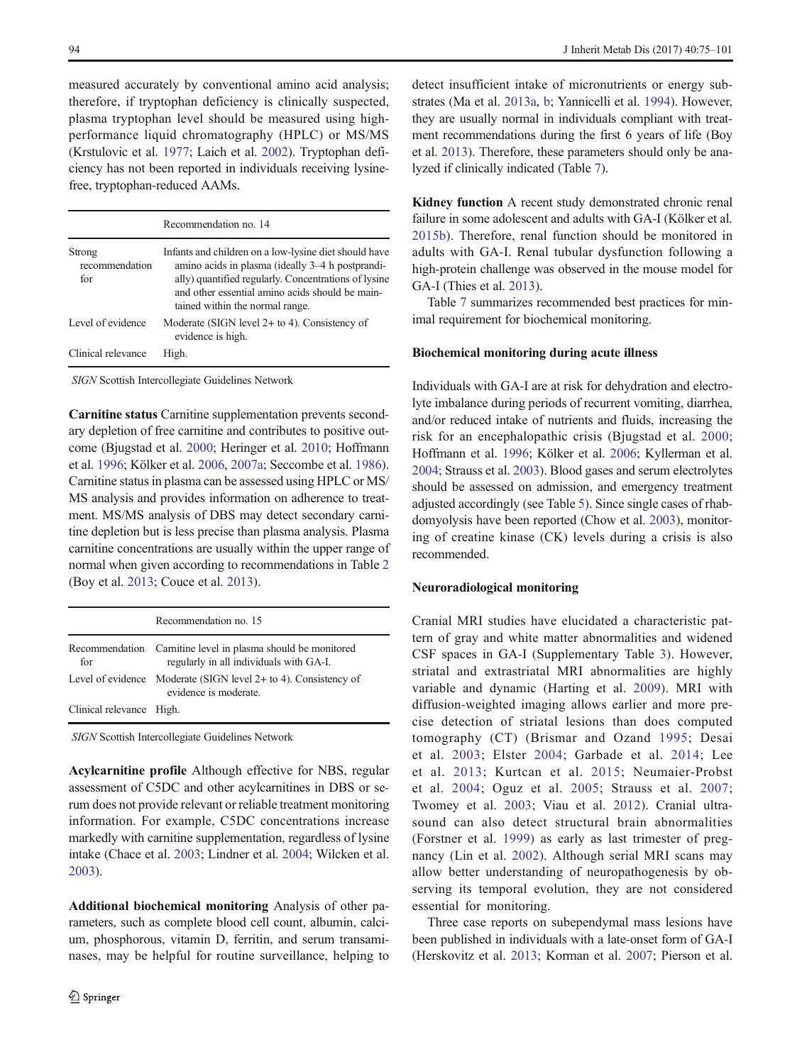measured accurately by conventional amino acid analysis; therefore, if tryptophan deficiency is clinically suspected, plasma tryptophan level should be measured using highperformance liquid chromatography (HPLC) or MS/MS (Krstulovic et al. [1977](#page-24-0); Laich et al. [2002\)](#page-24-0). Tryptophan deficiency has not been reported in individuals receiving lysinefree, tryptophan-reduced AAMs.

|                                 | Recommendation no. 14                                                                                                                                                                                                                                   |
|---------------------------------|---------------------------------------------------------------------------------------------------------------------------------------------------------------------------------------------------------------------------------------------------------|
| Strong<br>recommendation<br>for | Infants and children on a low-lysine diet should have<br>amino acids in plasma (ideally 3-4 h postprandi-<br>ally) quantified regularly. Concentrations of lysine<br>and other essential amino acids should be main-<br>tained within the normal range. |
| Level of evidence               | Moderate (SIGN level $2+$ to 4). Consistency of<br>evidence is high.                                                                                                                                                                                    |
| Clinical relevance              | High.                                                                                                                                                                                                                                                   |

SIGN Scottish Intercollegiate Guidelines Network

Carnitine status Carnitine supplementation prevents secondary depletion of free carnitine and contributes to positive outcome (Bjugstad et al. [2000](#page-22-0); Heringer et al. [2010](#page-23-0); Hoffmann et al. [1996;](#page-24-0) Kölker et al. [2006,](#page-24-0) [2007a](#page-24-0); Seccombe et al. [1986\)](#page-25-0). Carnitine status in plasma can be assessed using HPLC or MS/ MS analysis and provides information on adherence to treatment. MS/MS analysis of DBS may detect secondary carnitine depletion but is less precise than plasma analysis. Plasma carnitine concentrations are usually within the upper range of normal when given according to recommendations in Table [2](#page-10-0) (Boy et al. [2013](#page-22-0); Couce et al. [2013](#page-23-0)).

|                          | Recommendation no. 15                                                                                   |
|--------------------------|---------------------------------------------------------------------------------------------------------|
| for                      | Recommendation Carnitine level in plasma should be monitored<br>regularly in all individuals with GA-I. |
|                          | Level of evidence Moderate (SIGN level 2+ to 4). Consistency of<br>evidence is moderate.                |
| Clinical relevance High. |                                                                                                         |

SIGN Scottish Intercollegiate Guidelines Network

Acylcarnitine profile Although effective for NBS, regular assessment of C5DC and other acylcarnitines in DBS or serum does not provide relevant or reliable treatment monitoring information. For example, C5DC concentrations increase markedly with carnitine supplementation, regardless of lysine intake (Chace et al. [2003;](#page-22-0) Lindner et al. [2004](#page-24-0); Wilcken et al. [2003\)](#page-26-0).

Additional biochemical monitoring Analysis of other parameters, such as complete blood cell count, albumin, calcium, phosphorous, vitamin D, ferritin, and serum transaminases, may be helpful for routine surveillance, helping to

detect insufficient intake of micronutrients or energy substrates (Ma et al. [2013a](#page-24-0), [b;](#page-24-0) Yannicelli et al. [1994\)](#page-26-0). However, they are usually normal in individuals compliant with treatment recommendations during the first 6 years of life (Boy et al. [2013\)](#page-22-0). Therefore, these parameters should only be analyzed if clinically indicated (Table [7\)](#page-20-0).

Kidney function A recent study demonstrated chronic renal failure in some adolescent and adults with GA-I (Kölker et al. [2015b](#page-24-0)). Therefore, renal function should be monitored in adults with GA-I. Renal tubular dysfunction following a high-protein challenge was observed in the mouse model for GA-I (Thies et al. [2013\)](#page-25-0).

Table [7](#page-20-0) summarizes recommended best practices for minimal requirement for biochemical monitoring.

# Biochemical monitoring during acute illness

Individuals with GA-I are at risk for dehydration and electrolyte imbalance during periods of recurrent vomiting, diarrhea, and/or reduced intake of nutrients and fluids, increasing the risk for an encephalopathic crisis (Bjugstad et al. [2000;](#page-22-0) Hoffmann et al. [1996;](#page-24-0) Kölker et al. [2006;](#page-24-0) Kyllerman et al. [2004;](#page-24-0) Strauss et al. [2003\)](#page-25-0). Blood gases and serum electrolytes should be assessed on admission, and emergency treatment adjusted accordingly (see Table [5](#page-15-0)). Since single cases of rhabdomyolysis have been reported (Chow et al. [2003](#page-22-0)), monitoring of creatine kinase (CK) levels during a crisis is also recommended.

#### Neuroradiological monitoring

Cranial MRI studies have elucidated a characteristic pattern of gray and white matter abnormalities and widened CSF spaces in GA-I (Supplementary Table 3). However, striatal and extrastriatal MRI abnormalities are highly variable and dynamic (Harting et al. [2009\)](#page-23-0). MRI with diffusion-weighted imaging allows earlier and more precise detection of striatal lesions than does computed tomography (CT) (Brismar and Ozand [1995](#page-22-0); Desai et al. [2003](#page-23-0); Elster [2004](#page-23-0); Garbade et al. [2014;](#page-23-0) Lee et al. [2013;](#page-24-0) Kurtcan et al. [2015](#page-24-0); Neumaier-Probst et al. [2004](#page-25-0); Oguz et al. [2005](#page-25-0); Strauss et al. [2007;](#page-25-0) Twomey et al. [2003](#page-26-0); Viau et al. [2012](#page-26-0)). Cranial ultrasound can also detect structural brain abnormalities (Forstner et al. [1999\)](#page-23-0) as early as last trimester of pregnancy (Lin et al. [2002\)](#page-24-0). Although serial MRI scans may allow better understanding of neuropathogenesis by observing its temporal evolution, they are not considered essential for monitoring.

Three case reports on subependymal mass lesions have been published in individuals with a late-onset form of GA-I (Herskovitz et al. [2013](#page-24-0); Korman et al. [2007;](#page-24-0) Pierson et al.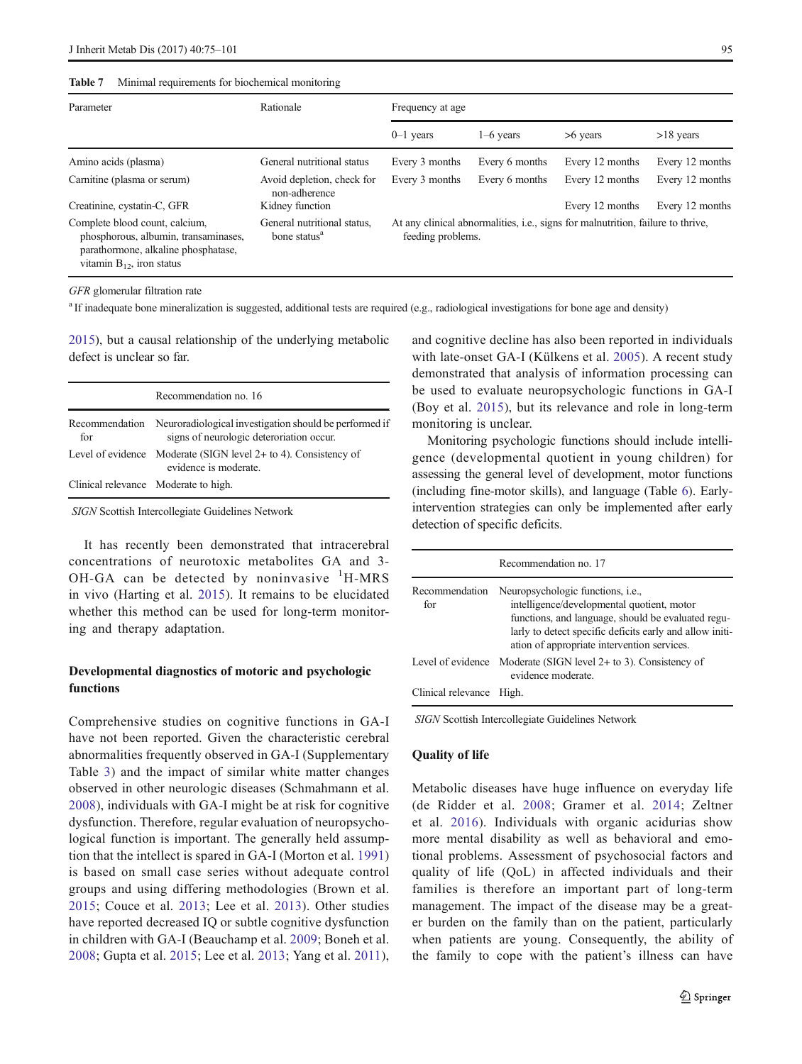#### <span id="page-20-0"></span>Table 7 Minimal requirements for biochemical monitoring

| Parameter                                                                                                                                       | Rationale                                               | Frequency at age                                                                                             |                |                 |                 |
|-------------------------------------------------------------------------------------------------------------------------------------------------|---------------------------------------------------------|--------------------------------------------------------------------------------------------------------------|----------------|-----------------|-----------------|
|                                                                                                                                                 |                                                         | $0-1$ years                                                                                                  | $1-6$ years    | $>6$ years      | $>18$ years     |
| Amino acids (plasma)                                                                                                                            | General nutritional status                              | Every 3 months                                                                                               | Every 6 months | Every 12 months | Every 12 months |
| Carnitine (plasma or serum)                                                                                                                     | Avoid depletion, check for<br>non-adherence             | Every 3 months                                                                                               | Every 6 months | Every 12 months | Every 12 months |
| Creatinine, cystatin-C, GFR                                                                                                                     | Kidney function                                         |                                                                                                              |                | Every 12 months | Every 12 months |
| Complete blood count, calcium,<br>phosphorous, albumin, transaminases,<br>parathormone, alkaline phosphatase,<br>vitamin $B_{12}$ , iron status | General nutritional status,<br>bone status <sup>a</sup> | At any clinical abnormalities, <i>i.e.</i> , signs for malnutrition, failure to thrive,<br>feeding problems. |                |                 |                 |

GFR glomerular filtration rate

<sup>a</sup> If inadequate bone mineralization is suggested, additional tests are required (e.g., radiological investigations for bone age and density)

[2015\)](#page-25-0), but a causal relationship of the underlying metabolic defect is unclear so far.

|                                      | Recommendation no. 16                                                                                             |
|--------------------------------------|-------------------------------------------------------------------------------------------------------------------|
| for                                  | Recommendation Neuroradiological investigation should be performed if<br>signs of neurologic deteroriation occur. |
|                                      | Level of evidence Moderate (SIGN level $2+$ to 4). Consistency of<br>evidence is moderate.                        |
| Clinical relevance Moderate to high. |                                                                                                                   |

SIGN Scottish Intercollegiate Guidelines Network

It has recently been demonstrated that intracerebral concentrations of neurotoxic metabolites GA and 3- OH-GA can be detected by noninvasive  ${}^{1}$ H-MRS in vivo (Harting et al. [2015](#page-23-0)). It remains to be elucidated whether this method can be used for long-term monitoring and therapy adaptation.

# Developmental diagnostics of motoric and psychologic functions

Comprehensive studies on cognitive functions in GA-I have not been reported. Given the characteristic cerebral abnormalities frequently observed in GA-I (Supplementary Table 3) and the impact of similar white matter changes observed in other neurologic diseases (Schmahmann et al. [2008](#page-25-0)), individuals with GA-I might be at risk for cognitive dysfunction. Therefore, regular evaluation of neuropsychological function is important. The generally held assumption that the intellect is spared in GA-I (Morton et al. [1991\)](#page-25-0) is based on small case series without adequate control groups and using differing methodologies (Brown et al. [2015](#page-22-0); Couce et al. [2013](#page-23-0); Lee et al. [2013](#page-24-0)). Other studies have reported decreased IQ or subtle cognitive dysfunction in children with GA-I (Beauchamp et al. [2009;](#page-22-0) Boneh et al. [2008](#page-22-0); Gupta et al. [2015;](#page-23-0) Lee et al. [2013](#page-24-0); Yang et al. [2011](#page-26-0)), and cognitive decline has also been reported in individuals with late-onset GA-I (Külkens et al. [2005](#page-24-0)). A recent study demonstrated that analysis of information processing can be used to evaluate neuropsychologic functions in GA-I (Boy et al. [2015\)](#page-22-0), but its relevance and role in long-term monitoring is unclear.

Monitoring psychologic functions should include intelligence (developmental quotient in young children) for assessing the general level of development, motor functions (including fine-motor skills), and language (Table [6](#page-18-0)). Earlyintervention strategies can only be implemented after early detection of specific deficits.

|                       | Recommendation no. 17                                                                                                                                                                                                                            |
|-----------------------|--------------------------------------------------------------------------------------------------------------------------------------------------------------------------------------------------------------------------------------------------|
| Recommendation<br>for | Neuropsychologic functions, i.e.,<br>intelligence/developmental quotient, motor<br>functions, and language, should be evaluated regu-<br>larly to detect specific deficits early and allow initi-<br>ation of appropriate intervention services. |
| Level of evidence     | Moderate (SIGN level $2+$ to 3). Consistency of<br>evidence moderate.                                                                                                                                                                            |
| Clinical relevance    | High.                                                                                                                                                                                                                                            |

SIGN Scottish Intercollegiate Guidelines Network

# Quality of life

Metabolic diseases have huge influence on everyday life (de Ridder et al. [2008;](#page-23-0) Gramer et al. [2014;](#page-23-0) Zeltner et al. [2016\)](#page-26-0). Individuals with organic acidurias show more mental disability as well as behavioral and emotional problems. Assessment of psychosocial factors and quality of life (QoL) in affected individuals and their families is therefore an important part of long-term management. The impact of the disease may be a greater burden on the family than on the patient, particularly when patients are young. Consequently, the ability of the family to cope with the patient's illness can have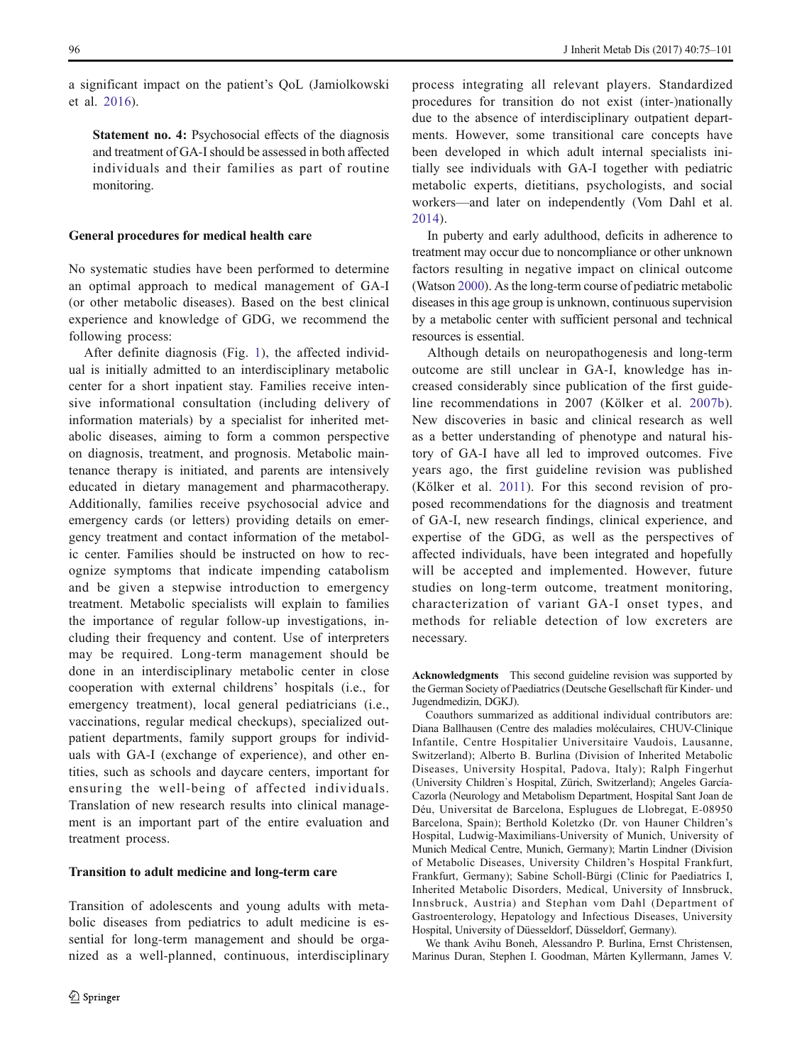a significant impact on the patient's QoL (Jamiolkowski et al. [2016\)](#page-24-0).

Statement no. 4: Psychosocial effects of the diagnosis and treatment of GA-I should be assessed in both affected individuals and their families as part of routine monitoring.

### General procedures for medical health care

No systematic studies have been performed to determine an optimal approach to medical management of GA-I (or other metabolic diseases). Based on the best clinical experience and knowledge of GDG, we recommend the following process:

After definite diagnosis (Fig. [1\)](#page-7-0), the affected individual is initially admitted to an interdisciplinary metabolic center for a short inpatient stay. Families receive intensive informational consultation (including delivery of information materials) by a specialist for inherited metabolic diseases, aiming to form a common perspective on diagnosis, treatment, and prognosis. Metabolic maintenance therapy is initiated, and parents are intensively educated in dietary management and pharmacotherapy. Additionally, families receive psychosocial advice and emergency cards (or letters) providing details on emergency treatment and contact information of the metabolic center. Families should be instructed on how to recognize symptoms that indicate impending catabolism and be given a stepwise introduction to emergency treatment. Metabolic specialists will explain to families the importance of regular follow-up investigations, including their frequency and content. Use of interpreters may be required. Long-term management should be done in an interdisciplinary metabolic center in close cooperation with external childrens' hospitals (i.e., for emergency treatment), local general pediatricians (i.e., vaccinations, regular medical checkups), specialized outpatient departments, family support groups for individuals with GA-I (exchange of experience), and other entities, such as schools and daycare centers, important for ensuring the well-being of affected individuals. Translation of new research results into clinical management is an important part of the entire evaluation and treatment process.

### Transition to adult medicine and long-term care

Transition of adolescents and young adults with metabolic diseases from pediatrics to adult medicine is essential for long-term management and should be organized as a well-planned, continuous, interdisciplinary process integrating all relevant players. Standardized procedures for transition do not exist (inter-)nationally due to the absence of interdisciplinary outpatient departments. However, some transitional care concepts have been developed in which adult internal specialists initially see individuals with GA-I together with pediatric metabolic experts, dietitians, psychologists, and social workers—and later on independently (Vom Dahl et al. [2014](#page-26-0)).

In puberty and early adulthood, deficits in adherence to treatment may occur due to noncompliance or other unknown factors resulting in negative impact on clinical outcome (Watson [2000\)](#page-26-0). As the long-term course of pediatric metabolic diseases in this age group is unknown, continuous supervision by a metabolic center with sufficient personal and technical resources is essential.

Although details on neuropathogenesis and long-term outcome are still unclear in GA-I, knowledge has increased considerably since publication of the first guideline recommendations in 2007 (Kölker et al. [2007b](#page-24-0)). New discoveries in basic and clinical research as well as a better understanding of phenotype and natural history of GA-I have all led to improved outcomes. Five years ago, the first guideline revision was published (Kölker et al. [2011](#page-24-0)). For this second revision of proposed recommendations for the diagnosis and treatment of GA-I, new research findings, clinical experience, and expertise of the GDG, as well as the perspectives of affected individuals, have been integrated and hopefully will be accepted and implemented. However, future studies on long-term outcome, treatment monitoring, characterization of variant GA-I onset types, and methods for reliable detection of low excreters are necessary.

Acknowledgments This second guideline revision was supported by the German Society of Paediatrics (Deutsche Gesellschaft für Kinder- und Jugendmedizin, DGKJ).

Coauthors summarized as additional individual contributors are: Diana Ballhausen (Centre des maladies moléculaires, CHUV-Clinique Infantile, Centre Hospitalier Universitaire Vaudois, Lausanne, Switzerland); Alberto B. Burlina (Division of Inherited Metabolic Diseases, University Hospital, Padova, Italy); Ralph Fingerhut (University Children`s Hospital, Zürich, Switzerland); Angeles García-Cazorla (Neurology and Metabolism Department, Hospital Sant Joan de Déu, Universitat de Barcelona, Esplugues de Llobregat, E-08950 Barcelona, Spain); Berthold Koletzko (Dr. von Hauner Children's Hospital, Ludwig-Maximilians-University of Munich, University of Munich Medical Centre, Munich, Germany); Martin Lindner (Division of Metabolic Diseases, University Children's Hospital Frankfurt, Frankfurt, Germany); Sabine Scholl-Bürgi (Clinic for Paediatrics I, Inherited Metabolic Disorders, Medical, University of Innsbruck, Innsbruck, Austria) and Stephan vom Dahl (Department of Gastroenterology, Hepatology and Infectious Diseases, University Hospital, University of Düesseldorf, Düsseldorf, Germany).

We thank Avihu Boneh, Alessandro P. Burlina, Ernst Christensen, Marinus Duran, Stephen I. Goodman, Mårten Kyllermann, James V.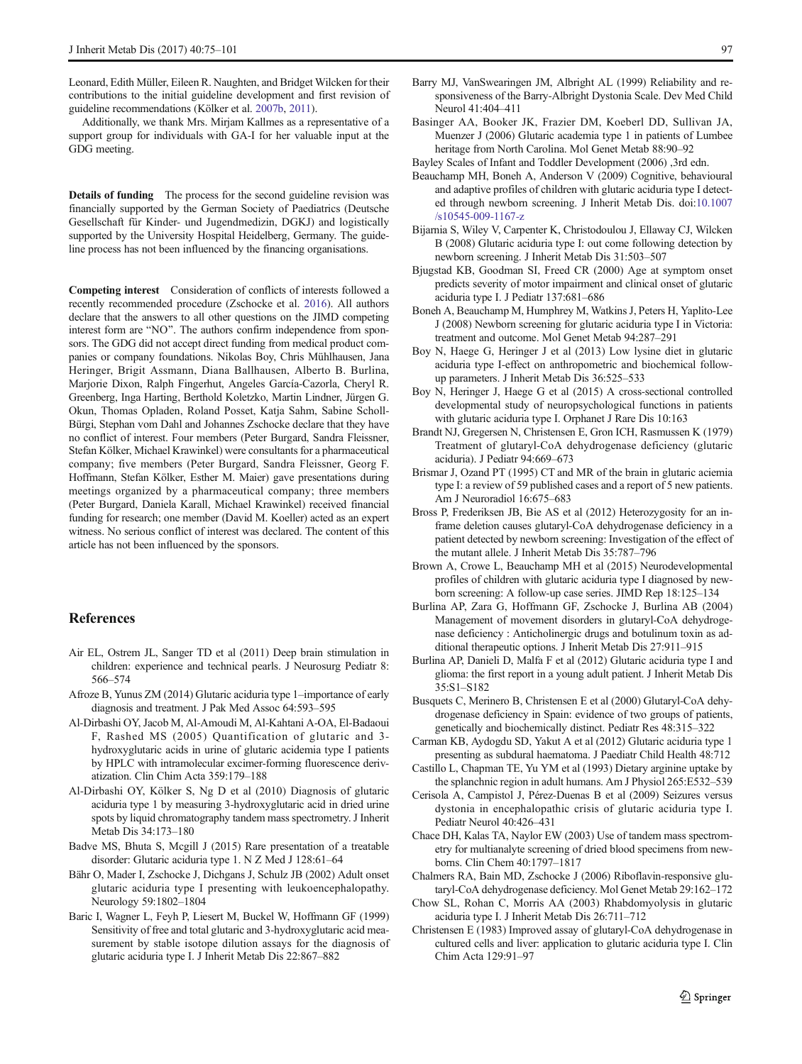<span id="page-22-0"></span>Leonard, Edith Müller, Eileen R. Naughten, and Bridget Wilcken for their contributions to the initial guideline development and first revision of guideline recommendations (Kölker et al. [2007b,](#page-24-0) [2011](#page-24-0)).

Additionally, we thank Mrs. Mirjam Kallmes as a representative of a support group for individuals with GA-I for her valuable input at the GDG meeting.

Details of funding The process for the second guideline revision was financially supported by the German Society of Paediatrics (Deutsche Gesellschaft für Kinder- und Jugendmedizin, DGKJ) and logistically supported by the University Hospital Heidelberg, Germany. The guideline process has not been influenced by the financing organisations.

Competing interest Consideration of conflicts of interests followed a recently recommended procedure (Zschocke et al. [2016\)](#page-26-0). All authors declare that the answers to all other questions on the JIMD competing interest form are "NO". The authors confirm independence from sponsors. The GDG did not accept direct funding from medical product companies or company foundations. Nikolas Boy, Chris Mühlhausen, Jana Heringer, Brigit Assmann, Diana Ballhausen, Alberto B. Burlina, Marjorie Dixon, Ralph Fingerhut, Angeles García-Cazorla, Cheryl R. Greenberg, Inga Harting, Berthold Koletzko, Martin Lindner, Jürgen G. Okun, Thomas Opladen, Roland Posset, Katja Sahm, Sabine Scholl-Bürgi, Stephan vom Dahl and Johannes Zschocke declare that they have no conflict of interest. Four members (Peter Burgard, Sandra Fleissner, Stefan Kölker, Michael Krawinkel) were consultants for a pharmaceutical company; five members (Peter Burgard, Sandra Fleissner, Georg F. Hoffmann, Stefan Kölker, Esther M. Maier) gave presentations during meetings organized by a pharmaceutical company; three members (Peter Burgard, Daniela Karall, Michael Krawinkel) received financial funding for research; one member (David M. Koeller) acted as an expert witness. No serious conflict of interest was declared. The content of this article has not been influenced by the sponsors.

### References

- Air EL, Ostrem JL, Sanger TD et al (2011) Deep brain stimulation in children: experience and technical pearls. J Neurosurg Pediatr 8: 566–574
- Afroze B, Yunus ZM (2014) Glutaric aciduria type 1–importance of early diagnosis and treatment. J Pak Med Assoc 64:593–595
- Al-Dirbashi OY, Jacob M, Al-Amoudi M, Al-Kahtani A-OA, El-Badaoui F, Rashed MS (2005) Quantification of glutaric and 3 hydroxyglutaric acids in urine of glutaric acidemia type I patients by HPLC with intramolecular excimer-forming fluorescence derivatization. Clin Chim Acta 359:179–188
- Al-Dirbashi OY, Kölker S, Ng D et al (2010) Diagnosis of glutaric aciduria type 1 by measuring 3-hydroxyglutaric acid in dried urine spots by liquid chromatography tandem mass spectrometry. J Inherit Metab Dis 34:173–180
- Badve MS, Bhuta S, Mcgill J (2015) Rare presentation of a treatable disorder: Glutaric aciduria type 1. N Z Med J 128:61–64
- Bähr O, Mader I, Zschocke J, Dichgans J, Schulz JB (2002) Adult onset glutaric aciduria type I presenting with leukoencephalopathy. Neurology 59:1802–1804
- Baric I, Wagner L, Feyh P, Liesert M, Buckel W, Hoffmann GF (1999) Sensitivity of free and total glutaric and 3-hydroxyglutaric acid measurement by stable isotope dilution assays for the diagnosis of glutaric aciduria type I. J Inherit Metab Dis 22:867–882
- Barry MJ, VanSwearingen JM, Albright AL (1999) Reliability and responsiveness of the Barry-Albright Dystonia Scale. Dev Med Child Neurol 41:404–411
- Basinger AA, Booker JK, Frazier DM, Koeberl DD, Sullivan JA, Muenzer J (2006) Glutaric academia type 1 in patients of Lumbee heritage from North Carolina. Mol Genet Metab 88:90–92
- Bayley Scales of Infant and Toddler Development (2006) ,3rd edn.
- Beauchamp MH, Boneh A, Anderson V (2009) Cognitive, behavioural and adaptive profiles of children with glutaric aciduria type I detected through newborn screening. J Inherit Metab Dis. doi[:10.1007](http://dx.doi.org/10.1007/s10545-009-1167-z) [/s10545-009-1167-z](http://dx.doi.org/10.1007/s10545-009-1167-z)
- Bijarnia S, Wiley V, Carpenter K, Christodoulou J, Ellaway CJ, Wilcken B (2008) Glutaric aciduria type I: out come following detection by newborn screening. J Inherit Metab Dis 31:503–507
- Bjugstad KB, Goodman SI, Freed CR (2000) Age at symptom onset predicts severity of motor impairment and clinical onset of glutaric aciduria type I. J Pediatr 137:681–686
- Boneh A, Beauchamp M, Humphrey M, Watkins J, Peters H, Yaplito-Lee J (2008) Newborn screening for glutaric aciduria type I in Victoria: treatment and outcome. Mol Genet Metab 94:287–291
- Boy N, Haege G, Heringer J et al (2013) Low lysine diet in glutaric aciduria type I-effect on anthropometric and biochemical followup parameters. J Inherit Metab Dis 36:525–533
- Boy N, Heringer J, Haege G et al (2015) A cross-sectional controlled developmental study of neuropsychological functions in patients with glutaric aciduria type I. Orphanet J Rare Dis 10:163
- Brandt NJ, Gregersen N, Christensen E, Gron ICH, Rasmussen K (1979) Treatment of glutaryl-CoA dehydrogenase deficiency (glutaric aciduria). J Pediatr 94:669–673
- Brismar J, Ozand PT (1995) CT and MR of the brain in glutaric aciemia type I: a review of 59 published cases and a report of 5 new patients. Am J Neuroradiol 16:675–683
- Bross P, Frederiksen JB, Bie AS et al (2012) Heterozygosity for an inframe deletion causes glutaryl-CoA dehydrogenase deficiency in a patient detected by newborn screening: Investigation of the effect of the mutant allele. J Inherit Metab Dis 35:787–796
- Brown A, Crowe L, Beauchamp MH et al (2015) Neurodevelopmental profiles of children with glutaric aciduria type I diagnosed by newborn screening: A follow-up case series. JIMD Rep 18:125–134
- Burlina AP, Zara G, Hoffmann GF, Zschocke J, Burlina AB (2004) Management of movement disorders in glutaryl-CoA dehydrogenase deficiency : Anticholinergic drugs and botulinum toxin as additional therapeutic options. J Inherit Metab Dis 27:911–915
- Burlina AP, Danieli D, Malfa F et al (2012) Glutaric aciduria type I and glioma: the first report in a young adult patient. J Inherit Metab Dis 35:S1–S182
- Busquets C, Merinero B, Christensen E et al (2000) Glutaryl-CoA dehydrogenase deficiency in Spain: evidence of two groups of patients, genetically and biochemically distinct. Pediatr Res 48:315–322
- Carman KB, Aydogdu SD, Yakut A et al (2012) Glutaric aciduria type 1 presenting as subdural haematoma. J Paediatr Child Health 48:712
- Castillo L, Chapman TE, Yu YM et al (1993) Dietary arginine uptake by the splanchnic region in adult humans. Am J Physiol 265:E532–539
- Cerisola A, Campistol J, Pérez-Duenas B et al (2009) Seizures versus dystonia in encephalopathic crisis of glutaric aciduria type I. Pediatr Neurol 40:426–431
- Chace DH, Kalas TA, Naylor EW (2003) Use of tandem mass spectrometry for multianalyte screening of dried blood specimens from newborns. Clin Chem 40:1797–1817
- Chalmers RA, Bain MD, Zschocke J (2006) Riboflavin-responsive glutaryl-CoA dehydrogenase deficiency. Mol Genet Metab 29:162–172
- Chow SL, Rohan C, Morris AA (2003) Rhabdomyolysis in glutaric aciduria type I. J Inherit Metab Dis 26:711–712
- Christensen E (1983) Improved assay of glutaryl-CoA dehydrogenase in cultured cells and liver: application to glutaric aciduria type I. Clin Chim Acta 129:91–97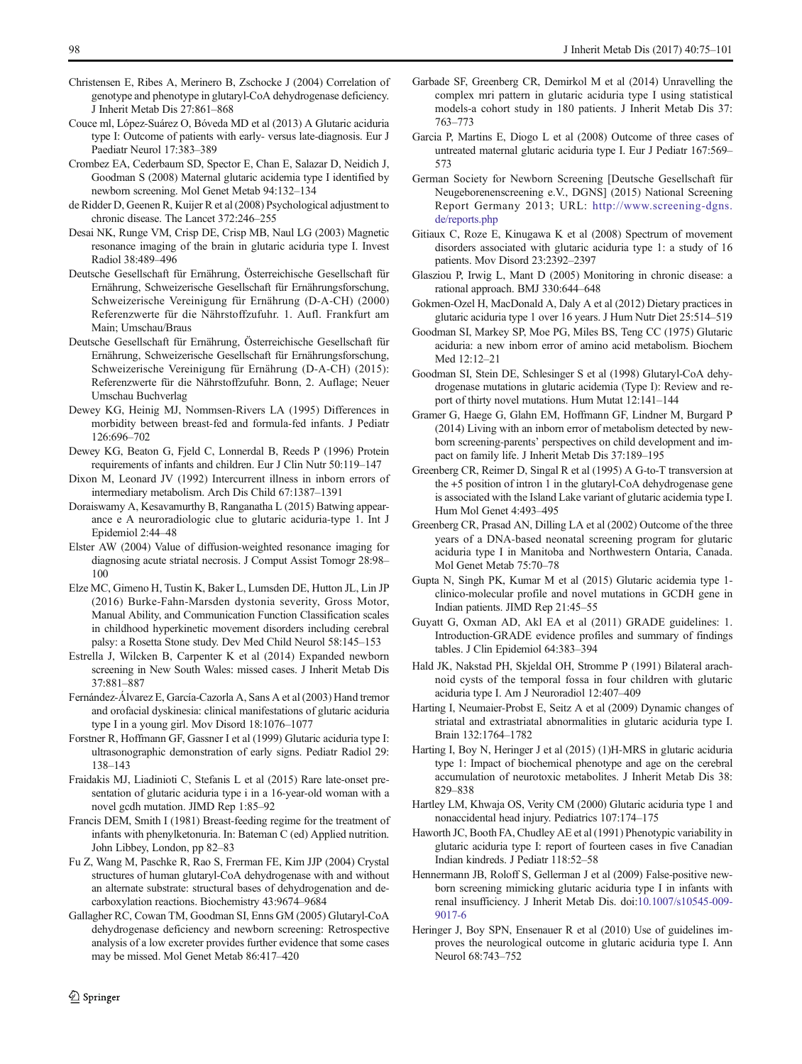- <span id="page-23-0"></span>Christensen E, Ribes A, Merinero B, Zschocke J (2004) Correlation of genotype and phenotype in glutaryl-CoA dehydrogenase deficiency. J Inherit Metab Dis 27:861–868
- Couce ml, López-Suárez O, Bóveda MD et al (2013) A Glutaric aciduria type I: Outcome of patients with early- versus late-diagnosis. Eur J Paediatr Neurol 17:383–389
- Crombez EA, Cederbaum SD, Spector E, Chan E, Salazar D, Neidich J, Goodman S (2008) Maternal glutaric acidemia type I identified by newborn screening. Mol Genet Metab 94:132–134
- de Ridder D, Geenen R, Kuijer R et al (2008) Psychological adjustment to chronic disease. The Lancet 372:246–255
- Desai NK, Runge VM, Crisp DE, Crisp MB, Naul LG (2003) Magnetic resonance imaging of the brain in glutaric aciduria type I. Invest Radiol 38:489–496
- Deutsche Gesellschaft für Ernährung, Österreichische Gesellschaft für Ernährung, Schweizerische Gesellschaft für Ernährungsforschung, Schweizerische Vereinigung für Ernährung (D-A-CH) (2000) Referenzwerte für die Nährstoffzufuhr. 1. Aufl. Frankfurt am Main; Umschau/Braus
- Deutsche Gesellschaft für Ernährung, Österreichische Gesellschaft für Ernährung, Schweizerische Gesellschaft für Ernährungsforschung, Schweizerische Vereinigung für Ernährung (D-A-CH) (2015): Referenzwerte für die Nährstoffzufuhr. Bonn, 2. Auflage; Neuer Umschau Buchverlag
- Dewey KG, Heinig MJ, Nommsen-Rivers LA (1995) Differences in morbidity between breast-fed and formula-fed infants. J Pediatr 126:696–702
- Dewey KG, Beaton G, Fjeld C, Lonnerdal B, Reeds P (1996) Protein requirements of infants and children. Eur J Clin Nutr 50:119–147
- Dixon M, Leonard JV (1992) Intercurrent illness in inborn errors of intermediary metabolism. Arch Dis Child 67:1387–1391
- Doraiswamy A, Kesavamurthy B, Ranganatha L (2015) Batwing appearance e A neuroradiologic clue to glutaric aciduria-type 1. Int J Epidemiol 2:44–48
- Elster AW (2004) Value of diffusion-weighted resonance imaging for diagnosing acute striatal necrosis. J Comput Assist Tomogr 28:98– 100
- Elze MC, Gimeno H, Tustin K, Baker L, Lumsden DE, Hutton JL, Lin JP (2016) Burke-Fahn-Marsden dystonia severity, Gross Motor, Manual Ability, and Communication Function Classification scales in childhood hyperkinetic movement disorders including cerebral palsy: a Rosetta Stone study. Dev Med Child Neurol 58:145–153
- Estrella J, Wilcken B, Carpenter K et al (2014) Expanded newborn screening in New South Wales: missed cases. J Inherit Metab Dis 37:881–887
- Fernández-Álvarez E, García-Cazorla A, Sans A et al (2003) Hand tremor and orofacial dyskinesia: clinical manifestations of glutaric aciduria type I in a young girl. Mov Disord 18:1076–1077
- Forstner R, Hoffmann GF, Gassner I et al (1999) Glutaric aciduria type I: ultrasonographic demonstration of early signs. Pediatr Radiol 29: 138–143
- Fraidakis MJ, Liadinioti C, Stefanis L et al (2015) Rare late-onset presentation of glutaric aciduria type i in a 16-year-old woman with a novel gcdh mutation. JIMD Rep 1:85–92
- Francis DEM, Smith I (1981) Breast-feeding regime for the treatment of infants with phenylketonuria. In: Bateman C (ed) Applied nutrition. John Libbey, London, pp 82–83
- Fu Z, Wang M, Paschke R, Rao S, Frerman FE, Kim JJP (2004) Crystal structures of human glutaryl-CoA dehydrogenase with and without an alternate substrate: structural bases of dehydrogenation and decarboxylation reactions. Biochemistry 43:9674–9684
- Gallagher RC, Cowan TM, Goodman SI, Enns GM (2005) Glutaryl-CoA dehydrogenase deficiency and newborn screening: Retrospective analysis of a low excreter provides further evidence that some cases may be missed. Mol Genet Metab 86:417–420
- Garbade SF, Greenberg CR, Demirkol M et al (2014) Unravelling the complex mri pattern in glutaric aciduria type I using statistical models-a cohort study in 180 patients. J Inherit Metab Dis 37: 763–773
- Garcia P, Martins E, Diogo L et al (2008) Outcome of three cases of untreated maternal glutaric aciduria type I. Eur J Pediatr 167:569– 573
- German Society for Newborn Screening [Deutsche Gesellschaft für Neugeborenenscreening e.V., DGNS] (2015) National Screening Report Germany 2013; URL: [http://www.screening-dgns.](http://dx.doi.org/http://www.screening-dgns.de/reports.php) [de/reports.php](http://dx.doi.org/http://www.screening-dgns.de/reports.php)
- Gitiaux C, Roze E, Kinugawa K et al (2008) Spectrum of movement disorders associated with glutaric aciduria type 1: a study of 16 patients. Mov Disord 23:2392–2397
- Glasziou P, Irwig L, Mant D (2005) Monitoring in chronic disease: a rational approach. BMJ 330:644–648
- Gokmen-Ozel H, MacDonald A, Daly A et al (2012) Dietary practices in glutaric aciduria type 1 over 16 years. J Hum Nutr Diet 25:514–519
- Goodman SI, Markey SP, Moe PG, Miles BS, Teng CC (1975) Glutaric aciduria: a new inborn error of amino acid metabolism. Biochem Med 12:12–21
- Goodman SI, Stein DE, Schlesinger S et al (1998) Glutaryl-CoA dehydrogenase mutations in glutaric acidemia (Type I): Review and report of thirty novel mutations. Hum Mutat 12:141–144
- Gramer G, Haege G, Glahn EM, Hoffmann GF, Lindner M, Burgard P (2014) Living with an inborn error of metabolism detected by newborn screening-parents' perspectives on child development and impact on family life. J Inherit Metab Dis 37:189–195
- Greenberg CR, Reimer D, Singal R et al (1995) A G-to-T transversion at the +5 position of intron 1 in the glutaryl-CoA dehydrogenase gene is associated with the Island Lake variant of glutaric acidemia type I. Hum Mol Genet 4:493–495
- Greenberg CR, Prasad AN, Dilling LA et al (2002) Outcome of the three years of a DNA-based neonatal screening program for glutaric aciduria type I in Manitoba and Northwestern Ontaria, Canada. Mol Genet Metab 75:70–78
- Gupta N, Singh PK, Kumar M et al (2015) Glutaric acidemia type 1 clinico-molecular profile and novel mutations in GCDH gene in Indian patients. JIMD Rep 21:45–55
- Guyatt G, Oxman AD, Akl EA et al (2011) GRADE guidelines: 1. Introduction-GRADE evidence profiles and summary of findings tables. J Clin Epidemiol 64:383–394
- Hald JK, Nakstad PH, Skjeldal OH, Stromme P (1991) Bilateral arachnoid cysts of the temporal fossa in four children with glutaric aciduria type I. Am J Neuroradiol 12:407–409
- Harting I, Neumaier-Probst E, Seitz A et al (2009) Dynamic changes of striatal and extrastriatal abnormalities in glutaric aciduria type I. Brain 132:1764–1782
- Harting I, Boy N, Heringer J et al (2015) (1)H-MRS in glutaric aciduria type 1: Impact of biochemical phenotype and age on the cerebral accumulation of neurotoxic metabolites. J Inherit Metab Dis 38: 829–838
- Hartley LM, Khwaja OS, Verity CM (2000) Glutaric aciduria type 1 and nonaccidental head injury. Pediatrics 107:174–175
- Haworth JC, Booth FA, Chudley AE et al (1991) Phenotypic variability in glutaric aciduria type I: report of fourteen cases in five Canadian Indian kindreds. J Pediatr 118:52–58
- Hennermann JB, Roloff S, Gellerman J et al (2009) False-positive newborn screening mimicking glutaric aciduria type I in infants with renal insufficiency. J Inherit Metab Dis. doi:[10.1007/s10545-009-](http://dx.doi.org/10.1007/s10545-009-9017-6) [9017-6](http://dx.doi.org/10.1007/s10545-009-9017-6)
- Heringer J, Boy SPN, Ensenauer R et al (2010) Use of guidelines improves the neurological outcome in glutaric aciduria type I. Ann Neurol 68:743–752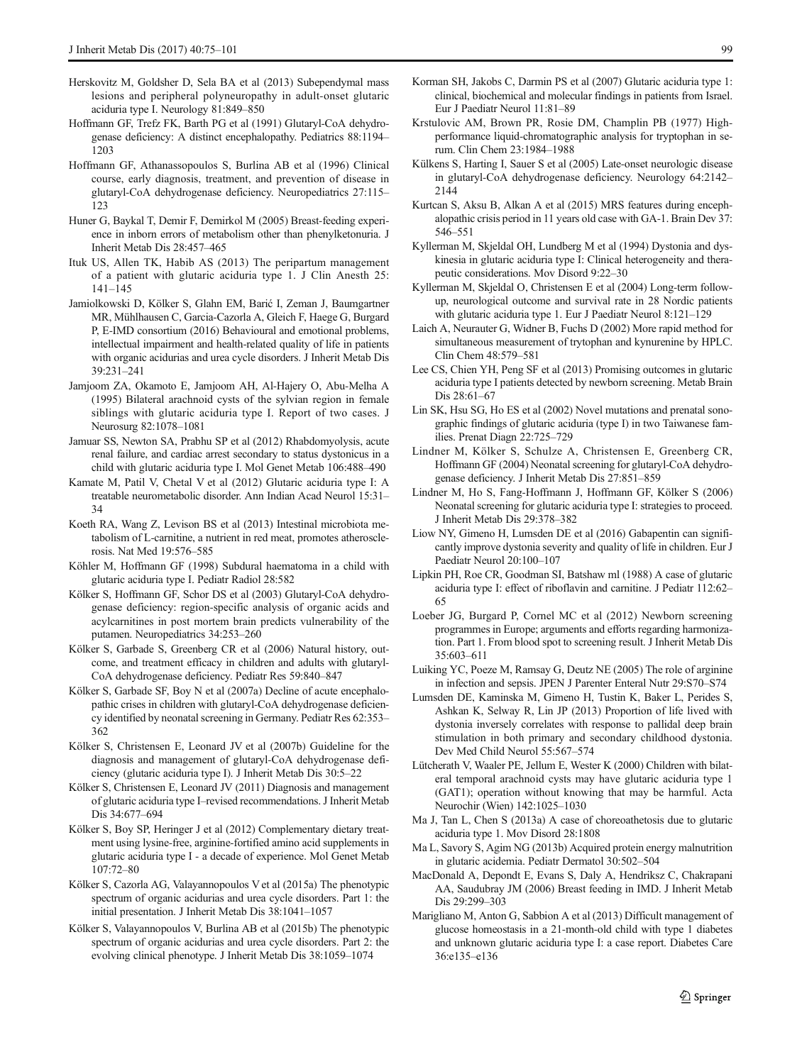- <span id="page-24-0"></span>Herskovitz M, Goldsher D, Sela BA et al (2013) Subependymal mass lesions and peripheral polyneuropathy in adult-onset glutaric aciduria type I. Neurology 81:849–850
- Hoffmann GF, Trefz FK, Barth PG et al (1991) Glutaryl-CoA dehydrogenase deficiency: A distinct encephalopathy. Pediatrics 88:1194– 1203
- Hoffmann GF, Athanassopoulos S, Burlina AB et al (1996) Clinical course, early diagnosis, treatment, and prevention of disease in glutaryl-CoA dehydrogenase deficiency. Neuropediatrics 27:115– 123
- Huner G, Baykal T, Demir F, Demirkol M (2005) Breast-feeding experience in inborn errors of metabolism other than phenylketonuria. J Inherit Metab Dis 28:457–465
- Ituk US, Allen TK, Habib AS (2013) The peripartum management of a patient with glutaric aciduria type 1. J Clin Anesth 25: 141–145
- Jamiolkowski D, Kölker S, Glahn EM, Barić I, Zeman J, Baumgartner MR, Mühlhausen C, Garcia-Cazorla A, Gleich F, Haege G, Burgard P, E-IMD consortium (2016) Behavioural and emotional problems, intellectual impairment and health-related quality of life in patients with organic acidurias and urea cycle disorders. J Inherit Metab Dis 39:231–241
- Jamjoom ZA, Okamoto E, Jamjoom AH, Al-Hajery O, Abu-Melha A (1995) Bilateral arachnoid cysts of the sylvian region in female siblings with glutaric aciduria type I. Report of two cases. J Neurosurg 82:1078–1081
- Jamuar SS, Newton SA, Prabhu SP et al (2012) Rhabdomyolysis, acute renal failure, and cardiac arrest secondary to status dystonicus in a child with glutaric aciduria type I. Mol Genet Metab 106:488–490
- Kamate M, Patil V, Chetal V et al (2012) Glutaric aciduria type I: A treatable neurometabolic disorder. Ann Indian Acad Neurol 15:31– 34
- Koeth RA, Wang Z, Levison BS et al (2013) Intestinal microbiota metabolism of L-carnitine, a nutrient in red meat, promotes atherosclerosis. Nat Med 19:576–585
- Köhler M, Hoffmann GF (1998) Subdural haematoma in a child with glutaric aciduria type I. Pediatr Radiol 28:582
- Kölker S, Hoffmann GF, Schor DS et al (2003) Glutaryl-CoA dehydrogenase deficiency: region-specific analysis of organic acids and acylcarnitines in post mortem brain predicts vulnerability of the putamen. Neuropediatrics 34:253–260
- Kölker S, Garbade S, Greenberg CR et al (2006) Natural history, outcome, and treatment efficacy in children and adults with glutaryl-CoA dehydrogenase deficiency. Pediatr Res 59:840–847
- Kölker S, Garbade SF, Boy N et al (2007a) Decline of acute encephalopathic crises in children with glutaryl-CoA dehydrogenase deficiency identified by neonatal screening in Germany. Pediatr Res 62:353– 362
- Kölker S, Christensen E, Leonard JV et al (2007b) Guideline for the diagnosis and management of glutaryl-CoA dehydrogenase deficiency (glutaric aciduria type I). J Inherit Metab Dis 30:5–22
- Kölker S, Christensen E, Leonard JV (2011) Diagnosis and management of glutaric aciduria type I–revised recommendations. J Inherit Metab Dis 34:677–694
- Kölker S, Boy SP, Heringer J et al (2012) Complementary dietary treatment using lysine-free, arginine-fortified amino acid supplements in glutaric aciduria type I - a decade of experience. Mol Genet Metab  $107 - 72 - 80$
- Kölker S, Cazorla AG, Valayannopoulos V et al (2015a) The phenotypic spectrum of organic acidurias and urea cycle disorders. Part 1: the initial presentation. J Inherit Metab Dis 38:1041–1057
- Kölker S, Valayannopoulos V, Burlina AB et al (2015b) The phenotypic spectrum of organic acidurias and urea cycle disorders. Part 2: the evolving clinical phenotype. J Inherit Metab Dis 38:1059–1074
- Korman SH, Jakobs C, Darmin PS et al (2007) Glutaric aciduria type 1: clinical, biochemical and molecular findings in patients from Israel. Eur J Paediatr Neurol 11:81–89
- Krstulovic AM, Brown PR, Rosie DM, Champlin PB (1977) Highperformance liquid-chromatographic analysis for tryptophan in serum. Clin Chem 23:1984–1988
- Külkens S, Harting I, Sauer S et al (2005) Late-onset neurologic disease in glutaryl-CoA dehydrogenase deficiency. Neurology 64:2142– 2144
- Kurtcan S, Aksu B, Alkan A et al (2015) MRS features during encephalopathic crisis period in 11 years old case with GA-1. Brain Dev 37: 546–551
- Kyllerman M, Skjeldal OH, Lundberg M et al (1994) Dystonia and dyskinesia in glutaric aciduria type I: Clinical heterogeneity and therapeutic considerations. Mov Disord 9:22–30
- Kyllerman M, Skjeldal O, Christensen E et al (2004) Long-term followup, neurological outcome and survival rate in 28 Nordic patients with glutaric aciduria type 1. Eur J Paediatr Neurol 8:121–129
- Laich A, Neurauter G, Widner B, Fuchs D (2002) More rapid method for simultaneous measurement of trytophan and kynurenine by HPLC. Clin Chem 48:579–581
- Lee CS, Chien YH, Peng SF et al (2013) Promising outcomes in glutaric aciduria type I patients detected by newborn screening. Metab Brain Dis 28:61–67
- Lin SK, Hsu SG, Ho ES et al (2002) Novel mutations and prenatal sonographic findings of glutaric aciduria (type I) in two Taiwanese families. Prenat Diagn 22:725–729
- Lindner M, Kölker S, Schulze A, Christensen E, Greenberg CR, Hoffmann GF (2004) Neonatal screening for glutaryl-CoA dehydrogenase deficiency. J Inherit Metab Dis 27:851–859
- Lindner M, Ho S, Fang-Hoffmann J, Hoffmann GF, Kölker S (2006) Neonatal screening for glutaric aciduria type I: strategies to proceed. J Inherit Metab Dis 29:378–382
- Liow NY, Gimeno H, Lumsden DE et al (2016) Gabapentin can significantly improve dystonia severity and quality of life in children. Eur J Paediatr Neurol 20:100–107
- Lipkin PH, Roe CR, Goodman SI, Batshaw ml (1988) A case of glutaric aciduria type I: effect of riboflavin and carnitine. J Pediatr 112:62– 65
- Loeber JG, Burgard P, Cornel MC et al (2012) Newborn screening programmes in Europe; arguments and efforts regarding harmonization. Part 1. From blood spot to screening result. J Inherit Metab Dis 35:603–611
- Luiking YC, Poeze M, Ramsay G, Deutz NE (2005) The role of arginine in infection and sepsis. JPEN J Parenter Enteral Nutr 29:S70–S74
- Lumsden DE, Kaminska M, Gimeno H, Tustin K, Baker L, Perides S, Ashkan K, Selway R, Lin JP (2013) Proportion of life lived with dystonia inversely correlates with response to pallidal deep brain stimulation in both primary and secondary childhood dystonia. Dev Med Child Neurol 55:567–574
- Lütcherath V, Waaler PE, Jellum E, Wester K (2000) Children with bilateral temporal arachnoid cysts may have glutaric aciduria type 1 (GAT1); operation without knowing that may be harmful. Acta Neurochir (Wien) 142:1025–1030
- Ma J, Tan L, Chen S (2013a) A case of choreoathetosis due to glutaric aciduria type 1. Mov Disord 28:1808
- Ma L, Savory S, Agim NG (2013b) Acquired protein energy malnutrition in glutaric acidemia. Pediatr Dermatol 30:502–504
- MacDonald A, Depondt E, Evans S, Daly A, Hendriksz C, Chakrapani AA, Saudubray JM (2006) Breast feeding in IMD. J Inherit Metab Dis 29:299–303
- Marigliano M, Anton G, Sabbion A et al (2013) Difficult management of glucose homeostasis in a 21-month-old child with type 1 diabetes and unknown glutaric aciduria type I: a case report. Diabetes Care 36:e135–e136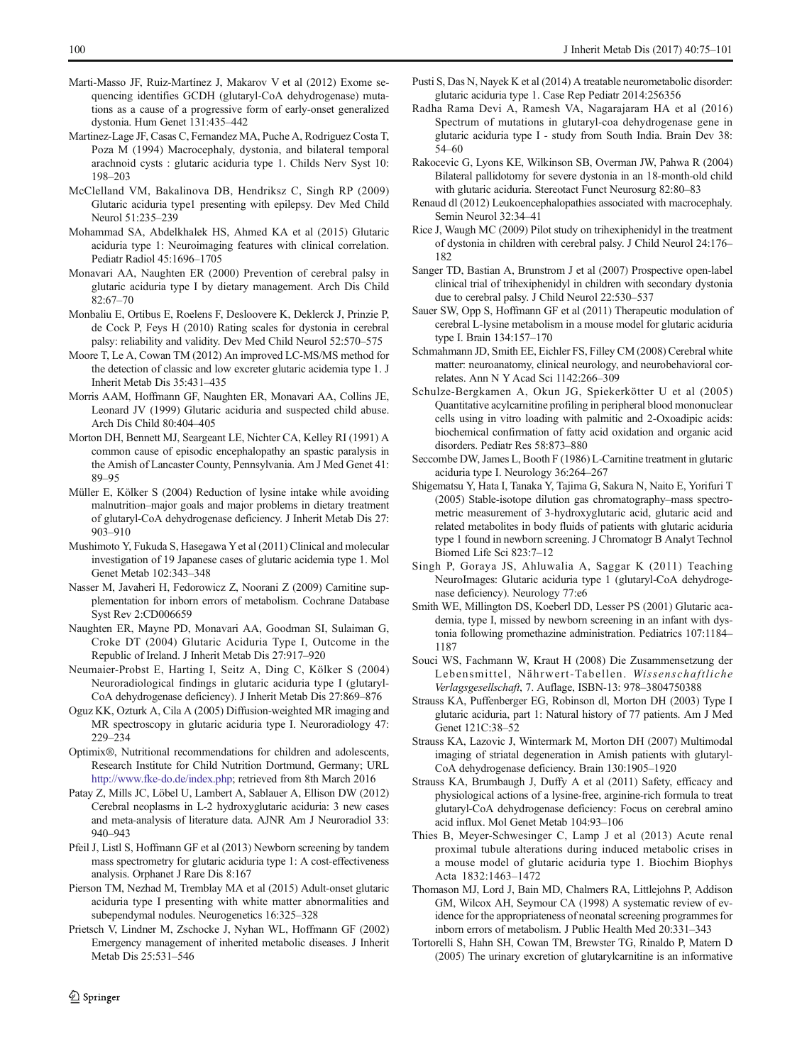- <span id="page-25-0"></span>Marti-Masso JF, Ruiz-Martínez J, Makarov V et al (2012) Exome sequencing identifies GCDH (glutaryl-CoA dehydrogenase) mutations as a cause of a progressive form of early-onset generalized dystonia. Hum Genet 131:435–442
- Martinez-Lage JF, Casas C, Fernandez MA, Puche A, Rodriguez Costa T, Poza M (1994) Macrocephaly, dystonia, and bilateral temporal arachnoid cysts : glutaric aciduria type 1. Childs Nerv Syst 10: 198–203
- McClelland VM, Bakalinova DB, Hendriksz C, Singh RP (2009) Glutaric aciduria type1 presenting with epilepsy. Dev Med Child Neurol 51:235–239
- Mohammad SA, Abdelkhalek HS, Ahmed KA et al (2015) Glutaric aciduria type 1: Neuroimaging features with clinical correlation. Pediatr Radiol 45:1696–1705
- Monavari AA, Naughten ER (2000) Prevention of cerebral palsy in glutaric aciduria type I by dietary management. Arch Dis Child 82:67–70
- Monbaliu E, Ortibus E, Roelens F, Desloovere K, Deklerck J, Prinzie P, de Cock P, Feys H (2010) Rating scales for dystonia in cerebral palsy: reliability and validity. Dev Med Child Neurol 52:570–575
- Moore T, Le A, Cowan TM (2012) An improved LC-MS/MS method for the detection of classic and low excreter glutaric acidemia type 1. J Inherit Metab Dis 35:431–435
- Morris AAM, Hoffmann GF, Naughten ER, Monavari AA, Collins JE, Leonard JV (1999) Glutaric aciduria and suspected child abuse. Arch Dis Child 80:404–405
- Morton DH, Bennett MJ, Seargeant LE, Nichter CA, Kelley RI (1991) A common cause of episodic encephalopathy an spastic paralysis in the Amish of Lancaster County, Pennsylvania. Am J Med Genet 41: 89–95
- Müller E, Kölker S (2004) Reduction of lysine intake while avoiding malnutrition–major goals and major problems in dietary treatment of glutaryl-CoA dehydrogenase deficiency. J Inherit Metab Dis 27: 903–910
- Mushimoto Y, Fukuda S, Hasegawa Yet al (2011) Clinical and molecular investigation of 19 Japanese cases of glutaric acidemia type 1. Mol Genet Metab 102:343–348
- Nasser M, Javaheri H, Fedorowicz Z, Noorani Z (2009) Carnitine supplementation for inborn errors of metabolism. Cochrane Database Syst Rev 2:CD006659
- Naughten ER, Mayne PD, Monavari AA, Goodman SI, Sulaiman G, Croke DT (2004) Glutaric Aciduria Type I, Outcome in the Republic of Ireland. J Inherit Metab Dis 27:917–920
- Neumaier-Probst E, Harting I, Seitz A, Ding C, Kölker S (2004) Neuroradiological findings in glutaric aciduria type I (glutaryl-CoA dehydrogenase deficiency). J Inherit Metab Dis 27:869–876
- Oguz KK, Ozturk A, Cila A (2005) Diffusion-weighted MR imaging and MR spectroscopy in glutaric aciduria type I. Neuroradiology 47: 229–234
- Optimix®, Nutritional recommendations for children and adolescents, Research Institute for Child Nutrition Dortmund, Germany; URL [http://www.fke-do.de/index.php;](http://dx.doi.org/http://www.fke-do.de/index.php) retrieved from 8th March 2016
- Patay Z, Mills JC, Löbel U, Lambert A, Sablauer A, Ellison DW (2012) Cerebral neoplasms in L-2 hydroxyglutaric aciduria: 3 new cases and meta-analysis of literature data. AJNR Am J Neuroradiol 33: 940–943
- Pfeil J, Listl S, Hoffmann GF et al (2013) Newborn screening by tandem mass spectrometry for glutaric aciduria type 1: A cost-effectiveness analysis. Orphanet J Rare Dis 8:167
- Pierson TM, Nezhad M, Tremblay MA et al (2015) Adult-onset glutaric aciduria type I presenting with white matter abnormalities and subependymal nodules. Neurogenetics 16:325–328
- Prietsch V, Lindner M, Zschocke J, Nyhan WL, Hoffmann GF (2002) Emergency management of inherited metabolic diseases. J Inherit Metab Dis 25:531–546
- Pusti S, Das N, Nayek K et al (2014) A treatable neurometabolic disorder: glutaric aciduria type 1. Case Rep Pediatr 2014:256356
- Radha Rama Devi A, Ramesh VA, Nagarajaram HA et al (2016) Spectrum of mutations in glutaryl-coa dehydrogenase gene in glutaric aciduria type I - study from South India. Brain Dev 38: 54–60
- Rakocevic G, Lyons KE, Wilkinson SB, Overman JW, Pahwa R (2004) Bilateral pallidotomy for severe dystonia in an 18-month-old child with glutaric aciduria. Stereotact Funct Neurosurg 82:80–83
- Renaud dl (2012) Leukoencephalopathies associated with macrocephaly. Semin Neurol 32:34–41
- Rice J, Waugh MC (2009) Pilot study on trihexiphenidyl in the treatment of dystonia in children with cerebral palsy. J Child Neurol 24:176– 182
- Sanger TD, Bastian A, Brunstrom J et al (2007) Prospective open-label clinical trial of trihexiphenidyl in children with secondary dystonia due to cerebral palsy. J Child Neurol 22:530–537
- Sauer SW, Opp S, Hoffmann GF et al (2011) Therapeutic modulation of cerebral L-lysine metabolism in a mouse model for glutaric aciduria type I. Brain 134:157–170
- Schmahmann JD, Smith EE, Eichler FS, Filley CM (2008) Cerebral white matter: neuroanatomy, clinical neurology, and neurobehavioral correlates. Ann N Y Acad Sci 1142:266–309
- Schulze-Bergkamen A, Okun JG, Spiekerkötter U et al (2005) Quantitative acylcarnitine profiling in peripheral blood mononuclear cells using in vitro loading with palmitic and 2-Oxoadipic acids: biochemical confirmation of fatty acid oxidation and organic acid disorders. Pediatr Res 58:873–880
- Seccombe DW, James L, Booth F (1986) L-Carnitine treatment in glutaric aciduria type I. Neurology 36:264–267
- Shigematsu Y, Hata I, Tanaka Y, Tajima G, Sakura N, Naito E, Yorifuri T (2005) Stable-isotope dilution gas chromatography–mass spectrometric measurement of 3-hydroxyglutaric acid, glutaric acid and related metabolites in body fluids of patients with glutaric aciduria type 1 found in newborn screening. J Chromatogr B Analyt Technol Biomed Life Sci 823:7–12
- Singh P, Goraya JS, Ahluwalia A, Saggar K (2011) Teaching NeuroImages: Glutaric aciduria type 1 (glutaryl-CoA dehydrogenase deficiency). Neurology 77:e6
- Smith WE, Millington DS, Koeberl DD, Lesser PS (2001) Glutaric academia, type I, missed by newborn screening in an infant with dystonia following promethazine administration. Pediatrics 107:1184– 1187
- Souci WS, Fachmann W, Kraut H (2008) Die Zusammensetzung der Lebensmittel, Nährwert-Tabellen. Wissenschaftliche Verlagsgesellschaft, 7. Auflage, ISBN-13: 978–3804750388
- Strauss KA, Puffenberger EG, Robinson dl, Morton DH (2003) Type I glutaric aciduria, part 1: Natural history of 77 patients. Am J Med Genet 121C:38–52
- Strauss KA, Lazovic J, Wintermark M, Morton DH (2007) Multimodal imaging of striatal degeneration in Amish patients with glutaryl-CoA dehydrogenase deficiency. Brain 130:1905–1920
- Strauss KA, Brumbaugh J, Duffy A et al (2011) Safety, efficacy and physiological actions of a lysine-free, arginine-rich formula to treat glutaryl-CoA dehydrogenase deficiency: Focus on cerebral amino acid influx. Mol Genet Metab 104:93–106
- Thies B, Meyer-Schwesinger C, Lamp J et al (2013) Acute renal proximal tubule alterations during induced metabolic crises in a mouse model of glutaric aciduria type 1. Biochim Biophys Acta 1832:1463–1472
- Thomason MJ, Lord J, Bain MD, Chalmers RA, Littlejohns P, Addison GM, Wilcox AH, Seymour CA (1998) A systematic review of evidence for the appropriateness of neonatal screening programmes for inborn errors of metabolism. J Public Health Med 20:331–343
- Tortorelli S, Hahn SH, Cowan TM, Brewster TG, Rinaldo P, Matern D (2005) The urinary excretion of glutarylcarnitine is an informative